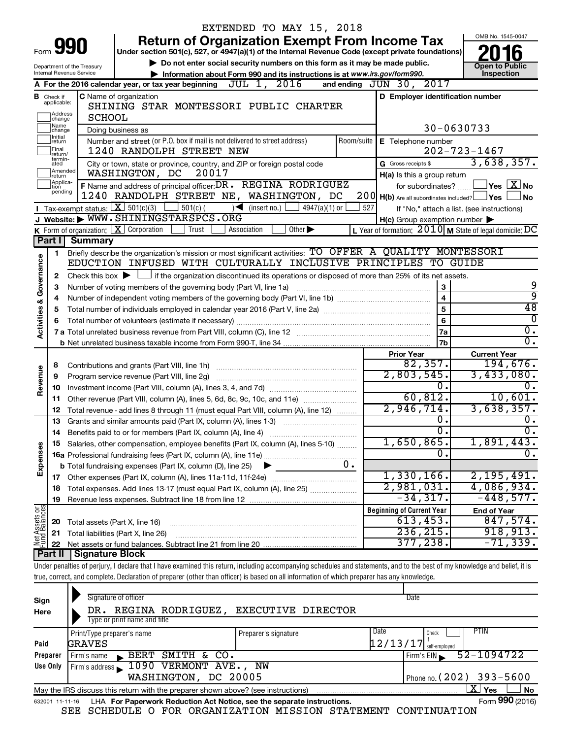|                                |                               |                                | EXTENDED TO MAY 15, 2018                                                                                                                                                   |                                                      |                                                     |                                                         |
|--------------------------------|-------------------------------|--------------------------------|----------------------------------------------------------------------------------------------------------------------------------------------------------------------------|------------------------------------------------------|-----------------------------------------------------|---------------------------------------------------------|
|                                |                               |                                | <b>Return of Organization Exempt From Income Tax</b>                                                                                                                       |                                                      |                                                     | OMB No. 1545-0047                                       |
| Form                           |                               | 990                            | Under section 501(c), 527, or 4947(a)(1) of the Internal Revenue Code (except private foundations)                                                                         |                                                      |                                                     |                                                         |
|                                |                               | Department of the Treasury     | Do not enter social security numbers on this form as it may be made public.                                                                                                |                                                      |                                                     | <b>Open to Public</b>                                   |
|                                |                               | Internal Revenue Service       | Information about Form 990 and its instructions is at www.irs.gov/form990.                                                                                                 |                                                      |                                                     | Inspection                                              |
|                                |                               |                                | A For the 2016 calendar year, or tax year beginning $JUL$ 1, $2016$                                                                                                        | and ending JUN 30, 2017                              |                                                     |                                                         |
|                                | <b>B</b> Check if applicable: |                                | C Name of organization                                                                                                                                                     |                                                      | D Employer identification number                    |                                                         |
|                                | Address                       |                                | SHINING STAR MONTESSORI PUBLIC CHARTER                                                                                                                                     |                                                      |                                                     |                                                         |
|                                | change                        | <b>SCHOOL</b>                  |                                                                                                                                                                            |                                                      | 30-0630733                                          |                                                         |
|                                | Name<br>change<br>Initial     |                                | Doing business as                                                                                                                                                          |                                                      |                                                     |                                                         |
|                                | return<br>Final               |                                | Number and street (or P.O. box if mail is not delivered to street address)<br>1240 RANDOLPH STREET NEW                                                                     | Room/suite                                           | E Telephone number                                  | $202 - 723 - 1467$                                      |
|                                | return/<br>termin-            |                                |                                                                                                                                                                            | G Gross receipts \$                                  |                                                     | 3,638,357.                                              |
|                                | ated<br>Amended               |                                | City or town, state or province, country, and ZIP or foreign postal code<br>20017<br>WASHINGTON, DC                                                                        |                                                      |                                                     |                                                         |
|                                | return<br>Applica-<br>tion    |                                | F Name and address of principal officer: DR . REGINA RODRIGUEZ                                                                                                             |                                                      | H(a) Is this a group return<br>for subordinates?    | $\exists$ Yes $\boxed{\text{X}}$ No                     |
|                                | pending                       |                                | 1240 RANDOLPH STREET NE, WASHINGTON, DC                                                                                                                                    | $200$ H(b) Are all subordinates included? $\Box$ Yes |                                                     | <b>No</b>                                               |
|                                |                               |                                | <b>I</b> Tax-exempt status: $X \over 301(c)(3)$<br>$-$ 501(c) (<br>$\sqrt{\frac{1}{1}}$ (insert no.)<br>$4947(a)(1)$ or                                                    | 527                                                  |                                                     | If "No," attach a list. (see instructions)              |
|                                |                               |                                | J Website: WWW.SHININGSTARSPCS.ORG                                                                                                                                         |                                                      | $H(c)$ Group exemption number $\blacktriangleright$ |                                                         |
|                                |                               |                                | <b>K</b> Form of organization: $\boxed{\mathbf{X}}$ Corporation<br>Trust<br>Association<br>Other $\blacktriangleright$                                                     |                                                      |                                                     | L Year of formation: 2010 M State of legal domicile: DC |
|                                | Part I                        | <b>Summary</b>                 |                                                                                                                                                                            |                                                      |                                                     |                                                         |
|                                | 1.                            |                                | Briefly describe the organization's mission or most significant activities: TO OFFER A QUALITY MONTESSORI                                                                  |                                                      |                                                     |                                                         |
| Governance                     |                               |                                | EDUCTION INFUSED WITH CULTURALLY INCLUSIVE PRINCIPLES TO GUIDE                                                                                                             |                                                      |                                                     |                                                         |
|                                | 2                             |                                | Check this box $\blacktriangleright$ $\Box$ if the organization discontinued its operations or disposed of more than 25% of its net assets.                                |                                                      |                                                     |                                                         |
|                                | 3                             |                                | Number of voting members of the governing body (Part VI, line 1a)                                                                                                          |                                                      | 3                                                   | 9                                                       |
|                                | 4                             |                                |                                                                                                                                                                            |                                                      | $\overline{\mathbf{4}}$                             | 9                                                       |
|                                | 5                             |                                |                                                                                                                                                                            |                                                      | 5                                                   | 48                                                      |
| <b>Activities &amp;</b>        | 6                             |                                |                                                                                                                                                                            |                                                      | 6                                                   | $\overline{\mathfrak{o}}$                               |
|                                |                               |                                |                                                                                                                                                                            |                                                      | 7a                                                  | $\overline{0}$ .                                        |
|                                |                               |                                |                                                                                                                                                                            |                                                      | 7b                                                  | $\overline{0}$ .                                        |
|                                |                               |                                |                                                                                                                                                                            | <b>Prior Year</b>                                    |                                                     | <b>Current Year</b>                                     |
|                                | 8                             |                                |                                                                                                                                                                            |                                                      | 82,357.                                             | 194,676.                                                |
| Revenue                        | 9                             |                                | Program service revenue (Part VIII, line 2g)                                                                                                                               |                                                      | 2,803,545.<br>О.                                    | 3,433,080.                                              |
|                                | 10                            |                                |                                                                                                                                                                            |                                                      | 60, 812.                                            | 0.<br>10,601.                                           |
|                                | 11                            |                                | Other revenue (Part VIII, column (A), lines 5, 6d, 8c, 9c, 10c, and 11e)                                                                                                   |                                                      | 2,946,714.                                          | 3,638,357.                                              |
|                                | 12                            |                                | Total revenue - add lines 8 through 11 (must equal Part VIII, column (A), line 12)                                                                                         |                                                      | Ο.                                                  | ο.                                                      |
|                                | 13<br>14                      |                                | Grants and similar amounts paid (Part IX, column (A), lines 1-3)<br>Benefits paid to or for members (Part IX, column (A), line 4)                                          |                                                      | σ.                                                  | $\overline{0}$ .                                        |
|                                |                               |                                | 15 Salaries, other compensation, employee benefits (Part IX, column (A), lines 5-10)                                                                                       |                                                      | 1,650,865.                                          | 1,891,443.                                              |
| Expenses                       |                               |                                |                                                                                                                                                                            |                                                      | О.                                                  | $\mathbf{0}$ .                                          |
|                                |                               |                                | 0.<br><b>b</b> Total fundraising expenses (Part IX, column (D), line 25)                                                                                                   |                                                      |                                                     |                                                         |
|                                |                               |                                |                                                                                                                                                                            |                                                      | $1,330,166$ .                                       | 2,195,491.                                              |
|                                | 18                            |                                | Total expenses. Add lines 13-17 (must equal Part IX, column (A), line 25)                                                                                                  |                                                      | 2,981,031.                                          | 4,086,934.                                              |
|                                | 19                            |                                |                                                                                                                                                                            |                                                      | $-34, 317.$                                         | $-448,577.$                                             |
|                                |                               |                                |                                                                                                                                                                            | <b>Beginning of Current Year</b>                     |                                                     | <b>End of Year</b>                                      |
| Net Assets or<br>Fund Balances | 20                            | Total assets (Part X, line 16) |                                                                                                                                                                            |                                                      | 613,453.                                            | 847,574.                                                |
|                                | 21                            |                                | Total liabilities (Part X, line 26)                                                                                                                                        |                                                      | 236, 215.                                           | 918, 913.                                               |
|                                | 22                            |                                |                                                                                                                                                                            |                                                      | 377,238。                                            | $-71, 339.$                                             |
|                                | Part II                       | <b>Signature Block</b>         |                                                                                                                                                                            |                                                      |                                                     |                                                         |
|                                |                               |                                | Under penalties of perjury, I declare that I have examined this return, including accompanying schedules and statements, and to the best of my knowledge and belief, it is |                                                      |                                                     |                                                         |
|                                |                               |                                | true, correct, and complete. Declaration of preparer (other than officer) is based on all information of which preparer has any knowledge.                                 |                                                      |                                                     |                                                         |
|                                |                               |                                |                                                                                                                                                                            |                                                      |                                                     |                                                         |
| Sign                           |                               |                                | Signature of officer                                                                                                                                                       |                                                      | Date                                                |                                                         |

| יישיט                                                                                                              |                                      |               |                              |                                                                        |                      |  |      |                            |                |  |                 |
|--------------------------------------------------------------------------------------------------------------------|--------------------------------------|---------------|------------------------------|------------------------------------------------------------------------|----------------------|--|------|----------------------------|----------------|--|-----------------|
| Here                                                                                                               |                                      |               |                              | DR. REGINA RODRIGUEZ, EXECUTIVE DIRECTOR                               |                      |  |      |                            |                |  |                 |
|                                                                                                                    |                                      |               | Type or print name and title |                                                                        |                      |  |      |                            |                |  |                 |
|                                                                                                                    |                                      |               | Print/Type preparer's name   |                                                                        | Preparer's signature |  | Date | Check                      | <b>PTIN</b>    |  |                 |
| Paid                                                                                                               |                                      | <b>GRAVES</b> |                              |                                                                        |                      |  |      | $12/13/17$ self-employed   |                |  |                 |
| Preparer                                                                                                           |                                      | Firm's name   |                              | BERT SMITH & CO.                                                       |                      |  |      | Firm's EIN                 | $52 - 1094722$ |  |                 |
| Use Only                                                                                                           | Firm's address 1090 VERMONT AVE., NW |               |                              |                                                                        |                      |  |      |                            |                |  |                 |
|                                                                                                                    |                                      |               |                              | WASHINGTON, DC 20005                                                   |                      |  |      | Phone no. $(202)$ 393-5600 |                |  |                 |
| $\mathbf{X}$ Yes<br><b>No</b><br>May the IRS discuss this return with the preparer shown above? (see instructions) |                                      |               |                              |                                                                        |                      |  |      |                            |                |  |                 |
| 632001 11-11-16                                                                                                    |                                      |               |                              | LHA For Paperwork Reduction Act Notice, see the separate instructions. |                      |  |      |                            |                |  | Form 990 (2016) |

SEE SCHEDULE O FOR ORGANIZATION MISSION STATEMENT CONTINUATION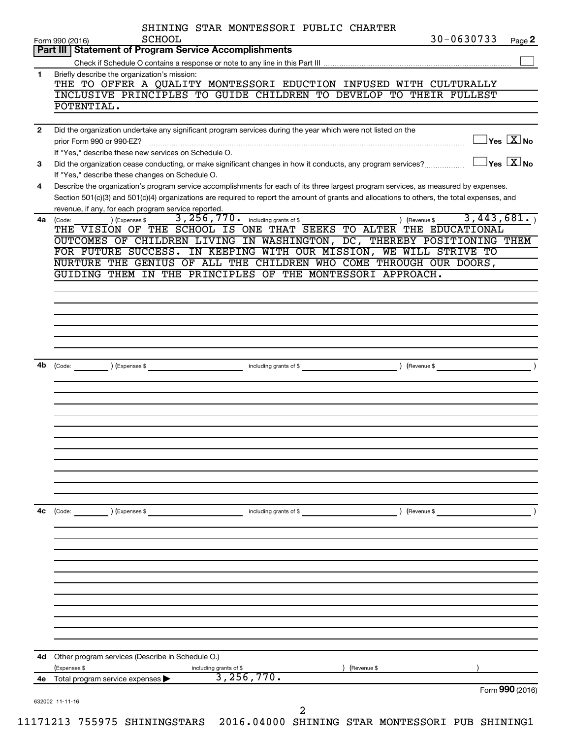|              | SCHOOL<br>Form 990 (2016)<br>Part III   Statement of Program Service Accomplishments |                                                                                                              | 30-0630733<br>Page 2                                                                                                                                                                                                                                                                                                    |
|--------------|--------------------------------------------------------------------------------------|--------------------------------------------------------------------------------------------------------------|-------------------------------------------------------------------------------------------------------------------------------------------------------------------------------------------------------------------------------------------------------------------------------------------------------------------------|
|              |                                                                                      |                                                                                                              |                                                                                                                                                                                                                                                                                                                         |
| 1.           | Briefly describe the organization's mission:<br>POTENTIAL.                           |                                                                                                              | THE TO OFFER A QUALITY MONTESSORI EDUCTION INFUSED WITH CULTURALLY<br>INCLUSIVE PRINCIPLES TO GUIDE CHILDREN TO DEVELOP TO THEIR FULLEST                                                                                                                                                                                |
| $\mathbf{2}$ | prior Form 990 or 990-EZ?                                                            | Did the organization undertake any significant program services during the year which were not listed on the | $\exists$ Yes $\boxed{\text{X}}$ No                                                                                                                                                                                                                                                                                     |
| 3            | If "Yes," describe these new services on Schedule O.                                 | Did the organization cease conducting, or make significant changes in how it conducts, any program services? | $\mathsf{Yes}\ \overline{\mathbf{X}}\mathsf{No}$                                                                                                                                                                                                                                                                        |
| 4            | If "Yes," describe these changes on Schedule O.                                      |                                                                                                              | Describe the organization's program service accomplishments for each of its three largest program services, as measured by expenses.<br>Section 501(c)(3) and 501(c)(4) organizations are required to report the amount of grants and allocations to others, the total expenses, and                                    |
| 4a           | revenue, if any, for each program service reported.<br>) (Expenses \$<br>(Code:      | 3, 256, 770. including grants of \$<br>GUIDING THEM IN THE PRINCIPLES OF THE MONTESSORI APPROACH.            | 3,443,681.<br>(Revenue \$<br>THE VISION OF THE SCHOOL IS ONE THAT SEEKS TO ALTER THE EDUCATIONAL<br>OUTCOMES OF CHILDREN LIVING IN WASHINGTON, DC, THEREBY POSITIONING THEM<br>FOR FUTURE SUCCESS. IN KEEPING WITH OUR MISSION, WE WILL STRIVE TO<br>NURTURE THE GENIUS OF ALL THE CHILDREN WHO COME THROUGH OUR DOORS, |
|              |                                                                                      |                                                                                                              |                                                                                                                                                                                                                                                                                                                         |
|              |                                                                                      |                                                                                                              |                                                                                                                                                                                                                                                                                                                         |
|              |                                                                                      |                                                                                                              |                                                                                                                                                                                                                                                                                                                         |
|              |                                                                                      |                                                                                                              |                                                                                                                                                                                                                                                                                                                         |
| 4b           | (Expenses \$<br>(Code:                                                               | including grants of \$                                                                                       | (Revenue \$                                                                                                                                                                                                                                                                                                             |
|              |                                                                                      |                                                                                                              |                                                                                                                                                                                                                                                                                                                         |
|              |                                                                                      |                                                                                                              |                                                                                                                                                                                                                                                                                                                         |
|              |                                                                                      |                                                                                                              |                                                                                                                                                                                                                                                                                                                         |
| 4c           |                                                                                      |                                                                                                              | (Revenue \$                                                                                                                                                                                                                                                                                                             |
|              | (Code:<br>) (Expenses \$                                                             | including grants of \$                                                                                       |                                                                                                                                                                                                                                                                                                                         |
|              |                                                                                      |                                                                                                              |                                                                                                                                                                                                                                                                                                                         |
|              |                                                                                      |                                                                                                              |                                                                                                                                                                                                                                                                                                                         |
|              |                                                                                      |                                                                                                              |                                                                                                                                                                                                                                                                                                                         |
|              | Other program services (Describe in Schedule O.)                                     |                                                                                                              | (Revenue \$                                                                                                                                                                                                                                                                                                             |
| 4d           |                                                                                      |                                                                                                              |                                                                                                                                                                                                                                                                                                                         |
| 4е           | (Expenses \$<br>Total program service expenses                                       | including grants of \$<br>3, 256, 770.                                                                       |                                                                                                                                                                                                                                                                                                                         |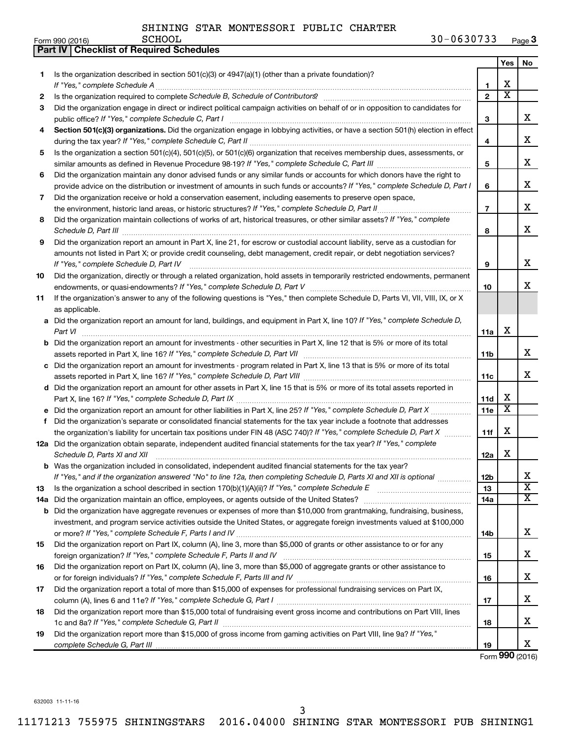| Yes<br>No<br>Is the organization described in section 501(c)(3) or $4947(a)(1)$ (other than a private foundation)?<br>1<br>х<br>1<br>$\overline{\textbf{x}}$<br>$\overline{2}$<br>2<br>Did the organization engage in direct or indirect political campaign activities on behalf of or in opposition to candidates for<br>З<br>x<br>3<br>Section 501(c)(3) organizations. Did the organization engage in lobbying activities, or have a section 501(h) election in effect<br>4<br>х<br>4<br>Is the organization a section 501(c)(4), 501(c)(5), or 501(c)(6) organization that receives membership dues, assessments, or<br>5<br>x<br>5<br>Did the organization maintain any donor advised funds or any similar funds or accounts for which donors have the right to<br>6<br>x<br>provide advice on the distribution or investment of amounts in such funds or accounts? If "Yes," complete Schedule D, Part I<br>6<br>Did the organization receive or hold a conservation easement, including easements to preserve open space,<br>7<br>x<br>$\overline{7}$<br>the environment, historic land areas, or historic structures? If "Yes," complete Schedule D, Part II<br>Did the organization maintain collections of works of art, historical treasures, or other similar assets? If "Yes," complete<br>8<br>x<br>8<br>Did the organization report an amount in Part X, line 21, for escrow or custodial account liability, serve as a custodian for<br>9<br>amounts not listed in Part X; or provide credit counseling, debt management, credit repair, or debt negotiation services?<br>x<br>If "Yes," complete Schedule D, Part IV<br>9<br>Did the organization, directly or through a related organization, hold assets in temporarily restricted endowments, permanent<br>10<br>x<br>10<br>If the organization's answer to any of the following questions is "Yes," then complete Schedule D, Parts VI, VII, VIII, IX, or X<br>11<br>as applicable.<br>a Did the organization report an amount for land, buildings, and equipment in Part X, line 10? If "Yes," complete Schedule D,<br>х<br>Part VI<br>11a<br><b>b</b> Did the organization report an amount for investments - other securities in Part X, line 12 that is 5% or more of its total<br>х<br>11 <sub>b</sub><br>c Did the organization report an amount for investments - program related in Part X, line 13 that is 5% or more of its total<br>х<br>11c<br>d Did the organization report an amount for other assets in Part X, line 15 that is 5% or more of its total assets reported in<br>х<br>11d<br>$\overline{\textbf{x}}$<br>e Did the organization report an amount for other liabilities in Part X, line 25? If "Yes," complete Schedule D, Part X<br>11e<br>Did the organization's separate or consolidated financial statements for the tax year include a footnote that addresses<br>f<br>х<br>the organization's liability for uncertain tax positions under FIN 48 (ASC 740)? If "Yes," complete Schedule D, Part X<br>11f<br>12a Did the organization obtain separate, independent audited financial statements for the tax year? If "Yes," complete<br>х<br>Schedule D, Parts XI and XII <b>continuum continuum continuum continuum continuum continuum continuum continuum</b> continuum continuum continuum continuum continuum continuum continuum continuum continuum continuum continuum c<br>12a<br>b Was the organization included in consolidated, independent audited financial statements for the tax year?<br>х<br>If "Yes," and if the organization answered "No" to line 12a, then completing Schedule D, Parts XI and XII is optional<br>12 <sub>b</sub><br>$\overline{\mathbf{X}}$<br>13<br>13<br>$\overline{\texttt{x}}$<br>14a<br>14a Did the organization maintain an office, employees, or agents outside of the United States?<br><b>b</b> Did the organization have aggregate revenues or expenses of more than \$10,000 from grantmaking, fundraising, business,<br>investment, and program service activities outside the United States, or aggregate foreign investments valued at \$100,000<br>x<br>14b<br>Did the organization report on Part IX, column (A), line 3, more than \$5,000 of grants or other assistance to or for any<br>15<br>x<br>15<br>Did the organization report on Part IX, column (A), line 3, more than \$5,000 of aggregate grants or other assistance to<br>16<br>х<br>16<br>Did the organization report a total of more than \$15,000 of expenses for professional fundraising services on Part IX,<br>17<br>x<br>17<br>Did the organization report more than \$15,000 total of fundraising event gross income and contributions on Part VIII, lines<br>18<br>x<br>18<br>Did the organization report more than \$15,000 of gross income from gaming activities on Part VIII, line 9a? If "Yes,"<br>19<br>x<br>19 | Part IV   Checklist of Required Schedules |  |  |
|----------------------------------------------------------------------------------------------------------------------------------------------------------------------------------------------------------------------------------------------------------------------------------------------------------------------------------------------------------------------------------------------------------------------------------------------------------------------------------------------------------------------------------------------------------------------------------------------------------------------------------------------------------------------------------------------------------------------------------------------------------------------------------------------------------------------------------------------------------------------------------------------------------------------------------------------------------------------------------------------------------------------------------------------------------------------------------------------------------------------------------------------------------------------------------------------------------------------------------------------------------------------------------------------------------------------------------------------------------------------------------------------------------------------------------------------------------------------------------------------------------------------------------------------------------------------------------------------------------------------------------------------------------------------------------------------------------------------------------------------------------------------------------------------------------------------------------------------------------------------------------------------------------------------------------------------------------------------------------------------------------------------------------------------------------------------------------------------------------------------------------------------------------------------------------------------------------------------------------------------------------------------------------------------------------------------------------------------------------------------------------------------------------------------------------------------------------------------------------------------------------------------------------------------------------------------------------------------------------------------------------------------------------------------------------------------------------------------------------------------------------------------------------------------------------------------------------------------------------------------------------------------------------------------------------------------------------------------------------------------------------------------------------------------------------------------------------------------------------------------------------------------------------------------------------------------------------------------------------------------------------------------------------------------------------------------------------------------------------------------------------------------------------------------------------------------------------------------------------------------------------------------------------------------------------------------------------------------------------------------------------------------------------------------------------------------------------------------------------------------------------------------------------------------------------------------------------------------------------------------------------------------------------------------------------------------------------------------------------------------------------------------------------------------------------------------------------------------------------------------------------------------------------------------------------------------------------------------------------------------------------------------------------------------------------------------------------------------------------------------------------------------------------------------------------------------------------------------------------------------------------------------------------------------------------------------------------------------------------------------------------------------------------------------------------------------------------------------------------------------------------------------------------------------------------------------------------------------------------|-------------------------------------------|--|--|
|                                                                                                                                                                                                                                                                                                                                                                                                                                                                                                                                                                                                                                                                                                                                                                                                                                                                                                                                                                                                                                                                                                                                                                                                                                                                                                                                                                                                                                                                                                                                                                                                                                                                                                                                                                                                                                                                                                                                                                                                                                                                                                                                                                                                                                                                                                                                                                                                                                                                                                                                                                                                                                                                                                                                                                                                                                                                                                                                                                                                                                                                                                                                                                                                                                                                                                                                                                                                                                                                                                                                                                                                                                                                                                                                                                                                                                                                                                                                                                                                                                                                                                                                                                                                                                                                                                                                                                                                                                                                                                                                                                                                                                                                                                                                                                                                                                                          |                                           |  |  |
|                                                                                                                                                                                                                                                                                                                                                                                                                                                                                                                                                                                                                                                                                                                                                                                                                                                                                                                                                                                                                                                                                                                                                                                                                                                                                                                                                                                                                                                                                                                                                                                                                                                                                                                                                                                                                                                                                                                                                                                                                                                                                                                                                                                                                                                                                                                                                                                                                                                                                                                                                                                                                                                                                                                                                                                                                                                                                                                                                                                                                                                                                                                                                                                                                                                                                                                                                                                                                                                                                                                                                                                                                                                                                                                                                                                                                                                                                                                                                                                                                                                                                                                                                                                                                                                                                                                                                                                                                                                                                                                                                                                                                                                                                                                                                                                                                                                          |                                           |  |  |
|                                                                                                                                                                                                                                                                                                                                                                                                                                                                                                                                                                                                                                                                                                                                                                                                                                                                                                                                                                                                                                                                                                                                                                                                                                                                                                                                                                                                                                                                                                                                                                                                                                                                                                                                                                                                                                                                                                                                                                                                                                                                                                                                                                                                                                                                                                                                                                                                                                                                                                                                                                                                                                                                                                                                                                                                                                                                                                                                                                                                                                                                                                                                                                                                                                                                                                                                                                                                                                                                                                                                                                                                                                                                                                                                                                                                                                                                                                                                                                                                                                                                                                                                                                                                                                                                                                                                                                                                                                                                                                                                                                                                                                                                                                                                                                                                                                                          |                                           |  |  |
|                                                                                                                                                                                                                                                                                                                                                                                                                                                                                                                                                                                                                                                                                                                                                                                                                                                                                                                                                                                                                                                                                                                                                                                                                                                                                                                                                                                                                                                                                                                                                                                                                                                                                                                                                                                                                                                                                                                                                                                                                                                                                                                                                                                                                                                                                                                                                                                                                                                                                                                                                                                                                                                                                                                                                                                                                                                                                                                                                                                                                                                                                                                                                                                                                                                                                                                                                                                                                                                                                                                                                                                                                                                                                                                                                                                                                                                                                                                                                                                                                                                                                                                                                                                                                                                                                                                                                                                                                                                                                                                                                                                                                                                                                                                                                                                                                                                          |                                           |  |  |
|                                                                                                                                                                                                                                                                                                                                                                                                                                                                                                                                                                                                                                                                                                                                                                                                                                                                                                                                                                                                                                                                                                                                                                                                                                                                                                                                                                                                                                                                                                                                                                                                                                                                                                                                                                                                                                                                                                                                                                                                                                                                                                                                                                                                                                                                                                                                                                                                                                                                                                                                                                                                                                                                                                                                                                                                                                                                                                                                                                                                                                                                                                                                                                                                                                                                                                                                                                                                                                                                                                                                                                                                                                                                                                                                                                                                                                                                                                                                                                                                                                                                                                                                                                                                                                                                                                                                                                                                                                                                                                                                                                                                                                                                                                                                                                                                                                                          |                                           |  |  |
|                                                                                                                                                                                                                                                                                                                                                                                                                                                                                                                                                                                                                                                                                                                                                                                                                                                                                                                                                                                                                                                                                                                                                                                                                                                                                                                                                                                                                                                                                                                                                                                                                                                                                                                                                                                                                                                                                                                                                                                                                                                                                                                                                                                                                                                                                                                                                                                                                                                                                                                                                                                                                                                                                                                                                                                                                                                                                                                                                                                                                                                                                                                                                                                                                                                                                                                                                                                                                                                                                                                                                                                                                                                                                                                                                                                                                                                                                                                                                                                                                                                                                                                                                                                                                                                                                                                                                                                                                                                                                                                                                                                                                                                                                                                                                                                                                                                          |                                           |  |  |
|                                                                                                                                                                                                                                                                                                                                                                                                                                                                                                                                                                                                                                                                                                                                                                                                                                                                                                                                                                                                                                                                                                                                                                                                                                                                                                                                                                                                                                                                                                                                                                                                                                                                                                                                                                                                                                                                                                                                                                                                                                                                                                                                                                                                                                                                                                                                                                                                                                                                                                                                                                                                                                                                                                                                                                                                                                                                                                                                                                                                                                                                                                                                                                                                                                                                                                                                                                                                                                                                                                                                                                                                                                                                                                                                                                                                                                                                                                                                                                                                                                                                                                                                                                                                                                                                                                                                                                                                                                                                                                                                                                                                                                                                                                                                                                                                                                                          |                                           |  |  |
|                                                                                                                                                                                                                                                                                                                                                                                                                                                                                                                                                                                                                                                                                                                                                                                                                                                                                                                                                                                                                                                                                                                                                                                                                                                                                                                                                                                                                                                                                                                                                                                                                                                                                                                                                                                                                                                                                                                                                                                                                                                                                                                                                                                                                                                                                                                                                                                                                                                                                                                                                                                                                                                                                                                                                                                                                                                                                                                                                                                                                                                                                                                                                                                                                                                                                                                                                                                                                                                                                                                                                                                                                                                                                                                                                                                                                                                                                                                                                                                                                                                                                                                                                                                                                                                                                                                                                                                                                                                                                                                                                                                                                                                                                                                                                                                                                                                          |                                           |  |  |
|                                                                                                                                                                                                                                                                                                                                                                                                                                                                                                                                                                                                                                                                                                                                                                                                                                                                                                                                                                                                                                                                                                                                                                                                                                                                                                                                                                                                                                                                                                                                                                                                                                                                                                                                                                                                                                                                                                                                                                                                                                                                                                                                                                                                                                                                                                                                                                                                                                                                                                                                                                                                                                                                                                                                                                                                                                                                                                                                                                                                                                                                                                                                                                                                                                                                                                                                                                                                                                                                                                                                                                                                                                                                                                                                                                                                                                                                                                                                                                                                                                                                                                                                                                                                                                                                                                                                                                                                                                                                                                                                                                                                                                                                                                                                                                                                                                                          |                                           |  |  |
|                                                                                                                                                                                                                                                                                                                                                                                                                                                                                                                                                                                                                                                                                                                                                                                                                                                                                                                                                                                                                                                                                                                                                                                                                                                                                                                                                                                                                                                                                                                                                                                                                                                                                                                                                                                                                                                                                                                                                                                                                                                                                                                                                                                                                                                                                                                                                                                                                                                                                                                                                                                                                                                                                                                                                                                                                                                                                                                                                                                                                                                                                                                                                                                                                                                                                                                                                                                                                                                                                                                                                                                                                                                                                                                                                                                                                                                                                                                                                                                                                                                                                                                                                                                                                                                                                                                                                                                                                                                                                                                                                                                                                                                                                                                                                                                                                                                          |                                           |  |  |
|                                                                                                                                                                                                                                                                                                                                                                                                                                                                                                                                                                                                                                                                                                                                                                                                                                                                                                                                                                                                                                                                                                                                                                                                                                                                                                                                                                                                                                                                                                                                                                                                                                                                                                                                                                                                                                                                                                                                                                                                                                                                                                                                                                                                                                                                                                                                                                                                                                                                                                                                                                                                                                                                                                                                                                                                                                                                                                                                                                                                                                                                                                                                                                                                                                                                                                                                                                                                                                                                                                                                                                                                                                                                                                                                                                                                                                                                                                                                                                                                                                                                                                                                                                                                                                                                                                                                                                                                                                                                                                                                                                                                                                                                                                                                                                                                                                                          |                                           |  |  |
|                                                                                                                                                                                                                                                                                                                                                                                                                                                                                                                                                                                                                                                                                                                                                                                                                                                                                                                                                                                                                                                                                                                                                                                                                                                                                                                                                                                                                                                                                                                                                                                                                                                                                                                                                                                                                                                                                                                                                                                                                                                                                                                                                                                                                                                                                                                                                                                                                                                                                                                                                                                                                                                                                                                                                                                                                                                                                                                                                                                                                                                                                                                                                                                                                                                                                                                                                                                                                                                                                                                                                                                                                                                                                                                                                                                                                                                                                                                                                                                                                                                                                                                                                                                                                                                                                                                                                                                                                                                                                                                                                                                                                                                                                                                                                                                                                                                          |                                           |  |  |
|                                                                                                                                                                                                                                                                                                                                                                                                                                                                                                                                                                                                                                                                                                                                                                                                                                                                                                                                                                                                                                                                                                                                                                                                                                                                                                                                                                                                                                                                                                                                                                                                                                                                                                                                                                                                                                                                                                                                                                                                                                                                                                                                                                                                                                                                                                                                                                                                                                                                                                                                                                                                                                                                                                                                                                                                                                                                                                                                                                                                                                                                                                                                                                                                                                                                                                                                                                                                                                                                                                                                                                                                                                                                                                                                                                                                                                                                                                                                                                                                                                                                                                                                                                                                                                                                                                                                                                                                                                                                                                                                                                                                                                                                                                                                                                                                                                                          |                                           |  |  |
|                                                                                                                                                                                                                                                                                                                                                                                                                                                                                                                                                                                                                                                                                                                                                                                                                                                                                                                                                                                                                                                                                                                                                                                                                                                                                                                                                                                                                                                                                                                                                                                                                                                                                                                                                                                                                                                                                                                                                                                                                                                                                                                                                                                                                                                                                                                                                                                                                                                                                                                                                                                                                                                                                                                                                                                                                                                                                                                                                                                                                                                                                                                                                                                                                                                                                                                                                                                                                                                                                                                                                                                                                                                                                                                                                                                                                                                                                                                                                                                                                                                                                                                                                                                                                                                                                                                                                                                                                                                                                                                                                                                                                                                                                                                                                                                                                                                          |                                           |  |  |
|                                                                                                                                                                                                                                                                                                                                                                                                                                                                                                                                                                                                                                                                                                                                                                                                                                                                                                                                                                                                                                                                                                                                                                                                                                                                                                                                                                                                                                                                                                                                                                                                                                                                                                                                                                                                                                                                                                                                                                                                                                                                                                                                                                                                                                                                                                                                                                                                                                                                                                                                                                                                                                                                                                                                                                                                                                                                                                                                                                                                                                                                                                                                                                                                                                                                                                                                                                                                                                                                                                                                                                                                                                                                                                                                                                                                                                                                                                                                                                                                                                                                                                                                                                                                                                                                                                                                                                                                                                                                                                                                                                                                                                                                                                                                                                                                                                                          |                                           |  |  |
|                                                                                                                                                                                                                                                                                                                                                                                                                                                                                                                                                                                                                                                                                                                                                                                                                                                                                                                                                                                                                                                                                                                                                                                                                                                                                                                                                                                                                                                                                                                                                                                                                                                                                                                                                                                                                                                                                                                                                                                                                                                                                                                                                                                                                                                                                                                                                                                                                                                                                                                                                                                                                                                                                                                                                                                                                                                                                                                                                                                                                                                                                                                                                                                                                                                                                                                                                                                                                                                                                                                                                                                                                                                                                                                                                                                                                                                                                                                                                                                                                                                                                                                                                                                                                                                                                                                                                                                                                                                                                                                                                                                                                                                                                                                                                                                                                                                          |                                           |  |  |
|                                                                                                                                                                                                                                                                                                                                                                                                                                                                                                                                                                                                                                                                                                                                                                                                                                                                                                                                                                                                                                                                                                                                                                                                                                                                                                                                                                                                                                                                                                                                                                                                                                                                                                                                                                                                                                                                                                                                                                                                                                                                                                                                                                                                                                                                                                                                                                                                                                                                                                                                                                                                                                                                                                                                                                                                                                                                                                                                                                                                                                                                                                                                                                                                                                                                                                                                                                                                                                                                                                                                                                                                                                                                                                                                                                                                                                                                                                                                                                                                                                                                                                                                                                                                                                                                                                                                                                                                                                                                                                                                                                                                                                                                                                                                                                                                                                                          |                                           |  |  |
|                                                                                                                                                                                                                                                                                                                                                                                                                                                                                                                                                                                                                                                                                                                                                                                                                                                                                                                                                                                                                                                                                                                                                                                                                                                                                                                                                                                                                                                                                                                                                                                                                                                                                                                                                                                                                                                                                                                                                                                                                                                                                                                                                                                                                                                                                                                                                                                                                                                                                                                                                                                                                                                                                                                                                                                                                                                                                                                                                                                                                                                                                                                                                                                                                                                                                                                                                                                                                                                                                                                                                                                                                                                                                                                                                                                                                                                                                                                                                                                                                                                                                                                                                                                                                                                                                                                                                                                                                                                                                                                                                                                                                                                                                                                                                                                                                                                          |                                           |  |  |
|                                                                                                                                                                                                                                                                                                                                                                                                                                                                                                                                                                                                                                                                                                                                                                                                                                                                                                                                                                                                                                                                                                                                                                                                                                                                                                                                                                                                                                                                                                                                                                                                                                                                                                                                                                                                                                                                                                                                                                                                                                                                                                                                                                                                                                                                                                                                                                                                                                                                                                                                                                                                                                                                                                                                                                                                                                                                                                                                                                                                                                                                                                                                                                                                                                                                                                                                                                                                                                                                                                                                                                                                                                                                                                                                                                                                                                                                                                                                                                                                                                                                                                                                                                                                                                                                                                                                                                                                                                                                                                                                                                                                                                                                                                                                                                                                                                                          |                                           |  |  |
|                                                                                                                                                                                                                                                                                                                                                                                                                                                                                                                                                                                                                                                                                                                                                                                                                                                                                                                                                                                                                                                                                                                                                                                                                                                                                                                                                                                                                                                                                                                                                                                                                                                                                                                                                                                                                                                                                                                                                                                                                                                                                                                                                                                                                                                                                                                                                                                                                                                                                                                                                                                                                                                                                                                                                                                                                                                                                                                                                                                                                                                                                                                                                                                                                                                                                                                                                                                                                                                                                                                                                                                                                                                                                                                                                                                                                                                                                                                                                                                                                                                                                                                                                                                                                                                                                                                                                                                                                                                                                                                                                                                                                                                                                                                                                                                                                                                          |                                           |  |  |
|                                                                                                                                                                                                                                                                                                                                                                                                                                                                                                                                                                                                                                                                                                                                                                                                                                                                                                                                                                                                                                                                                                                                                                                                                                                                                                                                                                                                                                                                                                                                                                                                                                                                                                                                                                                                                                                                                                                                                                                                                                                                                                                                                                                                                                                                                                                                                                                                                                                                                                                                                                                                                                                                                                                                                                                                                                                                                                                                                                                                                                                                                                                                                                                                                                                                                                                                                                                                                                                                                                                                                                                                                                                                                                                                                                                                                                                                                                                                                                                                                                                                                                                                                                                                                                                                                                                                                                                                                                                                                                                                                                                                                                                                                                                                                                                                                                                          |                                           |  |  |
|                                                                                                                                                                                                                                                                                                                                                                                                                                                                                                                                                                                                                                                                                                                                                                                                                                                                                                                                                                                                                                                                                                                                                                                                                                                                                                                                                                                                                                                                                                                                                                                                                                                                                                                                                                                                                                                                                                                                                                                                                                                                                                                                                                                                                                                                                                                                                                                                                                                                                                                                                                                                                                                                                                                                                                                                                                                                                                                                                                                                                                                                                                                                                                                                                                                                                                                                                                                                                                                                                                                                                                                                                                                                                                                                                                                                                                                                                                                                                                                                                                                                                                                                                                                                                                                                                                                                                                                                                                                                                                                                                                                                                                                                                                                                                                                                                                                          |                                           |  |  |
|                                                                                                                                                                                                                                                                                                                                                                                                                                                                                                                                                                                                                                                                                                                                                                                                                                                                                                                                                                                                                                                                                                                                                                                                                                                                                                                                                                                                                                                                                                                                                                                                                                                                                                                                                                                                                                                                                                                                                                                                                                                                                                                                                                                                                                                                                                                                                                                                                                                                                                                                                                                                                                                                                                                                                                                                                                                                                                                                                                                                                                                                                                                                                                                                                                                                                                                                                                                                                                                                                                                                                                                                                                                                                                                                                                                                                                                                                                                                                                                                                                                                                                                                                                                                                                                                                                                                                                                                                                                                                                                                                                                                                                                                                                                                                                                                                                                          |                                           |  |  |
|                                                                                                                                                                                                                                                                                                                                                                                                                                                                                                                                                                                                                                                                                                                                                                                                                                                                                                                                                                                                                                                                                                                                                                                                                                                                                                                                                                                                                                                                                                                                                                                                                                                                                                                                                                                                                                                                                                                                                                                                                                                                                                                                                                                                                                                                                                                                                                                                                                                                                                                                                                                                                                                                                                                                                                                                                                                                                                                                                                                                                                                                                                                                                                                                                                                                                                                                                                                                                                                                                                                                                                                                                                                                                                                                                                                                                                                                                                                                                                                                                                                                                                                                                                                                                                                                                                                                                                                                                                                                                                                                                                                                                                                                                                                                                                                                                                                          |                                           |  |  |
|                                                                                                                                                                                                                                                                                                                                                                                                                                                                                                                                                                                                                                                                                                                                                                                                                                                                                                                                                                                                                                                                                                                                                                                                                                                                                                                                                                                                                                                                                                                                                                                                                                                                                                                                                                                                                                                                                                                                                                                                                                                                                                                                                                                                                                                                                                                                                                                                                                                                                                                                                                                                                                                                                                                                                                                                                                                                                                                                                                                                                                                                                                                                                                                                                                                                                                                                                                                                                                                                                                                                                                                                                                                                                                                                                                                                                                                                                                                                                                                                                                                                                                                                                                                                                                                                                                                                                                                                                                                                                                                                                                                                                                                                                                                                                                                                                                                          |                                           |  |  |
|                                                                                                                                                                                                                                                                                                                                                                                                                                                                                                                                                                                                                                                                                                                                                                                                                                                                                                                                                                                                                                                                                                                                                                                                                                                                                                                                                                                                                                                                                                                                                                                                                                                                                                                                                                                                                                                                                                                                                                                                                                                                                                                                                                                                                                                                                                                                                                                                                                                                                                                                                                                                                                                                                                                                                                                                                                                                                                                                                                                                                                                                                                                                                                                                                                                                                                                                                                                                                                                                                                                                                                                                                                                                                                                                                                                                                                                                                                                                                                                                                                                                                                                                                                                                                                                                                                                                                                                                                                                                                                                                                                                                                                                                                                                                                                                                                                                          |                                           |  |  |
|                                                                                                                                                                                                                                                                                                                                                                                                                                                                                                                                                                                                                                                                                                                                                                                                                                                                                                                                                                                                                                                                                                                                                                                                                                                                                                                                                                                                                                                                                                                                                                                                                                                                                                                                                                                                                                                                                                                                                                                                                                                                                                                                                                                                                                                                                                                                                                                                                                                                                                                                                                                                                                                                                                                                                                                                                                                                                                                                                                                                                                                                                                                                                                                                                                                                                                                                                                                                                                                                                                                                                                                                                                                                                                                                                                                                                                                                                                                                                                                                                                                                                                                                                                                                                                                                                                                                                                                                                                                                                                                                                                                                                                                                                                                                                                                                                                                          |                                           |  |  |
|                                                                                                                                                                                                                                                                                                                                                                                                                                                                                                                                                                                                                                                                                                                                                                                                                                                                                                                                                                                                                                                                                                                                                                                                                                                                                                                                                                                                                                                                                                                                                                                                                                                                                                                                                                                                                                                                                                                                                                                                                                                                                                                                                                                                                                                                                                                                                                                                                                                                                                                                                                                                                                                                                                                                                                                                                                                                                                                                                                                                                                                                                                                                                                                                                                                                                                                                                                                                                                                                                                                                                                                                                                                                                                                                                                                                                                                                                                                                                                                                                                                                                                                                                                                                                                                                                                                                                                                                                                                                                                                                                                                                                                                                                                                                                                                                                                                          |                                           |  |  |
|                                                                                                                                                                                                                                                                                                                                                                                                                                                                                                                                                                                                                                                                                                                                                                                                                                                                                                                                                                                                                                                                                                                                                                                                                                                                                                                                                                                                                                                                                                                                                                                                                                                                                                                                                                                                                                                                                                                                                                                                                                                                                                                                                                                                                                                                                                                                                                                                                                                                                                                                                                                                                                                                                                                                                                                                                                                                                                                                                                                                                                                                                                                                                                                                                                                                                                                                                                                                                                                                                                                                                                                                                                                                                                                                                                                                                                                                                                                                                                                                                                                                                                                                                                                                                                                                                                                                                                                                                                                                                                                                                                                                                                                                                                                                                                                                                                                          |                                           |  |  |
|                                                                                                                                                                                                                                                                                                                                                                                                                                                                                                                                                                                                                                                                                                                                                                                                                                                                                                                                                                                                                                                                                                                                                                                                                                                                                                                                                                                                                                                                                                                                                                                                                                                                                                                                                                                                                                                                                                                                                                                                                                                                                                                                                                                                                                                                                                                                                                                                                                                                                                                                                                                                                                                                                                                                                                                                                                                                                                                                                                                                                                                                                                                                                                                                                                                                                                                                                                                                                                                                                                                                                                                                                                                                                                                                                                                                                                                                                                                                                                                                                                                                                                                                                                                                                                                                                                                                                                                                                                                                                                                                                                                                                                                                                                                                                                                                                                                          |                                           |  |  |
|                                                                                                                                                                                                                                                                                                                                                                                                                                                                                                                                                                                                                                                                                                                                                                                                                                                                                                                                                                                                                                                                                                                                                                                                                                                                                                                                                                                                                                                                                                                                                                                                                                                                                                                                                                                                                                                                                                                                                                                                                                                                                                                                                                                                                                                                                                                                                                                                                                                                                                                                                                                                                                                                                                                                                                                                                                                                                                                                                                                                                                                                                                                                                                                                                                                                                                                                                                                                                                                                                                                                                                                                                                                                                                                                                                                                                                                                                                                                                                                                                                                                                                                                                                                                                                                                                                                                                                                                                                                                                                                                                                                                                                                                                                                                                                                                                                                          |                                           |  |  |
|                                                                                                                                                                                                                                                                                                                                                                                                                                                                                                                                                                                                                                                                                                                                                                                                                                                                                                                                                                                                                                                                                                                                                                                                                                                                                                                                                                                                                                                                                                                                                                                                                                                                                                                                                                                                                                                                                                                                                                                                                                                                                                                                                                                                                                                                                                                                                                                                                                                                                                                                                                                                                                                                                                                                                                                                                                                                                                                                                                                                                                                                                                                                                                                                                                                                                                                                                                                                                                                                                                                                                                                                                                                                                                                                                                                                                                                                                                                                                                                                                                                                                                                                                                                                                                                                                                                                                                                                                                                                                                                                                                                                                                                                                                                                                                                                                                                          |                                           |  |  |
|                                                                                                                                                                                                                                                                                                                                                                                                                                                                                                                                                                                                                                                                                                                                                                                                                                                                                                                                                                                                                                                                                                                                                                                                                                                                                                                                                                                                                                                                                                                                                                                                                                                                                                                                                                                                                                                                                                                                                                                                                                                                                                                                                                                                                                                                                                                                                                                                                                                                                                                                                                                                                                                                                                                                                                                                                                                                                                                                                                                                                                                                                                                                                                                                                                                                                                                                                                                                                                                                                                                                                                                                                                                                                                                                                                                                                                                                                                                                                                                                                                                                                                                                                                                                                                                                                                                                                                                                                                                                                                                                                                                                                                                                                                                                                                                                                                                          |                                           |  |  |
|                                                                                                                                                                                                                                                                                                                                                                                                                                                                                                                                                                                                                                                                                                                                                                                                                                                                                                                                                                                                                                                                                                                                                                                                                                                                                                                                                                                                                                                                                                                                                                                                                                                                                                                                                                                                                                                                                                                                                                                                                                                                                                                                                                                                                                                                                                                                                                                                                                                                                                                                                                                                                                                                                                                                                                                                                                                                                                                                                                                                                                                                                                                                                                                                                                                                                                                                                                                                                                                                                                                                                                                                                                                                                                                                                                                                                                                                                                                                                                                                                                                                                                                                                                                                                                                                                                                                                                                                                                                                                                                                                                                                                                                                                                                                                                                                                                                          |                                           |  |  |
|                                                                                                                                                                                                                                                                                                                                                                                                                                                                                                                                                                                                                                                                                                                                                                                                                                                                                                                                                                                                                                                                                                                                                                                                                                                                                                                                                                                                                                                                                                                                                                                                                                                                                                                                                                                                                                                                                                                                                                                                                                                                                                                                                                                                                                                                                                                                                                                                                                                                                                                                                                                                                                                                                                                                                                                                                                                                                                                                                                                                                                                                                                                                                                                                                                                                                                                                                                                                                                                                                                                                                                                                                                                                                                                                                                                                                                                                                                                                                                                                                                                                                                                                                                                                                                                                                                                                                                                                                                                                                                                                                                                                                                                                                                                                                                                                                                                          |                                           |  |  |
|                                                                                                                                                                                                                                                                                                                                                                                                                                                                                                                                                                                                                                                                                                                                                                                                                                                                                                                                                                                                                                                                                                                                                                                                                                                                                                                                                                                                                                                                                                                                                                                                                                                                                                                                                                                                                                                                                                                                                                                                                                                                                                                                                                                                                                                                                                                                                                                                                                                                                                                                                                                                                                                                                                                                                                                                                                                                                                                                                                                                                                                                                                                                                                                                                                                                                                                                                                                                                                                                                                                                                                                                                                                                                                                                                                                                                                                                                                                                                                                                                                                                                                                                                                                                                                                                                                                                                                                                                                                                                                                                                                                                                                                                                                                                                                                                                                                          |                                           |  |  |
|                                                                                                                                                                                                                                                                                                                                                                                                                                                                                                                                                                                                                                                                                                                                                                                                                                                                                                                                                                                                                                                                                                                                                                                                                                                                                                                                                                                                                                                                                                                                                                                                                                                                                                                                                                                                                                                                                                                                                                                                                                                                                                                                                                                                                                                                                                                                                                                                                                                                                                                                                                                                                                                                                                                                                                                                                                                                                                                                                                                                                                                                                                                                                                                                                                                                                                                                                                                                                                                                                                                                                                                                                                                                                                                                                                                                                                                                                                                                                                                                                                                                                                                                                                                                                                                                                                                                                                                                                                                                                                                                                                                                                                                                                                                                                                                                                                                          |                                           |  |  |
|                                                                                                                                                                                                                                                                                                                                                                                                                                                                                                                                                                                                                                                                                                                                                                                                                                                                                                                                                                                                                                                                                                                                                                                                                                                                                                                                                                                                                                                                                                                                                                                                                                                                                                                                                                                                                                                                                                                                                                                                                                                                                                                                                                                                                                                                                                                                                                                                                                                                                                                                                                                                                                                                                                                                                                                                                                                                                                                                                                                                                                                                                                                                                                                                                                                                                                                                                                                                                                                                                                                                                                                                                                                                                                                                                                                                                                                                                                                                                                                                                                                                                                                                                                                                                                                                                                                                                                                                                                                                                                                                                                                                                                                                                                                                                                                                                                                          |                                           |  |  |
|                                                                                                                                                                                                                                                                                                                                                                                                                                                                                                                                                                                                                                                                                                                                                                                                                                                                                                                                                                                                                                                                                                                                                                                                                                                                                                                                                                                                                                                                                                                                                                                                                                                                                                                                                                                                                                                                                                                                                                                                                                                                                                                                                                                                                                                                                                                                                                                                                                                                                                                                                                                                                                                                                                                                                                                                                                                                                                                                                                                                                                                                                                                                                                                                                                                                                                                                                                                                                                                                                                                                                                                                                                                                                                                                                                                                                                                                                                                                                                                                                                                                                                                                                                                                                                                                                                                                                                                                                                                                                                                                                                                                                                                                                                                                                                                                                                                          |                                           |  |  |
|                                                                                                                                                                                                                                                                                                                                                                                                                                                                                                                                                                                                                                                                                                                                                                                                                                                                                                                                                                                                                                                                                                                                                                                                                                                                                                                                                                                                                                                                                                                                                                                                                                                                                                                                                                                                                                                                                                                                                                                                                                                                                                                                                                                                                                                                                                                                                                                                                                                                                                                                                                                                                                                                                                                                                                                                                                                                                                                                                                                                                                                                                                                                                                                                                                                                                                                                                                                                                                                                                                                                                                                                                                                                                                                                                                                                                                                                                                                                                                                                                                                                                                                                                                                                                                                                                                                                                                                                                                                                                                                                                                                                                                                                                                                                                                                                                                                          |                                           |  |  |
|                                                                                                                                                                                                                                                                                                                                                                                                                                                                                                                                                                                                                                                                                                                                                                                                                                                                                                                                                                                                                                                                                                                                                                                                                                                                                                                                                                                                                                                                                                                                                                                                                                                                                                                                                                                                                                                                                                                                                                                                                                                                                                                                                                                                                                                                                                                                                                                                                                                                                                                                                                                                                                                                                                                                                                                                                                                                                                                                                                                                                                                                                                                                                                                                                                                                                                                                                                                                                                                                                                                                                                                                                                                                                                                                                                                                                                                                                                                                                                                                                                                                                                                                                                                                                                                                                                                                                                                                                                                                                                                                                                                                                                                                                                                                                                                                                                                          |                                           |  |  |
|                                                                                                                                                                                                                                                                                                                                                                                                                                                                                                                                                                                                                                                                                                                                                                                                                                                                                                                                                                                                                                                                                                                                                                                                                                                                                                                                                                                                                                                                                                                                                                                                                                                                                                                                                                                                                                                                                                                                                                                                                                                                                                                                                                                                                                                                                                                                                                                                                                                                                                                                                                                                                                                                                                                                                                                                                                                                                                                                                                                                                                                                                                                                                                                                                                                                                                                                                                                                                                                                                                                                                                                                                                                                                                                                                                                                                                                                                                                                                                                                                                                                                                                                                                                                                                                                                                                                                                                                                                                                                                                                                                                                                                                                                                                                                                                                                                                          |                                           |  |  |
|                                                                                                                                                                                                                                                                                                                                                                                                                                                                                                                                                                                                                                                                                                                                                                                                                                                                                                                                                                                                                                                                                                                                                                                                                                                                                                                                                                                                                                                                                                                                                                                                                                                                                                                                                                                                                                                                                                                                                                                                                                                                                                                                                                                                                                                                                                                                                                                                                                                                                                                                                                                                                                                                                                                                                                                                                                                                                                                                                                                                                                                                                                                                                                                                                                                                                                                                                                                                                                                                                                                                                                                                                                                                                                                                                                                                                                                                                                                                                                                                                                                                                                                                                                                                                                                                                                                                                                                                                                                                                                                                                                                                                                                                                                                                                                                                                                                          |                                           |  |  |
|                                                                                                                                                                                                                                                                                                                                                                                                                                                                                                                                                                                                                                                                                                                                                                                                                                                                                                                                                                                                                                                                                                                                                                                                                                                                                                                                                                                                                                                                                                                                                                                                                                                                                                                                                                                                                                                                                                                                                                                                                                                                                                                                                                                                                                                                                                                                                                                                                                                                                                                                                                                                                                                                                                                                                                                                                                                                                                                                                                                                                                                                                                                                                                                                                                                                                                                                                                                                                                                                                                                                                                                                                                                                                                                                                                                                                                                                                                                                                                                                                                                                                                                                                                                                                                                                                                                                                                                                                                                                                                                                                                                                                                                                                                                                                                                                                                                          |                                           |  |  |
|                                                                                                                                                                                                                                                                                                                                                                                                                                                                                                                                                                                                                                                                                                                                                                                                                                                                                                                                                                                                                                                                                                                                                                                                                                                                                                                                                                                                                                                                                                                                                                                                                                                                                                                                                                                                                                                                                                                                                                                                                                                                                                                                                                                                                                                                                                                                                                                                                                                                                                                                                                                                                                                                                                                                                                                                                                                                                                                                                                                                                                                                                                                                                                                                                                                                                                                                                                                                                                                                                                                                                                                                                                                                                                                                                                                                                                                                                                                                                                                                                                                                                                                                                                                                                                                                                                                                                                                                                                                                                                                                                                                                                                                                                                                                                                                                                                                          |                                           |  |  |
|                                                                                                                                                                                                                                                                                                                                                                                                                                                                                                                                                                                                                                                                                                                                                                                                                                                                                                                                                                                                                                                                                                                                                                                                                                                                                                                                                                                                                                                                                                                                                                                                                                                                                                                                                                                                                                                                                                                                                                                                                                                                                                                                                                                                                                                                                                                                                                                                                                                                                                                                                                                                                                                                                                                                                                                                                                                                                                                                                                                                                                                                                                                                                                                                                                                                                                                                                                                                                                                                                                                                                                                                                                                                                                                                                                                                                                                                                                                                                                                                                                                                                                                                                                                                                                                                                                                                                                                                                                                                                                                                                                                                                                                                                                                                                                                                                                                          |                                           |  |  |
|                                                                                                                                                                                                                                                                                                                                                                                                                                                                                                                                                                                                                                                                                                                                                                                                                                                                                                                                                                                                                                                                                                                                                                                                                                                                                                                                                                                                                                                                                                                                                                                                                                                                                                                                                                                                                                                                                                                                                                                                                                                                                                                                                                                                                                                                                                                                                                                                                                                                                                                                                                                                                                                                                                                                                                                                                                                                                                                                                                                                                                                                                                                                                                                                                                                                                                                                                                                                                                                                                                                                                                                                                                                                                                                                                                                                                                                                                                                                                                                                                                                                                                                                                                                                                                                                                                                                                                                                                                                                                                                                                                                                                                                                                                                                                                                                                                                          |                                           |  |  |
|                                                                                                                                                                                                                                                                                                                                                                                                                                                                                                                                                                                                                                                                                                                                                                                                                                                                                                                                                                                                                                                                                                                                                                                                                                                                                                                                                                                                                                                                                                                                                                                                                                                                                                                                                                                                                                                                                                                                                                                                                                                                                                                                                                                                                                                                                                                                                                                                                                                                                                                                                                                                                                                                                                                                                                                                                                                                                                                                                                                                                                                                                                                                                                                                                                                                                                                                                                                                                                                                                                                                                                                                                                                                                                                                                                                                                                                                                                                                                                                                                                                                                                                                                                                                                                                                                                                                                                                                                                                                                                                                                                                                                                                                                                                                                                                                                                                          |                                           |  |  |
|                                                                                                                                                                                                                                                                                                                                                                                                                                                                                                                                                                                                                                                                                                                                                                                                                                                                                                                                                                                                                                                                                                                                                                                                                                                                                                                                                                                                                                                                                                                                                                                                                                                                                                                                                                                                                                                                                                                                                                                                                                                                                                                                                                                                                                                                                                                                                                                                                                                                                                                                                                                                                                                                                                                                                                                                                                                                                                                                                                                                                                                                                                                                                                                                                                                                                                                                                                                                                                                                                                                                                                                                                                                                                                                                                                                                                                                                                                                                                                                                                                                                                                                                                                                                                                                                                                                                                                                                                                                                                                                                                                                                                                                                                                                                                                                                                                                          |                                           |  |  |
|                                                                                                                                                                                                                                                                                                                                                                                                                                                                                                                                                                                                                                                                                                                                                                                                                                                                                                                                                                                                                                                                                                                                                                                                                                                                                                                                                                                                                                                                                                                                                                                                                                                                                                                                                                                                                                                                                                                                                                                                                                                                                                                                                                                                                                                                                                                                                                                                                                                                                                                                                                                                                                                                                                                                                                                                                                                                                                                                                                                                                                                                                                                                                                                                                                                                                                                                                                                                                                                                                                                                                                                                                                                                                                                                                                                                                                                                                                                                                                                                                                                                                                                                                                                                                                                                                                                                                                                                                                                                                                                                                                                                                                                                                                                                                                                                                                                          |                                           |  |  |
|                                                                                                                                                                                                                                                                                                                                                                                                                                                                                                                                                                                                                                                                                                                                                                                                                                                                                                                                                                                                                                                                                                                                                                                                                                                                                                                                                                                                                                                                                                                                                                                                                                                                                                                                                                                                                                                                                                                                                                                                                                                                                                                                                                                                                                                                                                                                                                                                                                                                                                                                                                                                                                                                                                                                                                                                                                                                                                                                                                                                                                                                                                                                                                                                                                                                                                                                                                                                                                                                                                                                                                                                                                                                                                                                                                                                                                                                                                                                                                                                                                                                                                                                                                                                                                                                                                                                                                                                                                                                                                                                                                                                                                                                                                                                                                                                                                                          |                                           |  |  |
|                                                                                                                                                                                                                                                                                                                                                                                                                                                                                                                                                                                                                                                                                                                                                                                                                                                                                                                                                                                                                                                                                                                                                                                                                                                                                                                                                                                                                                                                                                                                                                                                                                                                                                                                                                                                                                                                                                                                                                                                                                                                                                                                                                                                                                                                                                                                                                                                                                                                                                                                                                                                                                                                                                                                                                                                                                                                                                                                                                                                                                                                                                                                                                                                                                                                                                                                                                                                                                                                                                                                                                                                                                                                                                                                                                                                                                                                                                                                                                                                                                                                                                                                                                                                                                                                                                                                                                                                                                                                                                                                                                                                                                                                                                                                                                                                                                                          |                                           |  |  |
|                                                                                                                                                                                                                                                                                                                                                                                                                                                                                                                                                                                                                                                                                                                                                                                                                                                                                                                                                                                                                                                                                                                                                                                                                                                                                                                                                                                                                                                                                                                                                                                                                                                                                                                                                                                                                                                                                                                                                                                                                                                                                                                                                                                                                                                                                                                                                                                                                                                                                                                                                                                                                                                                                                                                                                                                                                                                                                                                                                                                                                                                                                                                                                                                                                                                                                                                                                                                                                                                                                                                                                                                                                                                                                                                                                                                                                                                                                                                                                                                                                                                                                                                                                                                                                                                                                                                                                                                                                                                                                                                                                                                                                                                                                                                                                                                                                                          |                                           |  |  |
|                                                                                                                                                                                                                                                                                                                                                                                                                                                                                                                                                                                                                                                                                                                                                                                                                                                                                                                                                                                                                                                                                                                                                                                                                                                                                                                                                                                                                                                                                                                                                                                                                                                                                                                                                                                                                                                                                                                                                                                                                                                                                                                                                                                                                                                                                                                                                                                                                                                                                                                                                                                                                                                                                                                                                                                                                                                                                                                                                                                                                                                                                                                                                                                                                                                                                                                                                                                                                                                                                                                                                                                                                                                                                                                                                                                                                                                                                                                                                                                                                                                                                                                                                                                                                                                                                                                                                                                                                                                                                                                                                                                                                                                                                                                                                                                                                                                          |                                           |  |  |

Form (2016) **990**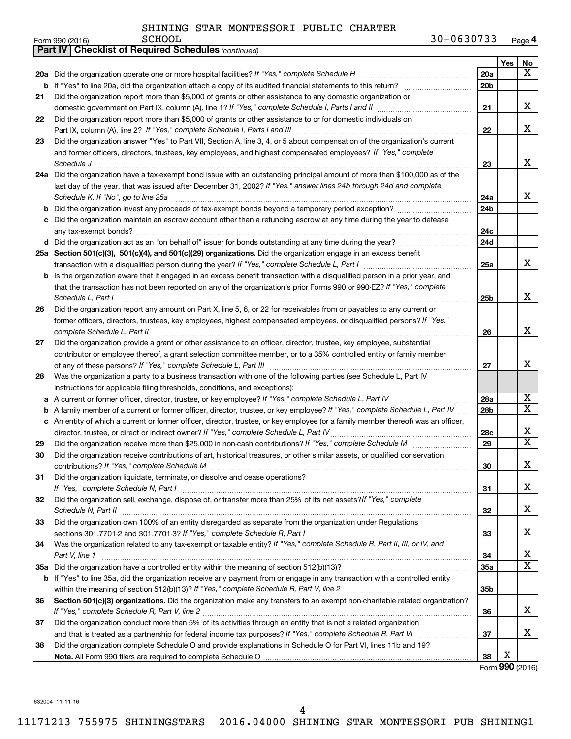|    | <b>Part IV   Checklist of Required Schedules (continued)</b>                                                                        |                 |     |                         |  |  |
|----|-------------------------------------------------------------------------------------------------------------------------------------|-----------------|-----|-------------------------|--|--|
|    |                                                                                                                                     |                 | Yes | No                      |  |  |
|    | 20a Did the organization operate one or more hospital facilities? If "Yes," complete Schedule H                                     | 20a             |     | x                       |  |  |
|    |                                                                                                                                     | 20 <sub>b</sub> |     |                         |  |  |
| 21 | Did the organization report more than \$5,000 of grants or other assistance to any domestic organization or                         |                 |     |                         |  |  |
|    |                                                                                                                                     | 21              |     | x                       |  |  |
| 22 | Did the organization report more than \$5,000 of grants or other assistance to or for domestic individuals on                       |                 |     |                         |  |  |
|    |                                                                                                                                     | 22              |     | x                       |  |  |
| 23 | Did the organization answer "Yes" to Part VII, Section A, line 3, 4, or 5 about compensation of the organization's current          |                 |     |                         |  |  |
|    | and former officers, directors, trustees, key employees, and highest compensated employees? If "Yes," complete                      |                 |     |                         |  |  |
|    | Schedule J <b>Execute Schedule J Execute Schedule J</b>                                                                             | 23              |     | х                       |  |  |
|    | 24a Did the organization have a tax-exempt bond issue with an outstanding principal amount of more than \$100,000 as of the         |                 |     |                         |  |  |
|    | last day of the year, that was issued after December 31, 2002? If "Yes," answer lines 24b through 24d and complete                  |                 |     |                         |  |  |
|    | Schedule K. If "No", go to line 25a                                                                                                 | 24a             |     | x                       |  |  |
| b  |                                                                                                                                     | 24 <sub>b</sub> |     |                         |  |  |
|    | c Did the organization maintain an escrow account other than a refunding escrow at any time during the year to defease              |                 |     |                         |  |  |
|    |                                                                                                                                     |                 |     |                         |  |  |
|    |                                                                                                                                     | 24c<br>24d      |     |                         |  |  |
|    | 25a Section 501(c)(3), 501(c)(4), and 501(c)(29) organizations. Did the organization engage in an excess benefit                    |                 |     |                         |  |  |
|    |                                                                                                                                     | 25a             |     | x                       |  |  |
|    | <b>b</b> Is the organization aware that it engaged in an excess benefit transaction with a disqualified person in a prior year, and |                 |     |                         |  |  |
|    | that the transaction has not been reported on any of the organization's prior Forms 990 or 990-EZ? If "Yes," complete               |                 |     |                         |  |  |
|    | Schedule L, Part I                                                                                                                  | 25b             |     | х                       |  |  |
| 26 | Did the organization report any amount on Part X, line 5, 6, or 22 for receivables from or payables to any current or               |                 |     |                         |  |  |
|    | former officers, directors, trustees, key employees, highest compensated employees, or disqualified persons? If "Yes,"              |                 |     |                         |  |  |
|    | complete Schedule L, Part II                                                                                                        | 26              |     | х                       |  |  |
| 27 | Did the organization provide a grant or other assistance to an officer, director, trustee, key employee, substantial                |                 |     |                         |  |  |
|    | contributor or employee thereof, a grant selection committee member, or to a 35% controlled entity or family member                 |                 |     |                         |  |  |
|    |                                                                                                                                     | 27              |     | х                       |  |  |
| 28 | Was the organization a party to a business transaction with one of the following parties (see Schedule L, Part IV                   |                 |     |                         |  |  |
|    | instructions for applicable filing thresholds, conditions, and exceptions):                                                         |                 |     |                         |  |  |
| а  | A current or former officer, director, trustee, or key employee? If "Yes," complete Schedule L, Part IV                             | 28a             |     | x                       |  |  |
| b  | A family member of a current or former officer, director, trustee, or key employee? If "Yes," complete Schedule L, Part IV          | 28b             |     | $\overline{\textbf{X}}$ |  |  |
|    | c An entity of which a current or former officer, director, trustee, or key employee (or a family member thereof) was an officer,   |                 |     |                         |  |  |
|    | director, trustee, or direct or indirect owner? If "Yes," complete Schedule L, Part IV                                              | 28c             |     | х                       |  |  |
| 29 |                                                                                                                                     | 29              |     | X                       |  |  |
| 30 | Did the organization receive contributions of art, historical treasures, or other similar assets, or qualified conservation         |                 |     |                         |  |  |
|    |                                                                                                                                     | 30              |     | Χ                       |  |  |
| 31 | Did the organization liquidate, terminate, or dissolve and cease operations?                                                        |                 |     |                         |  |  |
|    |                                                                                                                                     | 31              |     | x                       |  |  |
| 32 | Did the organization sell, exchange, dispose of, or transfer more than 25% of its net assets? If "Yes," complete                    |                 |     |                         |  |  |
|    | Schedule N, Part II                                                                                                                 | 32              |     | х                       |  |  |
| 33 | Did the organization own 100% of an entity disregarded as separate from the organization under Regulations                          |                 |     |                         |  |  |
|    |                                                                                                                                     | 33              |     | x                       |  |  |
| 34 | Was the organization related to any tax-exempt or taxable entity? If "Yes," complete Schedule R, Part II, III, or IV, and           |                 |     |                         |  |  |
|    | Part V, line 1                                                                                                                      | 34              |     | х                       |  |  |
|    |                                                                                                                                     | <b>35a</b>      |     | X                       |  |  |
|    | b If "Yes" to line 35a, did the organization receive any payment from or engage in any transaction with a controlled entity         |                 |     |                         |  |  |
|    |                                                                                                                                     | 35b             |     |                         |  |  |
| 36 | Section 501(c)(3) organizations. Did the organization make any transfers to an exempt non-charitable related organization?          |                 |     |                         |  |  |
|    |                                                                                                                                     | 36              |     | x                       |  |  |
| 37 | Did the organization conduct more than 5% of its activities through an entity that is not a related organization                    |                 |     |                         |  |  |
|    |                                                                                                                                     | 37              |     | x                       |  |  |
| 38 | Did the organization complete Schedule O and provide explanations in Schedule O for Part VI, lines 11b and 19?                      |                 |     |                         |  |  |
|    |                                                                                                                                     | 38              | X   |                         |  |  |

Form (2016) **990**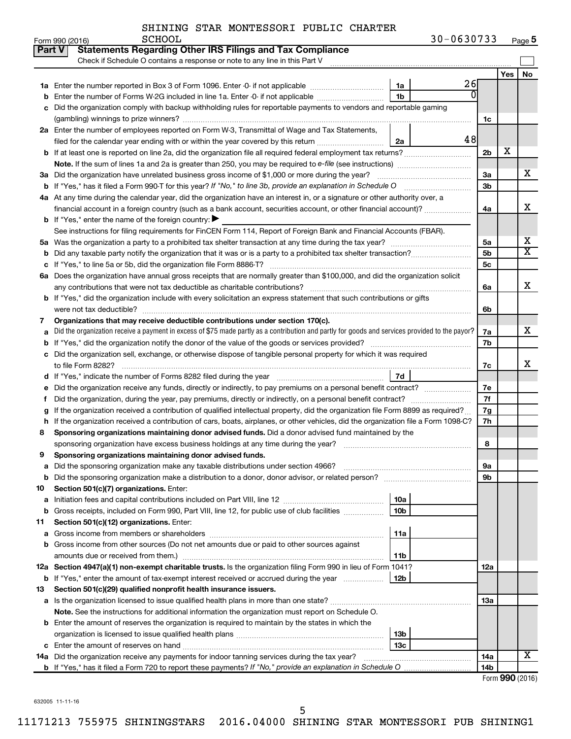|               | <b>SCHOOL</b><br>Form 990 (2016)                                                                                                                | 30-0630733     |                 |     | Page 5                  |
|---------------|-------------------------------------------------------------------------------------------------------------------------------------------------|----------------|-----------------|-----|-------------------------|
| <b>Part V</b> | <b>Statements Regarding Other IRS Filings and Tax Compliance</b>                                                                                |                |                 |     |                         |
|               | Check if Schedule O contains a response or note to any line in this Part V                                                                      |                |                 |     |                         |
|               |                                                                                                                                                 |                |                 | Yes | No                      |
| 1a            | Enter the number reported in Box 3 of Form 1096. Enter -0- if not applicable<br>1a                                                              | 26             |                 |     |                         |
| b             | 1 <sub>b</sub><br>Enter the number of Forms W-2G included in line 1a. Enter -0- if not applicable                                               | $\overline{0}$ |                 |     |                         |
| с             | Did the organization comply with backup withholding rules for reportable payments to vendors and reportable gaming                              |                |                 |     |                         |
|               |                                                                                                                                                 |                | 1c              |     |                         |
|               | 2a Enter the number of employees reported on Form W-3, Transmittal of Wage and Tax Statements,                                                  |                |                 |     |                         |
|               | filed for the calendar year ending with or within the year covered by this return<br>2a                                                         | 48             |                 |     |                         |
| b             |                                                                                                                                                 |                | 2 <sub>b</sub>  | X   |                         |
|               |                                                                                                                                                 |                |                 |     |                         |
|               | 3a Did the organization have unrelated business gross income of \$1,000 or more during the year?                                                |                | За              |     | х                       |
|               |                                                                                                                                                 |                | 3 <sub>b</sub>  |     |                         |
|               | 4a At any time during the calendar year, did the organization have an interest in, or a signature or other authority over, a                    |                |                 |     |                         |
|               | financial account in a foreign country (such as a bank account, securities account, or other financial account)?                                |                | 4a              |     | x                       |
|               | <b>b</b> If "Yes," enter the name of the foreign country: $\blacktriangleright$                                                                 |                |                 |     |                         |
|               | See instructions for filing requirements for FinCEN Form 114, Report of Foreign Bank and Financial Accounts (FBAR).                             |                |                 |     |                         |
| 5a            |                                                                                                                                                 |                | 5a              |     | х                       |
| b             |                                                                                                                                                 |                | 5 <sub>b</sub>  |     | $\overline{\texttt{X}}$ |
| с             |                                                                                                                                                 |                | 5 <sub>c</sub>  |     |                         |
|               | 6a Does the organization have annual gross receipts that are normally greater than \$100,000, and did the organization solicit                  |                |                 |     |                         |
|               |                                                                                                                                                 |                | 6а              |     | x                       |
|               | <b>b</b> If "Yes," did the organization include with every solicitation an express statement that such contributions or gifts                   |                |                 |     |                         |
|               | were not tax deductible?                                                                                                                        |                | 6b              |     |                         |
| 7             | Organizations that may receive deductible contributions under section 170(c).                                                                   |                |                 |     |                         |
| a             | Did the organization receive a payment in excess of \$75 made partly as a contribution and partly for goods and services provided to the payor? |                | 7a              |     | X                       |
| b             |                                                                                                                                                 |                | 7b              |     |                         |
| с             | Did the organization sell, exchange, or otherwise dispose of tangible personal property for which it was required                               |                |                 |     |                         |
|               |                                                                                                                                                 |                | 7c              |     | x                       |
| d             | 7d                                                                                                                                              |                |                 |     |                         |
| е             |                                                                                                                                                 |                | 7е              |     |                         |
| f             | Did the organization, during the year, pay premiums, directly or indirectly, on a personal benefit contract?                                    |                | 7f              |     |                         |
| g             | If the organization received a contribution of qualified intellectual property, did the organization file Form 8899 as required?                |                | 7g              |     |                         |
| h             | If the organization received a contribution of cars, boats, airplanes, or other vehicles, did the organization file a Form 1098-C?              |                | 7h              |     |                         |
| 8             | Sponsoring organizations maintaining donor advised funds. Did a donor advised fund maintained by the                                            |                |                 |     |                         |
|               |                                                                                                                                                 |                | 8               |     |                         |
|               | Sponsoring organizations maintaining donor advised funds.                                                                                       |                |                 |     |                         |
| а             | Did the sponsoring organization make any taxable distributions under section 4966?                                                              |                | 9а              |     |                         |
| b             | Did the sponsoring organization make a distribution to a donor, donor advisor, or related person?                                               |                | 9b              |     |                         |
| 10            | Section 501(c)(7) organizations. Enter:                                                                                                         |                |                 |     |                         |
| a             | 10a                                                                                                                                             |                |                 |     |                         |
| b             | 10 <sub>b</sub><br>Gross receipts, included on Form 990, Part VIII, line 12, for public use of club facilities                                  |                |                 |     |                         |
| 11            | Section 501(c)(12) organizations. Enter:                                                                                                        |                |                 |     |                         |
| а             | 11a<br>Gross income from members or shareholders<br>Gross income from other sources (Do not net amounts due or paid to other sources against    |                |                 |     |                         |
| b             |                                                                                                                                                 |                |                 |     |                         |
|               | 11b<br>12a Section 4947(a)(1) non-exempt charitable trusts. Is the organization filing Form 990 in lieu of Form 1041?                           |                | 12a             |     |                         |
|               | 12b<br><b>b</b> If "Yes," enter the amount of tax-exempt interest received or accrued during the year                                           |                |                 |     |                         |
| 13            | Section 501(c)(29) qualified nonprofit health insurance issuers.                                                                                |                |                 |     |                         |
|               | a Is the organization licensed to issue qualified health plans in more than one state?                                                          |                | 13a             |     |                         |
|               | Note. See the instructions for additional information the organization must report on Schedule O.                                               |                |                 |     |                         |
|               | <b>b</b> Enter the amount of reserves the organization is required to maintain by the states in which the                                       |                |                 |     |                         |
|               | 13b                                                                                                                                             |                |                 |     |                         |
|               | 13 <sub>c</sub><br><b>c</b> Enter the amount of reserves on hand                                                                                |                |                 |     |                         |
|               | 14a Did the organization receive any payments for indoor tanning services during the tax year?                                                  |                | 14a             |     | X                       |
|               |                                                                                                                                                 |                | 14 <sub>b</sub> |     |                         |
|               |                                                                                                                                                 |                |                 |     |                         |

Form (2016) **990**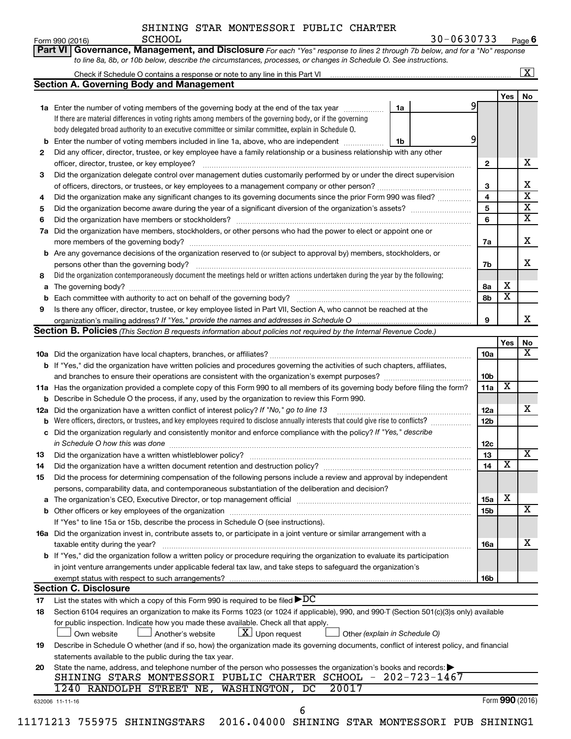|                                   | Part VI Governance, Management, and Disclosure For each "Yes" response to lines 2 through 7b below, and for a "No" response                                                                                                                     |                         |                         |                         |
|-----------------------------------|-------------------------------------------------------------------------------------------------------------------------------------------------------------------------------------------------------------------------------------------------|-------------------------|-------------------------|-------------------------|
|                                   | to line 8a, 8b, or 10b below, describe the circumstances, processes, or changes in Schedule O. See instructions.                                                                                                                                |                         |                         |                         |
|                                   |                                                                                                                                                                                                                                                 |                         |                         | $\overline{\mathbf{X}}$ |
|                                   | <b>Section A. Governing Body and Management</b>                                                                                                                                                                                                 |                         |                         |                         |
|                                   |                                                                                                                                                                                                                                                 |                         | Yes                     | No                      |
|                                   | 1a<br><b>1a</b> Enter the number of voting members of the governing body at the end of the tax year <i>manumum</i>                                                                                                                              | 91                      |                         |                         |
|                                   | If there are material differences in voting rights among members of the governing body, or if the governing                                                                                                                                     |                         |                         |                         |
|                                   | body delegated broad authority to an executive committee or similar committee, explain in Schedule O.                                                                                                                                           |                         |                         |                         |
| b                                 | Enter the number of voting members included in line 1a, above, who are independent<br>1b                                                                                                                                                        | 9                       |                         |                         |
| 2                                 | Did any officer, director, trustee, or key employee have a family relationship or a business relationship with any other                                                                                                                        |                         |                         |                         |
|                                   |                                                                                                                                                                                                                                                 | $\mathbf{2}$            |                         |                         |
| 3                                 | Did the organization delegate control over management duties customarily performed by or under the direct supervision                                                                                                                           |                         |                         |                         |
|                                   |                                                                                                                                                                                                                                                 | 3                       |                         |                         |
| 4                                 | Did the organization make any significant changes to its governing documents since the prior Form 990 was filed?                                                                                                                                | $\overline{\mathbf{4}}$ |                         |                         |
| 5                                 |                                                                                                                                                                                                                                                 | 5                       |                         |                         |
| 6                                 |                                                                                                                                                                                                                                                 | 6                       |                         |                         |
| 7a                                | Did the organization have members, stockholders, or other persons who had the power to elect or appoint one or                                                                                                                                  |                         |                         |                         |
|                                   |                                                                                                                                                                                                                                                 | 7a                      |                         |                         |
| b                                 | Are any governance decisions of the organization reserved to (or subject to approval by) members, stockholders, or                                                                                                                              |                         |                         |                         |
|                                   | persons other than the governing body?                                                                                                                                                                                                          | 7b                      |                         |                         |
| 8                                 | Did the organization contemporaneously document the meetings held or written actions undertaken during the year by the following:                                                                                                               |                         |                         |                         |
| а                                 |                                                                                                                                                                                                                                                 | 8а                      | х                       |                         |
|                                   |                                                                                                                                                                                                                                                 | 8b                      | $\overline{\textbf{x}}$ |                         |
| 9                                 | Is there any officer, director, trustee, or key employee listed in Part VII, Section A, who cannot be reached at the                                                                                                                            |                         |                         |                         |
|                                   | organization's mailing address? If "Yes," provide the names and addresses in Schedule O                                                                                                                                                         | 9                       |                         |                         |
|                                   | Section B. Policies (This Section B requests information about policies not required by the Internal Revenue Code.)                                                                                                                             |                         |                         |                         |
|                                   |                                                                                                                                                                                                                                                 |                         | Yes                     |                         |
|                                   |                                                                                                                                                                                                                                                 | 10a                     |                         |                         |
|                                   | <b>b</b> If "Yes," did the organization have written policies and procedures governing the activities of such chapters, affiliates,                                                                                                             |                         |                         |                         |
|                                   |                                                                                                                                                                                                                                                 |                         |                         |                         |
|                                   |                                                                                                                                                                                                                                                 | 10 <sub>b</sub>         |                         |                         |
|                                   | 11a Has the organization provided a complete copy of this Form 990 to all members of its governing body before filing the form?                                                                                                                 | 11a                     | х                       |                         |
|                                   | Describe in Schedule O the process, if any, used by the organization to review this Form 990.                                                                                                                                                   |                         |                         |                         |
|                                   | Did the organization have a written conflict of interest policy? If "No," go to line 13                                                                                                                                                         | 12a                     |                         |                         |
|                                   | Were officers, directors, or trustees, and key employees required to disclose annually interests that could give rise to conflicts?                                                                                                             | 12b                     |                         |                         |
| с                                 | Did the organization regularly and consistently monitor and enforce compliance with the policy? If "Yes," describe                                                                                                                              |                         |                         |                         |
|                                   | in Schedule O how this was done                                                                                                                                                                                                                 | 12c                     |                         |                         |
|                                   | Did the organization have a written whistleblower policy?                                                                                                                                                                                       | 13                      |                         |                         |
|                                   |                                                                                                                                                                                                                                                 | 14                      | $\overline{\textbf{x}}$ |                         |
|                                   | Did the process for determining compensation of the following persons include a review and approval by independent                                                                                                                              |                         |                         |                         |
|                                   | persons, comparability data, and contemporaneous substantiation of the deliberation and decision?                                                                                                                                               |                         | х                       |                         |
| а                                 |                                                                                                                                                                                                                                                 | <b>15a</b><br>15b       |                         |                         |
| b                                 |                                                                                                                                                                                                                                                 |                         |                         |                         |
|                                   | If "Yes" to line 15a or 15b, describe the process in Schedule O (see instructions).                                                                                                                                                             |                         |                         |                         |
|                                   | 16a Did the organization invest in, contribute assets to, or participate in a joint venture or similar arrangement with a                                                                                                                       | <b>16a</b>              |                         |                         |
|                                   | taxable entity during the year?                                                                                                                                                                                                                 |                         |                         |                         |
|                                   | b If "Yes," did the organization follow a written policy or procedure requiring the organization to evaluate its participation                                                                                                                  |                         |                         |                         |
|                                   | in joint venture arrangements under applicable federal tax law, and take steps to safeguard the organization's                                                                                                                                  | 16b                     |                         |                         |
|                                   | exempt status with respect to such arrangements?                                                                                                                                                                                                |                         |                         |                         |
|                                   | <b>Section C. Disclosure</b>                                                                                                                                                                                                                    |                         |                         |                         |
|                                   | List the states with which a copy of this Form 990 is required to be filed $\blacktriangleright DC$<br>Section 6104 requires an organization to make its Forms 1023 (or 1024 if applicable), 990, and 990-T (Section 501(c)(3)s only) available |                         |                         |                         |
| 12a<br>13<br>14<br>15<br>17<br>18 | for public inspection. Indicate how you made these available. Check all that apply.                                                                                                                                                             |                         |                         |                         |
|                                   | $\lfloor x \rfloor$ Upon request<br>Own website<br>Another's website<br>Other (explain in Schedule O)                                                                                                                                           |                         |                         |                         |
| 19                                | Describe in Schedule O whether (and if so, how) the organization made its governing documents, conflict of interest policy, and financial                                                                                                       |                         |                         |                         |
|                                   | statements available to the public during the tax year.                                                                                                                                                                                         |                         |                         |                         |
| 20                                |                                                                                                                                                                                                                                                 |                         |                         |                         |
|                                   | State the name, address, and telephone number of the person who possesses the organization's books and records:<br>SHINING STARS MONTESSORI PUBLIC CHARTER SCHOOL - 202-723-1467                                                                |                         |                         |                         |
|                                   | 20017<br>1240 RANDOLPH STREET NE, WASHINGTON, DC                                                                                                                                                                                                |                         |                         |                         |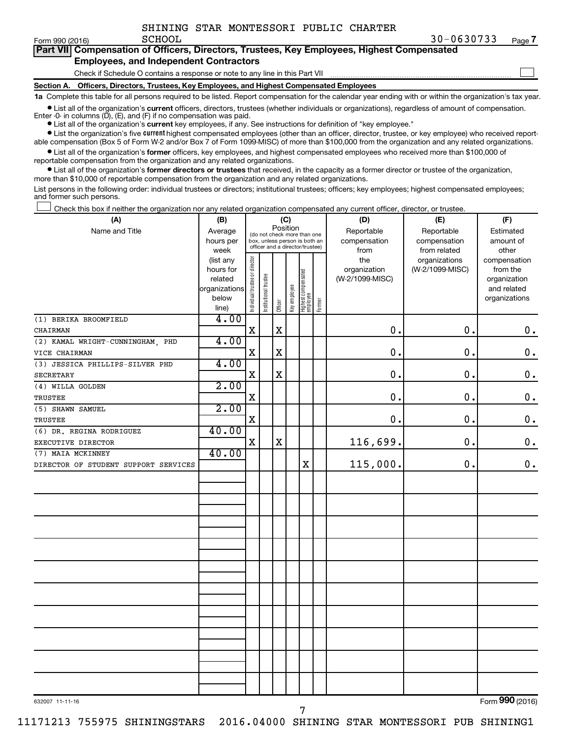Form 990  $(2016)$  SCHOOL

 $\Box$ 

| Part VII Compensation of Officers, Directors, Trustees, Key Employees, Highest Compensated |  |
|--------------------------------------------------------------------------------------------|--|
| <b>Employees, and Independent Contractors</b>                                              |  |

Check if Schedule O contains a response or note to any line in this Part VII

**Section A. Officers, Directors, Trustees, Key Employees, and Highest Compensated Employees**

**1a**  Complete this table for all persons required to be listed. Report compensation for the calendar year ending with or within the organization's tax year.

**•** List all of the organization's current officers, directors, trustees (whether individuals or organizations), regardless of amount of compensation. Enter -0- in columns  $(D)$ ,  $(E)$ , and  $(F)$  if no compensation was paid.

**•** List all of the organization's **current** key employees, if any. See instructions for definition of "key employee."

**•** List the organization's five current highest compensated employees (other than an officer, director, trustee, or key employee) who received reportable compensation (Box 5 of Form W-2 and/or Box 7 of Form 1099-MISC) of more than \$100,000 from the organization and any related organizations.

**•** List all of the organization's former officers, key employees, and highest compensated employees who received more than \$100,000 of reportable compensation from the organization and any related organizations.

**•** List all of the organization's former directors or trustees that received, in the capacity as a former director or trustee of the organization, more than \$10,000 of reportable compensation from the organization and any related organizations.

List persons in the following order: individual trustees or directors; institutional trustees; officers; key employees; highest compensated employees; and former such persons.

|  |  |  | Check this box if neither the organization nor any related organization compensated any current officer, director, or trustee. |  |  |
|--|--|--|--------------------------------------------------------------------------------------------------------------------------------|--|--|
|  |  |  |                                                                                                                                |  |  |

| (A)                                  | (B)               |                                |                                                                  | (C)         |              |                                 |        | (D)             | (E)                          | (F)                   |
|--------------------------------------|-------------------|--------------------------------|------------------------------------------------------------------|-------------|--------------|---------------------------------|--------|-----------------|------------------------------|-----------------------|
| Name and Title                       | Average           |                                | (do not check more than one                                      |             | Position     |                                 |        | Reportable      | Reportable                   | Estimated             |
|                                      | hours per         |                                | box, unless person is both an<br>officer and a director/trustee) |             |              |                                 |        | compensation    | compensation<br>from related | amount of             |
|                                      | week<br>(list any |                                |                                                                  |             |              |                                 |        | from<br>the     | organizations                | other<br>compensation |
|                                      | hours for         |                                |                                                                  |             |              |                                 |        | organization    | (W-2/1099-MISC)              | from the              |
|                                      | related           |                                |                                                                  |             |              |                                 |        | (W-2/1099-MISC) |                              | organization          |
|                                      | organizations     |                                |                                                                  |             |              |                                 |        |                 |                              | and related           |
|                                      | below             | Individual trustee or director | Institutional trustee                                            | Officer     | Key employee | Highest compensated<br>employee | Former |                 |                              | organizations         |
|                                      | line)             |                                |                                                                  |             |              |                                 |        |                 |                              |                       |
| (1) BERIKA BROOMFIELD                | 4.00              |                                |                                                                  |             |              |                                 |        |                 |                              |                       |
| CHAIRMAN                             |                   | $\mathbf X$                    |                                                                  | $\mathbf X$ |              |                                 |        | $\mathbf 0$ .   | 0.                           | $\mathbf 0$ .         |
| (2) KAMAL WRIGHT-CUNNINGHAM, PHD     | 4.00              |                                |                                                                  |             |              |                                 |        |                 |                              |                       |
| VICE CHAIRMAN                        |                   | $\mathbf X$                    |                                                                  | $\rm X$     |              |                                 |        | $\mathbf 0$ .   | $\mathbf 0$ .                | $\mathbf 0$ .         |
| (3) JESSICA PHILLIPS-SILVER PHD      | 4.00              |                                |                                                                  |             |              |                                 |        |                 |                              |                       |
| <b>SECRETARY</b>                     |                   | X                              |                                                                  | $\mathbf X$ |              |                                 |        | $\mathbf 0$ .   | 0.                           | $\mathbf 0$ .         |
| (4) WILLA GOLDEN                     | 2.00              |                                |                                                                  |             |              |                                 |        |                 |                              |                       |
| <b>TRUSTEE</b>                       |                   | $\mathbf X$                    |                                                                  |             |              |                                 |        | 0.              | 0.                           | $\mathbf 0$ .         |
| (5) SHAWN SAMUEL                     | 2.00              |                                |                                                                  |             |              |                                 |        |                 |                              |                       |
| TRUSTEE                              |                   | $\mathbf X$                    |                                                                  |             |              |                                 |        | $\mathbf 0$ .   | 0.                           | $\mathbf 0$ .         |
| (6) DR. REGINA RODRIGUEZ             | 40.00             |                                |                                                                  |             |              |                                 |        |                 |                              |                       |
| EXECUTIVE DIRECTOR                   |                   | X                              |                                                                  | $\mathbf X$ |              |                                 |        | 116,699.        | $\mathbf 0$ .                | $0$ .                 |
| (7) MAIA MCKINNEY                    | 40.00             |                                |                                                                  |             |              |                                 |        |                 |                              |                       |
| DIRECTOR OF STUDENT SUPPORT SERVICES |                   |                                |                                                                  |             |              | $\mathbf X$                     |        | 115,000.        | 0.                           | $\mathbf 0$ .         |
|                                      |                   |                                |                                                                  |             |              |                                 |        |                 |                              |                       |
|                                      |                   |                                |                                                                  |             |              |                                 |        |                 |                              |                       |
|                                      |                   |                                |                                                                  |             |              |                                 |        |                 |                              |                       |
|                                      |                   |                                |                                                                  |             |              |                                 |        |                 |                              |                       |
|                                      |                   |                                |                                                                  |             |              |                                 |        |                 |                              |                       |
|                                      |                   |                                |                                                                  |             |              |                                 |        |                 |                              |                       |
|                                      |                   |                                |                                                                  |             |              |                                 |        |                 |                              |                       |
|                                      |                   |                                |                                                                  |             |              |                                 |        |                 |                              |                       |
|                                      |                   |                                |                                                                  |             |              |                                 |        |                 |                              |                       |
|                                      |                   |                                |                                                                  |             |              |                                 |        |                 |                              |                       |
|                                      |                   |                                |                                                                  |             |              |                                 |        |                 |                              |                       |
|                                      |                   |                                |                                                                  |             |              |                                 |        |                 |                              |                       |
|                                      |                   |                                |                                                                  |             |              |                                 |        |                 |                              |                       |
|                                      |                   |                                |                                                                  |             |              |                                 |        |                 |                              |                       |
|                                      |                   |                                |                                                                  |             |              |                                 |        |                 |                              |                       |
|                                      |                   |                                |                                                                  |             |              |                                 |        |                 |                              |                       |
|                                      |                   |                                |                                                                  |             |              |                                 |        |                 |                              |                       |
|                                      |                   |                                |                                                                  |             |              |                                 |        |                 |                              |                       |
|                                      |                   |                                |                                                                  |             |              |                                 |        |                 |                              |                       |
|                                      |                   |                                |                                                                  |             |              |                                 |        |                 |                              |                       |

632007 11-11-16

Form (2016) **990**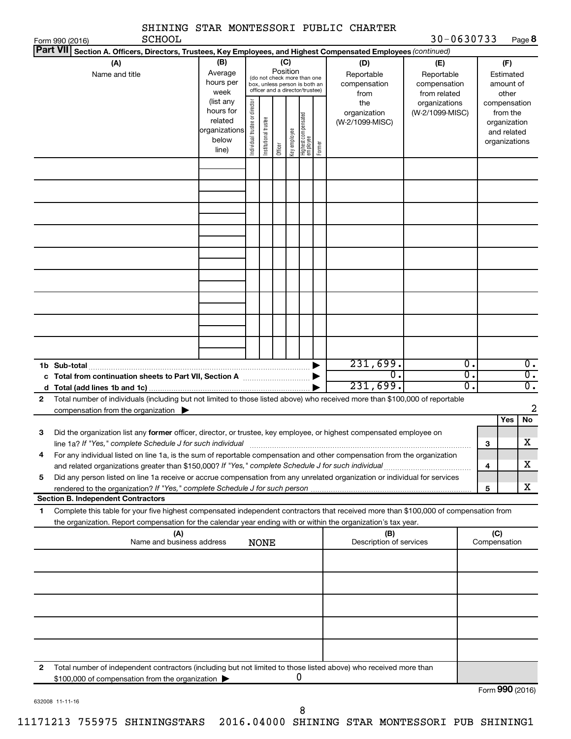|                 | SCHOOL<br>Form 990 (2016)                                                                                                                                                                                                       |                                                         |                                |                                                                                                 |                 |              |                                 |        | DAINING DIAK MUNIBDDUKI PUBILU UAKIBK            | 30-0630733                                                         |          |                                                          | Page 8                               |
|-----------------|---------------------------------------------------------------------------------------------------------------------------------------------------------------------------------------------------------------------------------|---------------------------------------------------------|--------------------------------|-------------------------------------------------------------------------------------------------|-----------------|--------------|---------------------------------|--------|--------------------------------------------------|--------------------------------------------------------------------|----------|----------------------------------------------------------|--------------------------------------|
| <b>Part VII</b> | Section A. Officers, Directors, Trustees, Key Employees, and Highest Compensated Employees (continued)                                                                                                                          |                                                         |                                |                                                                                                 |                 |              |                                 |        |                                                  |                                                                    |          |                                                          |                                      |
|                 | (A)<br>Name and title                                                                                                                                                                                                           | (B)<br>Average<br>hours per<br>week<br>(list any        |                                | (do not check more than one<br>box, unless person is both an<br>officer and a director/trustee) | (C)<br>Position |              |                                 |        | (D)<br>Reportable<br>compensation<br>from<br>the | (E)<br>Reportable<br>compensation<br>from related<br>organizations |          | (F)<br>Estimated<br>amount of<br>other<br>compensation   |                                      |
|                 |                                                                                                                                                                                                                                 | hours for<br>related<br>organizations<br>below<br>line) | Individual trustee or director | Institutional trustee                                                                           | Officer         | Key employee | Highest compensated<br>employee | Former | organization<br>(W-2/1099-MISC)                  | (W-2/1099-MISC)                                                    |          | from the<br>organization<br>and related<br>organizations |                                      |
|                 |                                                                                                                                                                                                                                 |                                                         |                                |                                                                                                 |                 |              |                                 |        |                                                  |                                                                    |          |                                                          |                                      |
|                 |                                                                                                                                                                                                                                 |                                                         |                                |                                                                                                 |                 |              |                                 |        |                                                  |                                                                    |          |                                                          |                                      |
|                 |                                                                                                                                                                                                                                 |                                                         |                                |                                                                                                 |                 |              |                                 |        |                                                  |                                                                    |          |                                                          |                                      |
|                 |                                                                                                                                                                                                                                 |                                                         |                                |                                                                                                 |                 |              |                                 |        |                                                  |                                                                    |          |                                                          |                                      |
|                 |                                                                                                                                                                                                                                 |                                                         |                                |                                                                                                 |                 |              |                                 |        |                                                  |                                                                    |          |                                                          |                                      |
|                 | 1b Sub-total                                                                                                                                                                                                                    |                                                         |                                |                                                                                                 |                 |              |                                 |        | 231,699.                                         |                                                                    | Ο.       |                                                          | $\overline{0}$ .                     |
|                 |                                                                                                                                                                                                                                 |                                                         |                                |                                                                                                 |                 |              |                                 |        | $\overline{0}$ .<br>231,699.                     |                                                                    | σ.<br>σ. |                                                          | $\overline{0}$ .<br>$\overline{0}$ . |
| $\mathbf{2}$    | Total number of individuals (including but not limited to those listed above) who received more than \$100,000 of reportable                                                                                                    |                                                         |                                |                                                                                                 |                 |              |                                 |        |                                                  |                                                                    |          |                                                          |                                      |
|                 | compensation from the organization $\blacktriangleright$                                                                                                                                                                        |                                                         |                                |                                                                                                 |                 |              |                                 |        |                                                  |                                                                    |          | Yes                                                      | 2<br>No                              |
| з               | Did the organization list any former officer, director, or trustee, key employee, or highest compensated employee on<br>line 1a? If "Yes," complete Schedule J for such individual                                              |                                                         |                                |                                                                                                 |                 |              |                                 |        |                                                  |                                                                    |          | З                                                        | X                                    |
| 4               | For any individual listed on line 1a, is the sum of reportable compensation and other compensation from the organization<br>and related organizations greater than \$150,000? If "Yes," complete Schedule J for such individual |                                                         |                                |                                                                                                 |                 |              |                                 |        |                                                  |                                                                    |          | 4                                                        | х                                    |
| 5               | Did any person listed on line 1a receive or accrue compensation from any unrelated organization or individual for services                                                                                                      |                                                         |                                |                                                                                                 |                 |              |                                 |        |                                                  |                                                                    |          | 5                                                        | х                                    |
| 1               | <b>Section B. Independent Contractors</b><br>Complete this table for your five highest compensated independent contractors that received more than \$100,000 of compensation from                                               |                                                         |                                |                                                                                                 |                 |              |                                 |        |                                                  |                                                                    |          |                                                          |                                      |
|                 | the organization. Report compensation for the calendar year ending with or within the organization's tax year.                                                                                                                  |                                                         |                                |                                                                                                 |                 |              |                                 |        |                                                  |                                                                    |          |                                                          |                                      |
|                 | (A)<br>Name and business address                                                                                                                                                                                                |                                                         |                                | <b>NONE</b>                                                                                     |                 |              |                                 |        | (B)<br>Description of services                   |                                                                    |          | (C)<br>Compensation                                      |                                      |
|                 |                                                                                                                                                                                                                                 |                                                         |                                |                                                                                                 |                 |              |                                 |        |                                                  |                                                                    |          |                                                          |                                      |
|                 |                                                                                                                                                                                                                                 |                                                         |                                |                                                                                                 |                 |              |                                 |        |                                                  |                                                                    |          |                                                          |                                      |
|                 |                                                                                                                                                                                                                                 |                                                         |                                |                                                                                                 |                 |              |                                 |        |                                                  |                                                                    |          |                                                          |                                      |
| 2               | Total number of independent contractors (including but not limited to those listed above) who received more than<br>\$100,000 of compensation from the organization                                                             |                                                         |                                |                                                                                                 |                 |              | O                               |        |                                                  |                                                                    |          |                                                          |                                      |
|                 |                                                                                                                                                                                                                                 |                                                         |                                |                                                                                                 |                 |              |                                 |        |                                                  |                                                                    |          | Form 990 (2016)                                          |                                      |

GUITNING GEAR MONERCCORT DUDITG CUIADERD

632008 11-11-16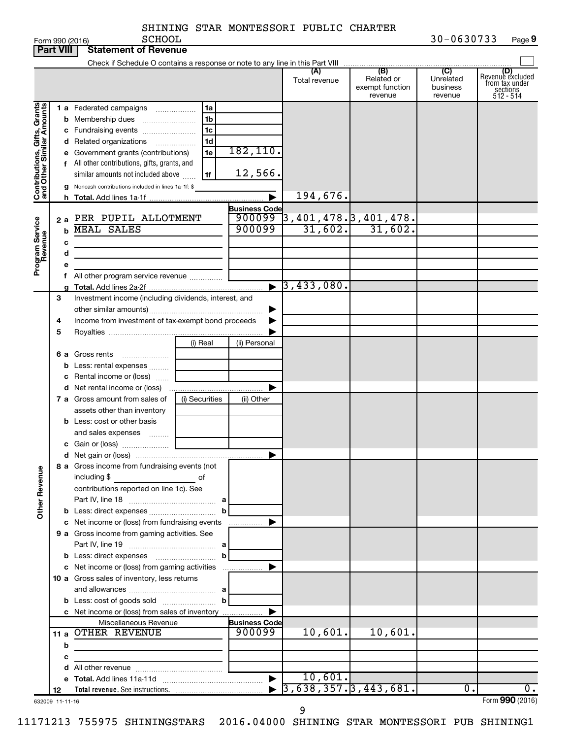| SHINING STAR MONTESSORI PUBLIC CHARTER |  |  |  |  |  |
|----------------------------------------|--|--|--|--|--|
|----------------------------------------|--|--|--|--|--|

|                                                           | <b>Part VIII</b> | <b>Statement of Revenue</b>                                                                                                                                                                                                                                                                                                                                                                                                                                                                                             |                |                                |                                            |                                                 |                                                    |                                                                    |
|-----------------------------------------------------------|------------------|-------------------------------------------------------------------------------------------------------------------------------------------------------------------------------------------------------------------------------------------------------------------------------------------------------------------------------------------------------------------------------------------------------------------------------------------------------------------------------------------------------------------------|----------------|--------------------------------|--------------------------------------------|-------------------------------------------------|----------------------------------------------------|--------------------------------------------------------------------|
|                                                           |                  |                                                                                                                                                                                                                                                                                                                                                                                                                                                                                                                         |                |                                |                                            |                                                 |                                                    |                                                                    |
|                                                           |                  |                                                                                                                                                                                                                                                                                                                                                                                                                                                                                                                         |                |                                | (A)<br>Total revenue                       | (B)<br>Related or<br>exempt function<br>revenue | $\overline{C}$<br>Unrelated<br>business<br>revenue | (D)<br>Revenue excluded<br>from tax under<br>sections<br>512 - 514 |
|                                                           |                  | 1 a Federated campaigns                                                                                                                                                                                                                                                                                                                                                                                                                                                                                                 | 1a             |                                |                                            |                                                 |                                                    |                                                                    |
|                                                           |                  | <b>b</b> Membership dues                                                                                                                                                                                                                                                                                                                                                                                                                                                                                                | 1 <sub>b</sub> |                                |                                            |                                                 |                                                    |                                                                    |
|                                                           |                  | c Fundraising events                                                                                                                                                                                                                                                                                                                                                                                                                                                                                                    | 1 <sub>c</sub> |                                |                                            |                                                 |                                                    |                                                                    |
| Contributions, Gifts, Grants<br>and Other Similar Amounts |                  | d Related organizations                                                                                                                                                                                                                                                                                                                                                                                                                                                                                                 | 1d             |                                |                                            |                                                 |                                                    |                                                                    |
|                                                           |                  | e Government grants (contributions)                                                                                                                                                                                                                                                                                                                                                                                                                                                                                     | 1e             | 182,110.                       |                                            |                                                 |                                                    |                                                                    |
|                                                           |                  | f All other contributions, gifts, grants, and                                                                                                                                                                                                                                                                                                                                                                                                                                                                           |                |                                |                                            |                                                 |                                                    |                                                                    |
|                                                           |                  | similar amounts not included above                                                                                                                                                                                                                                                                                                                                                                                                                                                                                      | 1f             | 12,566.                        |                                            |                                                 |                                                    |                                                                    |
|                                                           | g                | Noncash contributions included in lines 1a-1f: \$                                                                                                                                                                                                                                                                                                                                                                                                                                                                       |                |                                |                                            |                                                 |                                                    |                                                                    |
|                                                           |                  |                                                                                                                                                                                                                                                                                                                                                                                                                                                                                                                         |                |                                | 194,676.                                   |                                                 |                                                    |                                                                    |
|                                                           |                  |                                                                                                                                                                                                                                                                                                                                                                                                                                                                                                                         |                | <b>Business Code</b>           |                                            |                                                 |                                                    |                                                                    |
|                                                           | 2a               | PER PUPIL ALLOTMENT                                                                                                                                                                                                                                                                                                                                                                                                                                                                                                     |                | 900099                         | $3,401,478.$ $3,401,478.$                  |                                                 |                                                    |                                                                    |
|                                                           | b                | <b>MEAL SALES</b>                                                                                                                                                                                                                                                                                                                                                                                                                                                                                                       |                | 900099                         | 31,602.                                    | 31,602.                                         |                                                    |                                                                    |
|                                                           | с                |                                                                                                                                                                                                                                                                                                                                                                                                                                                                                                                         |                |                                |                                            |                                                 |                                                    |                                                                    |
|                                                           | d                | the control of the control of the control of                                                                                                                                                                                                                                                                                                                                                                                                                                                                            |                |                                |                                            |                                                 |                                                    |                                                                    |
| Program Service<br>Revenue                                |                  |                                                                                                                                                                                                                                                                                                                                                                                                                                                                                                                         |                |                                |                                            |                                                 |                                                    |                                                                    |
|                                                           |                  | All other program service revenue                                                                                                                                                                                                                                                                                                                                                                                                                                                                                       |                |                                |                                            |                                                 |                                                    |                                                                    |
|                                                           |                  |                                                                                                                                                                                                                                                                                                                                                                                                                                                                                                                         |                | $\blacktriangleright$          | 3, 433, 080.                               |                                                 |                                                    |                                                                    |
|                                                           | 3                | Investment income (including dividends, interest, and                                                                                                                                                                                                                                                                                                                                                                                                                                                                   |                |                                |                                            |                                                 |                                                    |                                                                    |
|                                                           |                  |                                                                                                                                                                                                                                                                                                                                                                                                                                                                                                                         |                |                                |                                            |                                                 |                                                    |                                                                    |
|                                                           | 4                | Income from investment of tax-exempt bond proceeds                                                                                                                                                                                                                                                                                                                                                                                                                                                                      |                |                                |                                            |                                                 |                                                    |                                                                    |
|                                                           | 5                |                                                                                                                                                                                                                                                                                                                                                                                                                                                                                                                         |                |                                |                                            |                                                 |                                                    |                                                                    |
|                                                           |                  |                                                                                                                                                                                                                                                                                                                                                                                                                                                                                                                         | (i) Real       | (ii) Personal                  |                                            |                                                 |                                                    |                                                                    |
|                                                           |                  | 6 a Gross rents                                                                                                                                                                                                                                                                                                                                                                                                                                                                                                         |                |                                |                                            |                                                 |                                                    |                                                                    |
|                                                           |                  | <b>b</b> Less: rental expenses                                                                                                                                                                                                                                                                                                                                                                                                                                                                                          |                |                                |                                            |                                                 |                                                    |                                                                    |
|                                                           |                  | Rental income or (loss)                                                                                                                                                                                                                                                                                                                                                                                                                                                                                                 |                |                                |                                            |                                                 |                                                    |                                                                    |
|                                                           |                  |                                                                                                                                                                                                                                                                                                                                                                                                                                                                                                                         |                |                                |                                            |                                                 |                                                    |                                                                    |
|                                                           |                  | 7 a Gross amount from sales of                                                                                                                                                                                                                                                                                                                                                                                                                                                                                          | (i) Securities | (ii) Other                     |                                            |                                                 |                                                    |                                                                    |
|                                                           |                  | assets other than inventory                                                                                                                                                                                                                                                                                                                                                                                                                                                                                             |                |                                |                                            |                                                 |                                                    |                                                                    |
|                                                           |                  | <b>b</b> Less: cost or other basis                                                                                                                                                                                                                                                                                                                                                                                                                                                                                      |                |                                |                                            |                                                 |                                                    |                                                                    |
|                                                           |                  | and sales expenses                                                                                                                                                                                                                                                                                                                                                                                                                                                                                                      |                |                                |                                            |                                                 |                                                    |                                                                    |
|                                                           |                  |                                                                                                                                                                                                                                                                                                                                                                                                                                                                                                                         |                |                                |                                            |                                                 |                                                    |                                                                    |
|                                                           |                  |                                                                                                                                                                                                                                                                                                                                                                                                                                                                                                                         |                |                                |                                            |                                                 |                                                    |                                                                    |
| <b>Other Revenue</b>                                      |                  | 8 a Gross income from fundraising events (not<br>including \$<br>$\label{eq:2.1} \frac{1}{\sqrt{2}}\left(\frac{1}{\sqrt{2}}\right)^{2} \left(\frac{1}{\sqrt{2}}\right)^{2} \left(\frac{1}{\sqrt{2}}\right)^{2} \left(\frac{1}{\sqrt{2}}\right)^{2} \left(\frac{1}{\sqrt{2}}\right)^{2} \left(\frac{1}{\sqrt{2}}\right)^{2} \left(\frac{1}{\sqrt{2}}\right)^{2} \left(\frac{1}{\sqrt{2}}\right)^{2} \left(\frac{1}{\sqrt{2}}\right)^{2} \left(\frac{1}{\sqrt{2}}\right)^{2} \left(\frac{1}{\sqrt{2}}\right)^{2} \left(\$ | of             |                                |                                            |                                                 |                                                    |                                                                    |
|                                                           |                  | contributions reported on line 1c). See                                                                                                                                                                                                                                                                                                                                                                                                                                                                                 |                |                                |                                            |                                                 |                                                    |                                                                    |
|                                                           |                  |                                                                                                                                                                                                                                                                                                                                                                                                                                                                                                                         |                |                                |                                            |                                                 |                                                    |                                                                    |
|                                                           |                  | <b>b</b> Less: direct expenses <i></i>                                                                                                                                                                                                                                                                                                                                                                                                                                                                                  | b              |                                |                                            |                                                 |                                                    |                                                                    |
|                                                           |                  | c Net income or (loss) from fundraising events                                                                                                                                                                                                                                                                                                                                                                                                                                                                          |                | .                              |                                            |                                                 |                                                    |                                                                    |
|                                                           |                  | 9 a Gross income from gaming activities. See                                                                                                                                                                                                                                                                                                                                                                                                                                                                            |                |                                |                                            |                                                 |                                                    |                                                                    |
|                                                           |                  |                                                                                                                                                                                                                                                                                                                                                                                                                                                                                                                         |                |                                |                                            |                                                 |                                                    |                                                                    |
|                                                           |                  |                                                                                                                                                                                                                                                                                                                                                                                                                                                                                                                         | $\mathbf b$    |                                |                                            |                                                 |                                                    |                                                                    |
|                                                           |                  | c Net income or (loss) from gaming activities                                                                                                                                                                                                                                                                                                                                                                                                                                                                           |                |                                |                                            |                                                 |                                                    |                                                                    |
|                                                           |                  | 10 a Gross sales of inventory, less returns                                                                                                                                                                                                                                                                                                                                                                                                                                                                             |                |                                |                                            |                                                 |                                                    |                                                                    |
|                                                           |                  |                                                                                                                                                                                                                                                                                                                                                                                                                                                                                                                         |                |                                |                                            |                                                 |                                                    |                                                                    |
|                                                           |                  |                                                                                                                                                                                                                                                                                                                                                                                                                                                                                                                         | $\mathbf{b}$   |                                |                                            |                                                 |                                                    |                                                                    |
|                                                           |                  | c Net income or (loss) from sales of inventory                                                                                                                                                                                                                                                                                                                                                                                                                                                                          |                |                                |                                            |                                                 |                                                    |                                                                    |
|                                                           |                  | Miscellaneous Revenue<br>11 a OTHER REVENUE                                                                                                                                                                                                                                                                                                                                                                                                                                                                             |                | <b>Business Code</b><br>900099 | 10,601.                                    | 10,601.                                         |                                                    |                                                                    |
|                                                           |                  |                                                                                                                                                                                                                                                                                                                                                                                                                                                                                                                         |                |                                |                                            |                                                 |                                                    |                                                                    |
|                                                           | b                | <u>and the company of the company of the company of the company of the company of the company of the company of the company of the company of the company of the company of the company of the company of the company of the com</u>                                                                                                                                                                                                                                                                                    |                |                                |                                            |                                                 |                                                    |                                                                    |
|                                                           | с                |                                                                                                                                                                                                                                                                                                                                                                                                                                                                                                                         |                |                                |                                            |                                                 |                                                    |                                                                    |
|                                                           |                  |                                                                                                                                                                                                                                                                                                                                                                                                                                                                                                                         |                |                                | 10,601.                                    |                                                 |                                                    |                                                                    |
|                                                           | 12               |                                                                                                                                                                                                                                                                                                                                                                                                                                                                                                                         |                |                                | $\blacktriangleright$ 3,638,357.3,443,681. |                                                 | 0.                                                 | $\overline{0}$ .                                                   |
|                                                           |                  |                                                                                                                                                                                                                                                                                                                                                                                                                                                                                                                         |                |                                |                                            |                                                 |                                                    | $F_{\text{Orm}}$ QQN (2016)                                        |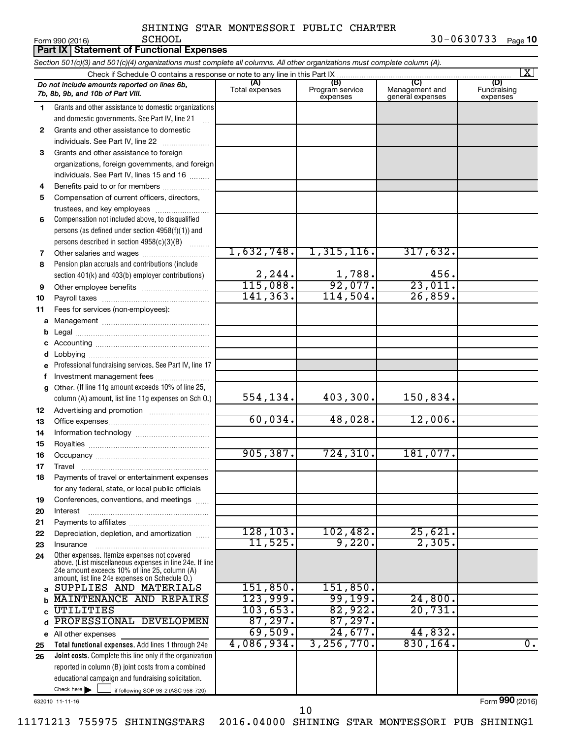|          | Part IX   Statement of Functional Expenses                                                                                 |                         |                                    |                                                      |                                |  |  |  |
|----------|----------------------------------------------------------------------------------------------------------------------------|-------------------------|------------------------------------|------------------------------------------------------|--------------------------------|--|--|--|
|          | Section 501(c)(3) and 501(c)(4) organizations must complete all columns. All other organizations must complete column (A). |                         |                                    |                                                      |                                |  |  |  |
|          | Check if Schedule O contains a response or note to any line in this Part IX                                                |                         |                                    |                                                      | $\vert$ X $\vert$              |  |  |  |
|          | Do not include amounts reported on lines 6b,<br>7b. 8b. 9b. and 10b of Part VIII.                                          | (A)<br>Total expenses   | (B)<br>Program service<br>expenses | $\overline{C}$<br>Management and<br>general expenses | (D)<br>Fundraising<br>expenses |  |  |  |
| 1        | Grants and other assistance to domestic organizations                                                                      |                         |                                    |                                                      |                                |  |  |  |
|          | and domestic governments. See Part IV, line 21                                                                             |                         |                                    |                                                      |                                |  |  |  |
| 2        | Grants and other assistance to domestic                                                                                    |                         |                                    |                                                      |                                |  |  |  |
|          | individuals. See Part IV, line 22                                                                                          |                         |                                    |                                                      |                                |  |  |  |
| 3        | Grants and other assistance to foreign                                                                                     |                         |                                    |                                                      |                                |  |  |  |
|          | organizations, foreign governments, and foreign                                                                            |                         |                                    |                                                      |                                |  |  |  |
|          | individuals. See Part IV, lines 15 and 16                                                                                  |                         |                                    |                                                      |                                |  |  |  |
| 4        | Benefits paid to or for members                                                                                            |                         |                                    |                                                      |                                |  |  |  |
| 5        | Compensation of current officers, directors,                                                                               |                         |                                    |                                                      |                                |  |  |  |
|          | trustees, and key employees                                                                                                |                         |                                    |                                                      |                                |  |  |  |
| 6        | Compensation not included above, to disqualified                                                                           |                         |                                    |                                                      |                                |  |  |  |
|          | persons (as defined under section 4958(f)(1)) and                                                                          |                         |                                    |                                                      |                                |  |  |  |
|          | persons described in section 4958(c)(3)(B)                                                                                 | 1,632,748.              | 1,315,116.                         | 317,632.                                             |                                |  |  |  |
| 7        |                                                                                                                            |                         |                                    |                                                      |                                |  |  |  |
| 8        | Pension plan accruals and contributions (include                                                                           |                         |                                    | 456.                                                 |                                |  |  |  |
| 9        | section 401(k) and 403(b) employer contributions)                                                                          | $\frac{2,244}{115,088}$ | $\frac{1,788}{92,077}$             | 23,011.                                              |                                |  |  |  |
| 10       |                                                                                                                            | 141, 363.               | 114,504.                           | 26,859.                                              |                                |  |  |  |
| 11       | Fees for services (non-employees):                                                                                         |                         |                                    |                                                      |                                |  |  |  |
| a        |                                                                                                                            |                         |                                    |                                                      |                                |  |  |  |
| b        |                                                                                                                            |                         |                                    |                                                      |                                |  |  |  |
|          |                                                                                                                            |                         |                                    |                                                      |                                |  |  |  |
| d        |                                                                                                                            |                         |                                    |                                                      |                                |  |  |  |
|          | Professional fundraising services. See Part IV, line 17                                                                    |                         |                                    |                                                      |                                |  |  |  |
| f        | Investment management fees                                                                                                 |                         |                                    |                                                      |                                |  |  |  |
| g        | Other. (If line 11g amount exceeds 10% of line 25,                                                                         |                         |                                    |                                                      |                                |  |  |  |
|          | column (A) amount, list line 11g expenses on Sch O.)                                                                       | 554,134.                | 403,300.                           | 150,834.                                             |                                |  |  |  |
| 12       |                                                                                                                            |                         |                                    |                                                      |                                |  |  |  |
| 13       |                                                                                                                            | 60,034.                 | 48,028.                            | 12,006.                                              |                                |  |  |  |
| 14       |                                                                                                                            |                         |                                    |                                                      |                                |  |  |  |
| 15       |                                                                                                                            |                         |                                    |                                                      |                                |  |  |  |
| 16       |                                                                                                                            | 905, 387.               | 724, 310.                          | 181,077.                                             |                                |  |  |  |
| 17       | Travel                                                                                                                     |                         |                                    |                                                      |                                |  |  |  |
| 18       | Payments of travel or entertainment expenses                                                                               |                         |                                    |                                                      |                                |  |  |  |
|          | for any federal, state, or local public officials                                                                          |                         |                                    |                                                      |                                |  |  |  |
| 19       | Conferences, conventions, and meetings                                                                                     |                         |                                    |                                                      |                                |  |  |  |
| 20       | Interest                                                                                                                   |                         |                                    |                                                      |                                |  |  |  |
| 21       | Depreciation, depletion, and amortization                                                                                  | 128, 103.               | 102,482.                           | 25,621.                                              |                                |  |  |  |
| 22<br>23 | Insurance                                                                                                                  | 11,525.                 | 9,220.                             | 2,305.                                               |                                |  |  |  |
| 24       | Other expenses. Itemize expenses not covered                                                                               |                         |                                    |                                                      |                                |  |  |  |
|          | above. (List miscellaneous expenses in line 24e. If line                                                                   |                         |                                    |                                                      |                                |  |  |  |
|          | 24e amount exceeds 10% of line 25, column (A)<br>amount, list line 24e expenses on Schedule O.)                            |                         |                                    |                                                      |                                |  |  |  |
| a        | SUPPLIES AND MATERIALS                                                                                                     | 151,850.                | 151,850.                           |                                                      |                                |  |  |  |
| b        | MAINTENANCE AND REPAIRS                                                                                                    | 123,999.                | 99,199.                            | 24,800.                                              |                                |  |  |  |
| C        | UTILITIES                                                                                                                  | 103,653.                | 82,922.                            | 20,731.                                              |                                |  |  |  |
| d        | PROFESSIONAL DEVELOPMEN                                                                                                    | 87,297.                 | 87,297.                            |                                                      |                                |  |  |  |
|          | e All other expenses                                                                                                       | 69,509.                 | 24,677.                            | 44,832.                                              |                                |  |  |  |
| 25       | Total functional expenses. Add lines 1 through 24e                                                                         | 4,086,934.              | 3, 256, 770.                       | 830,164.                                             | $\overline{0}$ .               |  |  |  |
| 26       | Joint costs. Complete this line only if the organization                                                                   |                         |                                    |                                                      |                                |  |  |  |
|          | reported in column (B) joint costs from a combined                                                                         |                         |                                    |                                                      |                                |  |  |  |
|          | educational campaign and fundraising solicitation.                                                                         |                         |                                    |                                                      |                                |  |  |  |
|          | Check here $\blacktriangleright$<br>if following SOP 98-2 (ASC 958-720)                                                    |                         |                                    |                                                      |                                |  |  |  |

632010 11-11-16

Form (2016) **990**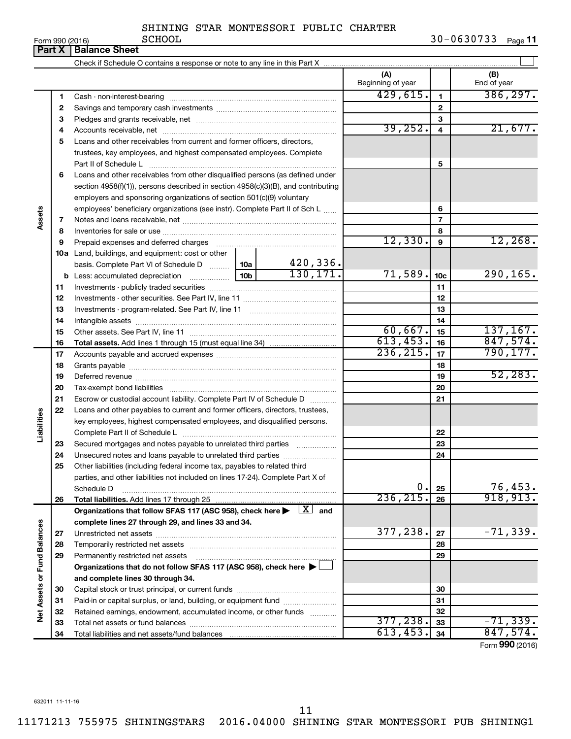| Form 990 (2016) |  |  |
|-----------------|--|--|

|                             | Part X | <b>Balance Sheet</b>                                                                                                                                                                                                           |                 |           |                          |                 |                    |  |  |
|-----------------------------|--------|--------------------------------------------------------------------------------------------------------------------------------------------------------------------------------------------------------------------------------|-----------------|-----------|--------------------------|-----------------|--------------------|--|--|
|                             |        |                                                                                                                                                                                                                                |                 |           |                          |                 |                    |  |  |
|                             |        |                                                                                                                                                                                                                                |                 |           | (A)<br>Beginning of year |                 | (B)<br>End of year |  |  |
|                             | 1      |                                                                                                                                                                                                                                |                 | 429,615.  | 1                        | 386, 297.       |                    |  |  |
|                             | 2      |                                                                                                                                                                                                                                |                 |           |                          | $\mathbf{2}$    |                    |  |  |
|                             | з      |                                                                                                                                                                                                                                |                 |           | З                        |                 |                    |  |  |
|                             | 4      |                                                                                                                                                                                                                                |                 |           | 39, 252.                 | 4               | 21,677.            |  |  |
|                             | 5      | Loans and other receivables from current and former officers, directors,                                                                                                                                                       |                 |           |                          |                 |                    |  |  |
|                             |        | trustees, key employees, and highest compensated employees. Complete                                                                                                                                                           |                 |           |                          |                 |                    |  |  |
|                             |        | Part II of Schedule L                                                                                                                                                                                                          |                 |           | 5                        |                 |                    |  |  |
|                             | 6      | Loans and other receivables from other disqualified persons (as defined under                                                                                                                                                  |                 |           |                          |                 |                    |  |  |
|                             |        | section 4958(f)(1)), persons described in section 4958(c)(3)(B), and contributing                                                                                                                                              |                 |           |                          |                 |                    |  |  |
| Assets                      |        | employers and sponsoring organizations of section 501(c)(9) voluntary                                                                                                                                                          |                 |           |                          |                 |                    |  |  |
|                             |        | employees' beneficiary organizations (see instr). Complete Part II of Sch L                                                                                                                                                    |                 |           |                          | 6               |                    |  |  |
|                             | 7      |                                                                                                                                                                                                                                |                 |           |                          | 7               |                    |  |  |
|                             | 8      |                                                                                                                                                                                                                                |                 |           |                          | 8               |                    |  |  |
|                             | 9      | Prepaid expenses and deferred charges [11] matter continuum matter and referred charges [11] matter continuum matter continuum matter and continuum matter continuum matter continuum matter continuum matter continuum matter |                 |           | 12,330.                  | 9               | 12, 268.           |  |  |
|                             |        | <b>10a</b> Land, buildings, and equipment: cost or other                                                                                                                                                                       |                 |           |                          |                 |                    |  |  |
|                             |        | basis. Complete Part VI of Schedule D  10a                                                                                                                                                                                     |                 | 420,336.  |                          |                 |                    |  |  |
|                             |        |                                                                                                                                                                                                                                | 10 <sub>b</sub> | 130, 171. | 71,589.                  | 10 <sub>c</sub> | 290,165.           |  |  |
|                             | 11     |                                                                                                                                                                                                                                |                 |           |                          | 11              |                    |  |  |
|                             | 12     |                                                                                                                                                                                                                                |                 |           |                          | 12              |                    |  |  |
|                             | 13     |                                                                                                                                                                                                                                |                 | 13        |                          |                 |                    |  |  |
|                             | 14     |                                                                                                                                                                                                                                |                 | 14        |                          |                 |                    |  |  |
|                             | 15     |                                                                                                                                                                                                                                | 60,667.         | 15        | 137, 167.                |                 |                    |  |  |
|                             | 16     |                                                                                                                                                                                                                                |                 |           | 613,453.                 | 16              | 847,574.           |  |  |
|                             | 17     |                                                                                                                                                                                                                                |                 | 236, 215. | 17                       | 790, 177.       |                    |  |  |
|                             | 18     |                                                                                                                                                                                                                                |                 |           |                          | 18              |                    |  |  |
|                             | 19     |                                                                                                                                                                                                                                |                 |           |                          | 19              | 52, 283.           |  |  |
|                             | 20     |                                                                                                                                                                                                                                |                 |           |                          | 20              |                    |  |  |
|                             | 21     | Escrow or custodial account liability. Complete Part IV of Schedule D                                                                                                                                                          |                 |           |                          | 21              |                    |  |  |
|                             | 22     | Loans and other payables to current and former officers, directors, trustees,                                                                                                                                                  |                 |           |                          |                 |                    |  |  |
| Liabilities                 |        | key employees, highest compensated employees, and disqualified persons.                                                                                                                                                        |                 |           |                          |                 |                    |  |  |
|                             |        |                                                                                                                                                                                                                                |                 |           |                          | 22              |                    |  |  |
|                             | 23     | Secured mortgages and notes payable to unrelated third parties                                                                                                                                                                 |                 |           |                          | 23              |                    |  |  |
|                             | 24     |                                                                                                                                                                                                                                |                 |           |                          | 24              |                    |  |  |
|                             | 25     | Other liabilities (including federal income tax, payables to related third                                                                                                                                                     |                 |           |                          |                 |                    |  |  |
|                             |        | parties, and other liabilities not included on lines 17-24). Complete Part X of                                                                                                                                                |                 |           |                          |                 |                    |  |  |
|                             |        | Schedule D                                                                                                                                                                                                                     |                 |           | 0.                       | 25              | 76,453.            |  |  |
|                             | 26     | Total liabilities. Add lines 17 through 25                                                                                                                                                                                     |                 |           | 236, 215.                | 26              | 918, 913.          |  |  |
|                             |        | Organizations that follow SFAS 117 (ASC 958), check here $\blacktriangleright \begin{array}{c} \boxed{X} \\ \end{array}$ and                                                                                                   |                 |           |                          |                 |                    |  |  |
|                             |        | complete lines 27 through 29, and lines 33 and 34.                                                                                                                                                                             |                 |           |                          |                 |                    |  |  |
|                             | 27     |                                                                                                                                                                                                                                |                 |           | 377,238.                 | 27              | $-71,339.$         |  |  |
|                             | 28     |                                                                                                                                                                                                                                |                 |           |                          | 28              |                    |  |  |
|                             | 29     | Permanently restricted net assets                                                                                                                                                                                              |                 |           |                          | 29              |                    |  |  |
|                             |        | Organizations that do not follow SFAS 117 (ASC 958), check here ▶ □                                                                                                                                                            |                 |           |                          |                 |                    |  |  |
|                             |        | and complete lines 30 through 34.                                                                                                                                                                                              |                 |           |                          |                 |                    |  |  |
|                             | 30     |                                                                                                                                                                                                                                |                 |           |                          | 30              |                    |  |  |
|                             | 31     | Paid-in or capital surplus, or land, building, or equipment fund                                                                                                                                                               |                 |           |                          | 31              |                    |  |  |
| Net Assets or Fund Balances | 32     | Retained earnings, endowment, accumulated income, or other funds                                                                                                                                                               |                 |           |                          | 32              |                    |  |  |
|                             | 33     |                                                                                                                                                                                                                                |                 |           | 377, 238.                | 33              | $-71, 339.$        |  |  |
|                             | 34     |                                                                                                                                                                                                                                |                 |           | 613,453.                 | 34              | 847,574.           |  |  |

Form (2016) **990**

632011 11-11-16

11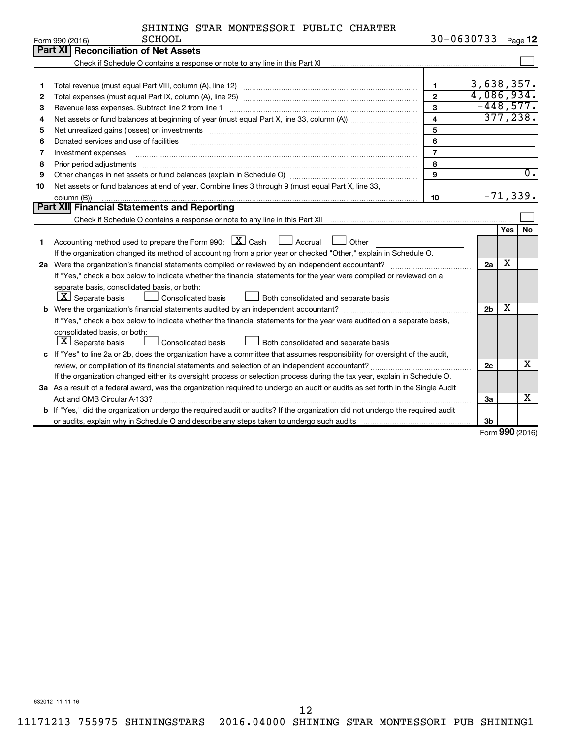|  | SHINING STAR MONTESSORI PUBLIC CHARTER |  |  |
|--|----------------------------------------|--|--|
|--|----------------------------------------|--|--|

|    | <b>SCHOOL</b><br>Form 990 (2016)                                                                                                |                | 30-0630733 Page 12 |     |                  |
|----|---------------------------------------------------------------------------------------------------------------------------------|----------------|--------------------|-----|------------------|
|    | Part XI   Reconciliation of Net Assets                                                                                          |                |                    |     |                  |
|    |                                                                                                                                 |                |                    |     |                  |
|    |                                                                                                                                 |                |                    |     |                  |
| 1  |                                                                                                                                 | $\mathbf{1}$   | 3,638,357.         |     |                  |
| 2  |                                                                                                                                 | $\mathbf{2}$   | 4,086,934.         |     |                  |
| 3  | Revenue less expenses. Subtract line 2 from line 1                                                                              | $\mathbf{3}$   | $-448,577.$        |     |                  |
| 4  |                                                                                                                                 | $\overline{4}$ |                    |     | 377, 238.        |
| 5  |                                                                                                                                 | 5              |                    |     |                  |
| 6  | Donated services and use of facilities                                                                                          | 6              |                    |     |                  |
| 7  | Investment expenses                                                                                                             | $\overline{7}$ |                    |     |                  |
| 8  | Prior period adjustments www.communication.communication.com/news/communications/communications/communications                  | 8              |                    |     |                  |
| 9  |                                                                                                                                 | 9              |                    |     | $\overline{0}$ . |
| 10 | Net assets or fund balances at end of year. Combine lines 3 through 9 (must equal Part X, line 33,                              |                |                    |     |                  |
|    | column (B))                                                                                                                     | 10             |                    |     | $-71, 339.$      |
|    | Part XII Financial Statements and Reporting                                                                                     |                |                    |     |                  |
|    |                                                                                                                                 |                |                    |     |                  |
|    |                                                                                                                                 |                |                    | Yes | <b>No</b>        |
| 1  | Accounting method used to prepare the Form 990: $X$ Cash<br>$\Box$ Accrual<br>Other                                             |                |                    |     |                  |
|    | If the organization changed its method of accounting from a prior year or checked "Other," explain in Schedule O.               |                |                    |     |                  |
|    | 2a Were the organization's financial statements compiled or reviewed by an independent accountant?                              |                | 2a                 | х   |                  |
|    | If "Yes," check a box below to indicate whether the financial statements for the year were compiled or reviewed on a            |                |                    |     |                  |
|    | separate basis, consolidated basis, or both:                                                                                    |                |                    |     |                  |
|    | $ \mathbf{X} $ Separate basis<br>Consolidated basis<br>Both consolidated and separate basis                                     |                |                    |     |                  |
|    |                                                                                                                                 |                | 2 <sub>b</sub>     | х   |                  |
|    | If "Yes," check a box below to indicate whether the financial statements for the year were audited on a separate basis,         |                |                    |     |                  |
|    | consolidated basis, or both:                                                                                                    |                |                    |     |                  |
|    | $ \mathbf{X} $ Separate basis<br>Consolidated basis<br>Both consolidated and separate basis                                     |                |                    |     |                  |
|    | c If "Yes" to line 2a or 2b, does the organization have a committee that assumes responsibility for oversight of the audit,     |                |                    |     |                  |
|    |                                                                                                                                 |                | 2c                 |     | x                |
|    | If the organization changed either its oversight process or selection process during the tax year, explain in Schedule O.       |                |                    |     |                  |
|    | 3a As a result of a federal award, was the organization required to undergo an audit or audits as set forth in the Single Audit |                |                    |     |                  |
|    |                                                                                                                                 |                | За                 |     | x                |
|    | b If "Yes," did the organization undergo the required audit or audits? If the organization did not undergo the required audit   |                |                    |     |                  |
|    |                                                                                                                                 |                | 3 <sub>b</sub>     |     |                  |

Form (2016) **990**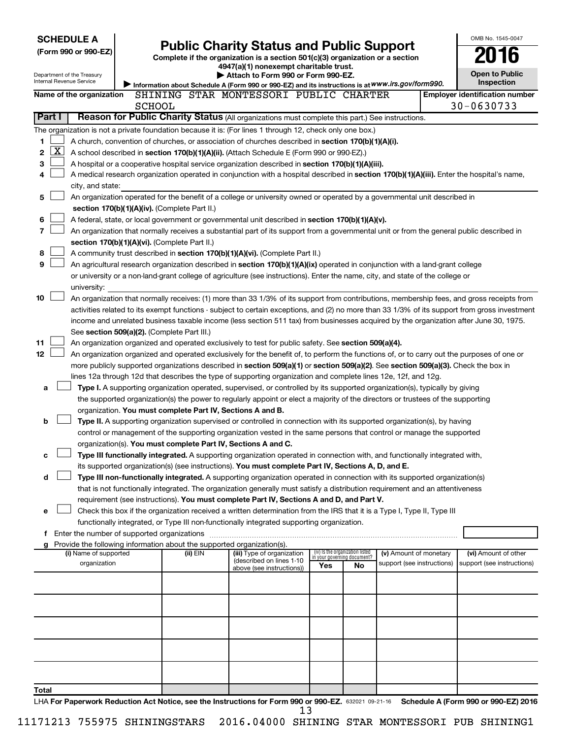| <b>SCHEDULE A</b>                                                                                                                                                       |                                                                                                                                  |                                                                        |                                                                                                                                                                                                                                                                                  |     |                                                                | OMB No. 1545-0047                     |  |                                            |
|-------------------------------------------------------------------------------------------------------------------------------------------------------------------------|----------------------------------------------------------------------------------------------------------------------------------|------------------------------------------------------------------------|----------------------------------------------------------------------------------------------------------------------------------------------------------------------------------------------------------------------------------------------------------------------------------|-----|----------------------------------------------------------------|---------------------------------------|--|--------------------------------------------|
| (Form 990 or 990-EZ)                                                                                                                                                    | <b>Public Charity Status and Public Support</b><br>Complete if the organization is a section 501(c)(3) organization or a section |                                                                        |                                                                                                                                                                                                                                                                                  |     |                                                                |                                       |  |                                            |
|                                                                                                                                                                         |                                                                                                                                  |                                                                        | 4947(a)(1) nonexempt charitable trust.                                                                                                                                                                                                                                           |     |                                                                |                                       |  |                                            |
| Department of the Treasury<br>Internal Revenue Service                                                                                                                  |                                                                                                                                  |                                                                        | Attach to Form 990 or Form 990-EZ.                                                                                                                                                                                                                                               |     |                                                                |                                       |  | <b>Open to Public</b><br><b>Inspection</b> |
| Information about Schedule A (Form 990 or 990-EZ) and its instructions is at WWW.irs.gov/form990.<br>SHINING STAR MONTESSORI PUBLIC CHARTER<br>Name of the organization |                                                                                                                                  |                                                                        |                                                                                                                                                                                                                                                                                  |     |                                                                | <b>Employer identification number</b> |  |                                            |
|                                                                                                                                                                         | <b>SCHOOL</b>                                                                                                                    |                                                                        |                                                                                                                                                                                                                                                                                  |     |                                                                |                                       |  | 30-0630733                                 |
| Part I                                                                                                                                                                  |                                                                                                                                  |                                                                        | Reason for Public Charity Status (All organizations must complete this part.) See instructions.                                                                                                                                                                                  |     |                                                                |                                       |  |                                            |
|                                                                                                                                                                         |                                                                                                                                  |                                                                        | The organization is not a private foundation because it is: (For lines 1 through 12, check only one box.)                                                                                                                                                                        |     |                                                                |                                       |  |                                            |
| 1                                                                                                                                                                       |                                                                                                                                  |                                                                        | A church, convention of churches, or association of churches described in section 170(b)(1)(A)(i).                                                                                                                                                                               |     |                                                                |                                       |  |                                            |
| <u>x</u><br>2                                                                                                                                                           |                                                                                                                                  |                                                                        | A school described in section 170(b)(1)(A)(ii). (Attach Schedule E (Form 990 or 990-EZ).)                                                                                                                                                                                        |     |                                                                |                                       |  |                                            |
| 3                                                                                                                                                                       |                                                                                                                                  |                                                                        | A hospital or a cooperative hospital service organization described in section 170(b)(1)(A)(iii).                                                                                                                                                                                |     |                                                                |                                       |  |                                            |
| 4                                                                                                                                                                       |                                                                                                                                  |                                                                        | A medical research organization operated in conjunction with a hospital described in section 170(b)(1)(A)(iii). Enter the hospital's name,                                                                                                                                       |     |                                                                |                                       |  |                                            |
| city, and state:                                                                                                                                                        |                                                                                                                                  |                                                                        |                                                                                                                                                                                                                                                                                  |     |                                                                |                                       |  |                                            |
| 5                                                                                                                                                                       |                                                                                                                                  |                                                                        | An organization operated for the benefit of a college or university owned or operated by a governmental unit described in                                                                                                                                                        |     |                                                                |                                       |  |                                            |
|                                                                                                                                                                         |                                                                                                                                  | section 170(b)(1)(A)(iv). (Complete Part II.)                          |                                                                                                                                                                                                                                                                                  |     |                                                                |                                       |  |                                            |
| 6<br>7                                                                                                                                                                  |                                                                                                                                  |                                                                        | A federal, state, or local government or governmental unit described in section 170(b)(1)(A)(v).<br>An organization that normally receives a substantial part of its support from a governmental unit or from the general public described in                                    |     |                                                                |                                       |  |                                            |
|                                                                                                                                                                         |                                                                                                                                  | section 170(b)(1)(A)(vi). (Complete Part II.)                          |                                                                                                                                                                                                                                                                                  |     |                                                                |                                       |  |                                            |
| 8                                                                                                                                                                       |                                                                                                                                  |                                                                        | A community trust described in section 170(b)(1)(A)(vi). (Complete Part II.)                                                                                                                                                                                                     |     |                                                                |                                       |  |                                            |
| 9                                                                                                                                                                       |                                                                                                                                  |                                                                        | An agricultural research organization described in section 170(b)(1)(A)(ix) operated in conjunction with a land-grant college                                                                                                                                                    |     |                                                                |                                       |  |                                            |
|                                                                                                                                                                         |                                                                                                                                  |                                                                        | or university or a non-land-grant college of agriculture (see instructions). Enter the name, city, and state of the college or                                                                                                                                                   |     |                                                                |                                       |  |                                            |
| university:                                                                                                                                                             |                                                                                                                                  |                                                                        |                                                                                                                                                                                                                                                                                  |     |                                                                |                                       |  |                                            |
| 10                                                                                                                                                                      |                                                                                                                                  |                                                                        | An organization that normally receives: (1) more than 33 1/3% of its support from contributions, membership fees, and gross receipts from                                                                                                                                        |     |                                                                |                                       |  |                                            |
|                                                                                                                                                                         |                                                                                                                                  |                                                                        | activities related to its exempt functions - subject to certain exceptions, and (2) no more than 33 1/3% of its support from gross investment                                                                                                                                    |     |                                                                |                                       |  |                                            |
|                                                                                                                                                                         |                                                                                                                                  |                                                                        | income and unrelated business taxable income (less section 511 tax) from businesses acquired by the organization after June 30, 1975.                                                                                                                                            |     |                                                                |                                       |  |                                            |
|                                                                                                                                                                         |                                                                                                                                  | See section 509(a)(2). (Complete Part III.)                            |                                                                                                                                                                                                                                                                                  |     |                                                                |                                       |  |                                            |
| 11                                                                                                                                                                      |                                                                                                                                  |                                                                        | An organization organized and operated exclusively to test for public safety. See section 509(a)(4).                                                                                                                                                                             |     |                                                                |                                       |  |                                            |
| 12                                                                                                                                                                      |                                                                                                                                  |                                                                        | An organization organized and operated exclusively for the benefit of, to perform the functions of, or to carry out the purposes of one or<br>more publicly supported organizations described in section 509(a)(1) or section 509(a)(2). See section 509(a)(3). Check the box in |     |                                                                |                                       |  |                                            |
|                                                                                                                                                                         |                                                                                                                                  |                                                                        | lines 12a through 12d that describes the type of supporting organization and complete lines 12e, 12f, and 12g.                                                                                                                                                                   |     |                                                                |                                       |  |                                            |
| a                                                                                                                                                                       |                                                                                                                                  |                                                                        | Type I. A supporting organization operated, supervised, or controlled by its supported organization(s), typically by giving                                                                                                                                                      |     |                                                                |                                       |  |                                            |
|                                                                                                                                                                         |                                                                                                                                  |                                                                        | the supported organization(s) the power to regularly appoint or elect a majority of the directors or trustees of the supporting                                                                                                                                                  |     |                                                                |                                       |  |                                            |
|                                                                                                                                                                         |                                                                                                                                  | organization. You must complete Part IV, Sections A and B.             |                                                                                                                                                                                                                                                                                  |     |                                                                |                                       |  |                                            |
| b                                                                                                                                                                       |                                                                                                                                  |                                                                        | Type II. A supporting organization supervised or controlled in connection with its supported organization(s), by having                                                                                                                                                          |     |                                                                |                                       |  |                                            |
|                                                                                                                                                                         |                                                                                                                                  |                                                                        | control or management of the supporting organization vested in the same persons that control or manage the supported                                                                                                                                                             |     |                                                                |                                       |  |                                            |
|                                                                                                                                                                         |                                                                                                                                  |                                                                        | organization(s). You must complete Part IV, Sections A and C.                                                                                                                                                                                                                    |     |                                                                |                                       |  |                                            |
| с                                                                                                                                                                       |                                                                                                                                  |                                                                        | Type III functionally integrated. A supporting organization operated in connection with, and functionally integrated with,                                                                                                                                                       |     |                                                                |                                       |  |                                            |
|                                                                                                                                                                         |                                                                                                                                  |                                                                        | its supported organization(s) (see instructions). You must complete Part IV, Sections A, D, and E.                                                                                                                                                                               |     |                                                                |                                       |  |                                            |
| d                                                                                                                                                                       |                                                                                                                                  |                                                                        | Type III non-functionally integrated. A supporting organization operated in connection with its supported organization(s)                                                                                                                                                        |     |                                                                |                                       |  |                                            |
|                                                                                                                                                                         |                                                                                                                                  |                                                                        | that is not functionally integrated. The organization generally must satisfy a distribution requirement and an attentiveness<br>requirement (see instructions). You must complete Part IV, Sections A and D, and Part V.                                                         |     |                                                                |                                       |  |                                            |
| е                                                                                                                                                                       |                                                                                                                                  |                                                                        | Check this box if the organization received a written determination from the IRS that it is a Type I, Type II, Type III                                                                                                                                                          |     |                                                                |                                       |  |                                            |
|                                                                                                                                                                         |                                                                                                                                  |                                                                        | functionally integrated, or Type III non-functionally integrated supporting organization.                                                                                                                                                                                        |     |                                                                |                                       |  |                                            |
| f Enter the number of supported organizations                                                                                                                           |                                                                                                                                  |                                                                        |                                                                                                                                                                                                                                                                                  |     |                                                                |                                       |  |                                            |
| g                                                                                                                                                                       |                                                                                                                                  | Provide the following information about the supported organization(s). |                                                                                                                                                                                                                                                                                  |     |                                                                |                                       |  |                                            |
| (i) Name of supported                                                                                                                                                   |                                                                                                                                  | (ii) EIN                                                               | (iii) Type of organization<br>(described on lines 1-10                                                                                                                                                                                                                           |     | (iv) Is the organization listed<br>in your governing document? | (v) Amount of monetary                |  | (vi) Amount of other                       |
| organization                                                                                                                                                            |                                                                                                                                  |                                                                        | above (see instructions))                                                                                                                                                                                                                                                        | Yes | No                                                             | support (see instructions)            |  | support (see instructions)                 |
|                                                                                                                                                                         |                                                                                                                                  |                                                                        |                                                                                                                                                                                                                                                                                  |     |                                                                |                                       |  |                                            |
|                                                                                                                                                                         |                                                                                                                                  |                                                                        |                                                                                                                                                                                                                                                                                  |     |                                                                |                                       |  |                                            |
|                                                                                                                                                                         |                                                                                                                                  |                                                                        |                                                                                                                                                                                                                                                                                  |     |                                                                |                                       |  |                                            |
|                                                                                                                                                                         |                                                                                                                                  |                                                                        |                                                                                                                                                                                                                                                                                  |     |                                                                |                                       |  |                                            |
|                                                                                                                                                                         |                                                                                                                                  |                                                                        |                                                                                                                                                                                                                                                                                  |     |                                                                |                                       |  |                                            |
|                                                                                                                                                                         |                                                                                                                                  |                                                                        |                                                                                                                                                                                                                                                                                  |     |                                                                |                                       |  |                                            |
|                                                                                                                                                                         |                                                                                                                                  |                                                                        |                                                                                                                                                                                                                                                                                  |     |                                                                |                                       |  |                                            |
|                                                                                                                                                                         |                                                                                                                                  |                                                                        |                                                                                                                                                                                                                                                                                  |     |                                                                |                                       |  |                                            |
|                                                                                                                                                                         |                                                                                                                                  |                                                                        |                                                                                                                                                                                                                                                                                  |     |                                                                |                                       |  |                                            |
| Total                                                                                                                                                                   |                                                                                                                                  |                                                                        |                                                                                                                                                                                                                                                                                  |     |                                                                |                                       |  |                                            |
|                                                                                                                                                                         |                                                                                                                                  |                                                                        | LHA For Paperwork Reduction Act Notice, see the Instructions for Form 990 or 990-EZ. 632021 09-21-16 Schedule A (Form 990 or 990-EZ) 2016                                                                                                                                        |     |                                                                |                                       |  |                                            |

13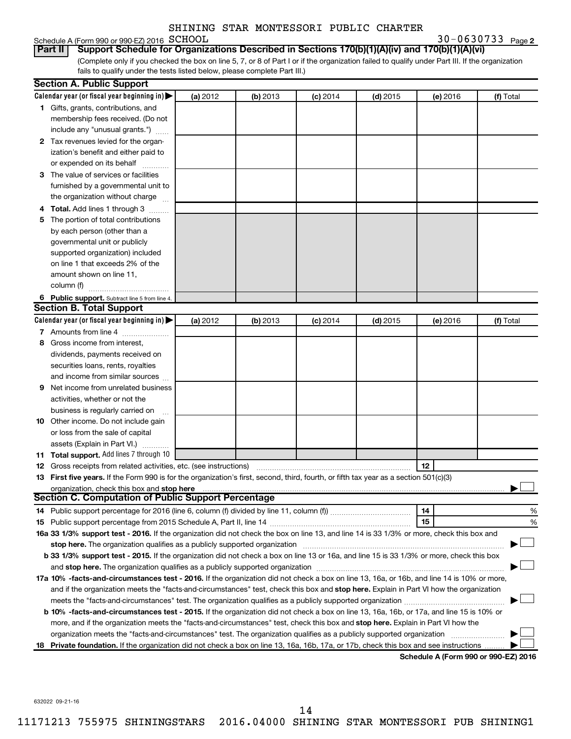# Schedule A (Form 990 or 990-EZ) 2016 SCHOOL

**2** SCHOOL 30-0630733

(Complete only if you checked the box on line 5, 7, or 8 of Part I or if the organization failed to qualify under Part III. If the organization fails to qualify under the tests listed below, please complete Part III.) **Part II Support Schedule for Organizations Described in Sections 170(b)(1)(A)(iv) and 170(b)(1)(A)(vi)**

|   | <b>Section A. Public Support</b>                                                                                                                                                                                           |          |          |            |            |          |                                      |
|---|----------------------------------------------------------------------------------------------------------------------------------------------------------------------------------------------------------------------------|----------|----------|------------|------------|----------|--------------------------------------|
|   | Calendar year (or fiscal year beginning in)                                                                                                                                                                                | (a) 2012 | (b) 2013 | $(c)$ 2014 | $(d)$ 2015 | (e) 2016 | (f) Total                            |
|   | 1 Gifts, grants, contributions, and                                                                                                                                                                                        |          |          |            |            |          |                                      |
|   | membership fees received. (Do not                                                                                                                                                                                          |          |          |            |            |          |                                      |
|   | include any "unusual grants.")                                                                                                                                                                                             |          |          |            |            |          |                                      |
|   | 2 Tax revenues levied for the organ-                                                                                                                                                                                       |          |          |            |            |          |                                      |
|   | ization's benefit and either paid to                                                                                                                                                                                       |          |          |            |            |          |                                      |
|   | or expended on its behalf                                                                                                                                                                                                  |          |          |            |            |          |                                      |
|   | 3 The value of services or facilities                                                                                                                                                                                      |          |          |            |            |          |                                      |
|   | furnished by a governmental unit to                                                                                                                                                                                        |          |          |            |            |          |                                      |
|   | the organization without charge                                                                                                                                                                                            |          |          |            |            |          |                                      |
|   | 4 Total. Add lines 1 through 3                                                                                                                                                                                             |          |          |            |            |          |                                      |
|   | 5 The portion of total contributions                                                                                                                                                                                       |          |          |            |            |          |                                      |
|   | by each person (other than a                                                                                                                                                                                               |          |          |            |            |          |                                      |
|   | governmental unit or publicly                                                                                                                                                                                              |          |          |            |            |          |                                      |
|   | supported organization) included                                                                                                                                                                                           |          |          |            |            |          |                                      |
|   | on line 1 that exceeds 2% of the                                                                                                                                                                                           |          |          |            |            |          |                                      |
|   | amount shown on line 11,                                                                                                                                                                                                   |          |          |            |            |          |                                      |
|   | column (f)                                                                                                                                                                                                                 |          |          |            |            |          |                                      |
|   | 6 Public support. Subtract line 5 from line 4.                                                                                                                                                                             |          |          |            |            |          |                                      |
|   | <b>Section B. Total Support</b>                                                                                                                                                                                            |          |          |            |            |          |                                      |
|   | Calendar year (or fiscal year beginning in)                                                                                                                                                                                | (a) 2012 | (b) 2013 | $(c)$ 2014 | $(d)$ 2015 | (e) 2016 | (f) Total                            |
|   | 7 Amounts from line 4                                                                                                                                                                                                      |          |          |            |            |          |                                      |
|   | 8 Gross income from interest,                                                                                                                                                                                              |          |          |            |            |          |                                      |
|   | dividends, payments received on                                                                                                                                                                                            |          |          |            |            |          |                                      |
|   | securities loans, rents, royalties                                                                                                                                                                                         |          |          |            |            |          |                                      |
|   | and income from similar sources                                                                                                                                                                                            |          |          |            |            |          |                                      |
| 9 | Net income from unrelated business                                                                                                                                                                                         |          |          |            |            |          |                                      |
|   | activities, whether or not the                                                                                                                                                                                             |          |          |            |            |          |                                      |
|   | business is regularly carried on                                                                                                                                                                                           |          |          |            |            |          |                                      |
|   | 10 Other income. Do not include gain                                                                                                                                                                                       |          |          |            |            |          |                                      |
|   | or loss from the sale of capital                                                                                                                                                                                           |          |          |            |            |          |                                      |
|   | assets (Explain in Part VI.)                                                                                                                                                                                               |          |          |            |            |          |                                      |
|   | 11 Total support. Add lines 7 through 10                                                                                                                                                                                   |          |          |            |            |          |                                      |
|   | <b>12</b> Gross receipts from related activities, etc. (see instructions)                                                                                                                                                  |          |          |            |            | 12       |                                      |
|   | 13 First five years. If the Form 990 is for the organization's first, second, third, fourth, or fifth tax year as a section 501(c)(3)                                                                                      |          |          |            |            |          |                                      |
|   | organization, check this box and stop here                                                                                                                                                                                 |          |          |            |            |          |                                      |
|   | <b>Section C. Computation of Public Support Percentage</b>                                                                                                                                                                 |          |          |            |            |          |                                      |
|   |                                                                                                                                                                                                                            |          |          |            |            | 14       | %                                    |
|   |                                                                                                                                                                                                                            |          |          |            |            | 15       | %                                    |
|   | 16a 33 1/3% support test - 2016. If the organization did not check the box on line 13, and line 14 is 33 1/3% or more, check this box and                                                                                  |          |          |            |            |          |                                      |
|   | stop here. The organization qualifies as a publicly supported organization                                                                                                                                                 |          |          |            |            |          |                                      |
|   | b 33 1/3% support test - 2015. If the organization did not check a box on line 13 or 16a, and line 15 is 33 1/3% or more, check this box                                                                                   |          |          |            |            |          |                                      |
|   | and stop here. The organization qualifies as a publicly supported organization [11] manuscription manuscription manuscription manuscription and stop here. The organization qualifies as a publicly supported organization |          |          |            |            |          |                                      |
|   | 17a 10% -facts-and-circumstances test - 2016. If the organization did not check a box on line 13, 16a, or 16b, and line 14 is 10% or more,                                                                                 |          |          |            |            |          |                                      |
|   | and if the organization meets the "facts-and-circumstances" test, check this box and stop here. Explain in Part VI how the organization                                                                                    |          |          |            |            |          |                                      |
|   | meets the "facts-and-circumstances" test. The organization qualifies as a publicly supported organization <i>manumumumumum</i>                                                                                             |          |          |            |            |          |                                      |
|   | b 10% -facts-and-circumstances test - 2015. If the organization did not check a box on line 13, 16a, 16b, or 17a, and line 15 is 10% or                                                                                    |          |          |            |            |          |                                      |
|   | more, and if the organization meets the "facts-and-circumstances" test, check this box and stop here. Explain in Part VI how the                                                                                           |          |          |            |            |          |                                      |
|   | organization meets the "facts-and-circumstances" test. The organization qualifies as a publicly supported organization                                                                                                     |          |          |            |            |          |                                      |
|   | 18 Private foundation. If the organization did not check a box on line 13, 16a, 16b, 17a, or 17b, check this box and see instructions                                                                                      |          |          |            |            |          | Schodule A (Form 000 or 000 EZ) 2016 |

**Schedule A (Form 990 or 990-EZ) 2016**

632022 09-21-16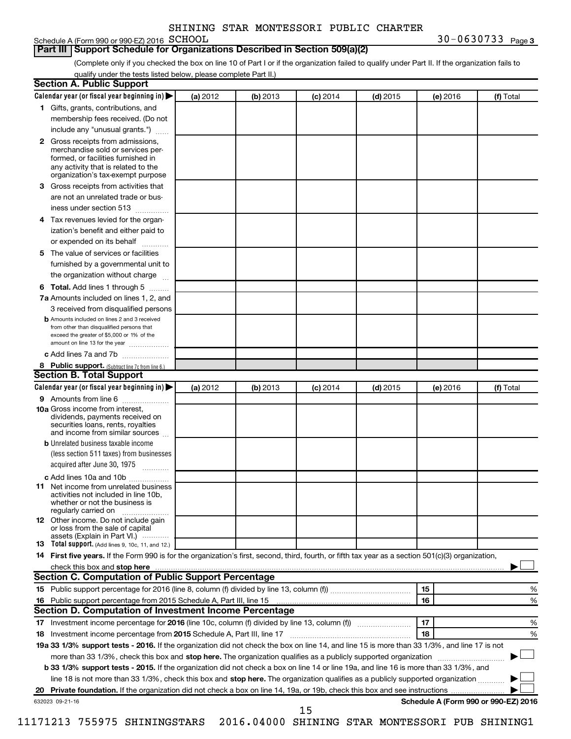#### **Part III Support Schedule for Organizations Described in Section 509(a)(2)**

(Complete only if you checked the box on line 10 of Part I or if the organization failed to qualify under Part II. If the organization fails to qualify under the tests listed below, please complete Part II.)

|    | <b>Section A. Public Support</b>                                                                                                                                                                |          |          |            |            |          |                                      |
|----|-------------------------------------------------------------------------------------------------------------------------------------------------------------------------------------------------|----------|----------|------------|------------|----------|--------------------------------------|
|    | Calendar year (or fiscal year beginning in)                                                                                                                                                     | (a) 2012 | (b) 2013 | $(c)$ 2014 | $(d)$ 2015 | (e) 2016 | (f) Total                            |
|    | 1 Gifts, grants, contributions, and                                                                                                                                                             |          |          |            |            |          |                                      |
|    | membership fees received. (Do not                                                                                                                                                               |          |          |            |            |          |                                      |
|    | include any "unusual grants.")                                                                                                                                                                  |          |          |            |            |          |                                      |
|    | <b>2</b> Gross receipts from admissions,<br>merchandise sold or services per-<br>formed, or facilities furnished in<br>any activity that is related to the<br>organization's tax-exempt purpose |          |          |            |            |          |                                      |
|    | 3 Gross receipts from activities that                                                                                                                                                           |          |          |            |            |          |                                      |
|    | are not an unrelated trade or bus-                                                                                                                                                              |          |          |            |            |          |                                      |
|    | iness under section 513                                                                                                                                                                         |          |          |            |            |          |                                      |
|    | 4 Tax revenues levied for the organ-                                                                                                                                                            |          |          |            |            |          |                                      |
|    | ization's benefit and either paid to                                                                                                                                                            |          |          |            |            |          |                                      |
|    | or expended on its behalf                                                                                                                                                                       |          |          |            |            |          |                                      |
|    |                                                                                                                                                                                                 |          |          |            |            |          |                                      |
|    | 5 The value of services or facilities                                                                                                                                                           |          |          |            |            |          |                                      |
|    | furnished by a governmental unit to                                                                                                                                                             |          |          |            |            |          |                                      |
|    | the organization without charge                                                                                                                                                                 |          |          |            |            |          |                                      |
|    | <b>6 Total.</b> Add lines 1 through 5                                                                                                                                                           |          |          |            |            |          |                                      |
|    | 7a Amounts included on lines 1, 2, and                                                                                                                                                          |          |          |            |            |          |                                      |
|    | 3 received from disqualified persons                                                                                                                                                            |          |          |            |            |          |                                      |
|    | <b>b</b> Amounts included on lines 2 and 3 received<br>from other than disqualified persons that<br>exceed the greater of \$5,000 or 1% of the<br>amount on line 13 for the year                |          |          |            |            |          |                                      |
|    | c Add lines 7a and 7b                                                                                                                                                                           |          |          |            |            |          |                                      |
|    | 8 Public support. (Subtract line 7c from line 6.)                                                                                                                                               |          |          |            |            |          |                                      |
|    | <b>Section B. Total Support</b>                                                                                                                                                                 |          |          |            |            |          |                                      |
|    | Calendar year (or fiscal year beginning in)                                                                                                                                                     | (a) 2012 | (b) 2013 | $(c)$ 2014 | $(d)$ 2015 | (e) 2016 | (f) Total                            |
|    | 9 Amounts from line 6                                                                                                                                                                           |          |          |            |            |          |                                      |
|    | <b>10a</b> Gross income from interest,<br>dividends, payments received on<br>securities loans, rents, royalties<br>and income from similar sources                                              |          |          |            |            |          |                                      |
|    | <b>b</b> Unrelated business taxable income                                                                                                                                                      |          |          |            |            |          |                                      |
|    | (less section 511 taxes) from businesses                                                                                                                                                        |          |          |            |            |          |                                      |
|    | acquired after June 30, 1975                                                                                                                                                                    |          |          |            |            |          |                                      |
|    | c Add lines 10a and 10b                                                                                                                                                                         |          |          |            |            |          |                                      |
|    | <b>11</b> Net income from unrelated business<br>activities not included in line 10b.<br>whether or not the business is<br>regularly carried on                                                  |          |          |            |            |          |                                      |
|    | 12 Other income. Do not include gain<br>or loss from the sale of capital<br>assets (Explain in Part VI.)                                                                                        |          |          |            |            |          |                                      |
|    | <b>13</b> Total support. (Add lines 9, 10c, 11, and 12.)                                                                                                                                        |          |          |            |            |          |                                      |
|    | 14 First five years. If the Form 990 is for the organization's first, second, third, fourth, or fifth tax year as a section 501(c)(3) organization,                                             |          |          |            |            |          |                                      |
|    |                                                                                                                                                                                                 |          |          |            |            |          |                                      |
|    | Section C. Computation of Public Support Percentage                                                                                                                                             |          |          |            |            |          |                                      |
|    |                                                                                                                                                                                                 |          |          |            |            | 15       | %                                    |
|    |                                                                                                                                                                                                 |          |          |            |            | 16       | %                                    |
|    | Section D. Computation of Investment Income Percentage                                                                                                                                          |          |          |            |            |          |                                      |
|    | 17 Investment income percentage for 2016 (line 10c, column (f) divided by line 13, column (f))                                                                                                  |          |          |            |            | 17       | %                                    |
|    | 18 Investment income percentage from 2015 Schedule A, Part III, line 17                                                                                                                         |          |          |            |            | 18       | %                                    |
|    | 19a 33 1/3% support tests - 2016. If the organization did not check the box on line 14, and line 15 is more than 33 1/3%, and line 17 is not                                                    |          |          |            |            |          |                                      |
|    | more than 33 1/3%, check this box and stop here. The organization qualifies as a publicly supported organization                                                                                |          |          |            |            |          |                                      |
|    | b 33 1/3% support tests - 2015. If the organization did not check a box on line 14 or line 19a, and line 16 is more than 33 1/3%, and                                                           |          |          |            |            |          |                                      |
|    |                                                                                                                                                                                                 |          |          |            |            |          |                                      |
|    | line 18 is not more than 33 1/3%, check this box and stop here. The organization qualifies as a publicly supported organization                                                                 |          |          |            |            |          |                                      |
| 20 |                                                                                                                                                                                                 |          |          |            |            |          | Schedule A (Form 990 or 990-EZ) 2016 |
|    | 632023 09-21-16                                                                                                                                                                                 |          |          | 15         |            |          |                                      |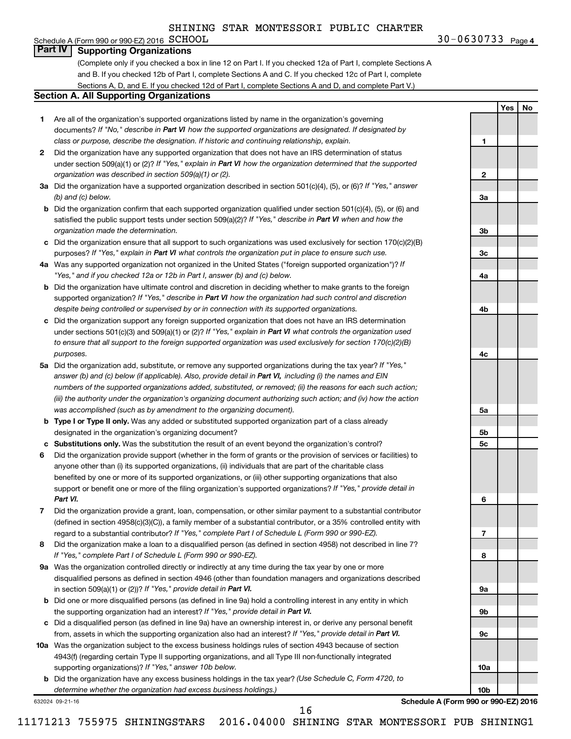## Schedule A (Form 990 or 990-EZ) 2016  $SCHOOL$ **Part IV Supporting Organizations**

(Complete only if you checked a box in line 12 on Part I. If you checked 12a of Part I, complete Sections A and B. If you checked 12b of Part I, complete Sections A and C. If you checked 12c of Part I, complete Sections A, D, and E. If you checked 12d of Part I, complete Sections A and D, and complete Part V.)

#### **Section A. All Supporting Organizations**

- **1** Are all of the organization's supported organizations listed by name in the organization's governing documents? If "No," describe in Part VI how the supported organizations are designated. If designated by *class or purpose, describe the designation. If historic and continuing relationship, explain.*
- **2** Did the organization have any supported organization that does not have an IRS determination of status under section 509(a)(1) or (2)? If "Yes," explain in Part VI how the organization determined that the supported *organization was described in section 509(a)(1) or (2).*
- **3a** Did the organization have a supported organization described in section 501(c)(4), (5), or (6)? If "Yes," answer *(b) and (c) below.*
- **b** Did the organization confirm that each supported organization qualified under section 501(c)(4), (5), or (6) and satisfied the public support tests under section 509(a)(2)? If "Yes," describe in Part VI when and how the *organization made the determination.*
- **c** Did the organization ensure that all support to such organizations was used exclusively for section 170(c)(2)(B) purposes? If "Yes," explain in Part VI what controls the organization put in place to ensure such use.
- **4 a** *If* Was any supported organization not organized in the United States ("foreign supported organization")? *"Yes," and if you checked 12a or 12b in Part I, answer (b) and (c) below.*
- **b** Did the organization have ultimate control and discretion in deciding whether to make grants to the foreign supported organization? If "Yes," describe in Part VI how the organization had such control and discretion *despite being controlled or supervised by or in connection with its supported organizations.*
- **c** Did the organization support any foreign supported organization that does not have an IRS determination under sections 501(c)(3) and 509(a)(1) or (2)? If "Yes," explain in Part VI what controls the organization used *to ensure that all support to the foreign supported organization was used exclusively for section 170(c)(2)(B) purposes.*
- **5a** Did the organization add, substitute, or remove any supported organizations during the tax year? If "Yes," answer (b) and (c) below (if applicable). Also, provide detail in Part VI, including (i) the names and EIN *numbers of the supported organizations added, substituted, or removed; (ii) the reasons for each such action; (iii) the authority under the organization's organizing document authorizing such action; and (iv) how the action was accomplished (such as by amendment to the organizing document).*
- **b** Type I or Type II only. Was any added or substituted supported organization part of a class already designated in the organization's organizing document?
- **c Substitutions only.**  Was the substitution the result of an event beyond the organization's control?
- **6** Did the organization provide support (whether in the form of grants or the provision of services or facilities) to support or benefit one or more of the filing organization's supported organizations? If "Yes," provide detail in anyone other than (i) its supported organizations, (ii) individuals that are part of the charitable class benefited by one or more of its supported organizations, or (iii) other supporting organizations that also *Part VI.*
- **7** Did the organization provide a grant, loan, compensation, or other similar payment to a substantial contributor regard to a substantial contributor? If "Yes," complete Part I of Schedule L (Form 990 or 990-EZ). (defined in section 4958(c)(3)(C)), a family member of a substantial contributor, or a 35% controlled entity with
- **8** Did the organization make a loan to a disqualified person (as defined in section 4958) not described in line 7? *If "Yes," complete Part I of Schedule L (Form 990 or 990-EZ).*
- **9 a** Was the organization controlled directly or indirectly at any time during the tax year by one or more in section 509(a)(1) or (2))? If "Yes," provide detail in Part VI. disqualified persons as defined in section 4946 (other than foundation managers and organizations described
- **b** Did one or more disqualified persons (as defined in line 9a) hold a controlling interest in any entity in which the supporting organization had an interest? If "Yes," provide detail in Part VI.
- **c** Did a disqualified person (as defined in line 9a) have an ownership interest in, or derive any personal benefit from, assets in which the supporting organization also had an interest? If "Yes," provide detail in Part VI.
- **10 a** Was the organization subject to the excess business holdings rules of section 4943 because of section supporting organizations)? If "Yes," answer 10b below. 4943(f) (regarding certain Type II supporting organizations, and all Type III non-functionally integrated
	- **b** Did the organization have any excess business holdings in the tax year? (Use Schedule C, Form 4720, to *determine whether the organization had excess business holdings.)*

632024 09-21-16

**1**

**2**

**3a**

**3b**

**3c**

**4a**

**4b**

**4c**

**5a**

**5b 5c**

**6**

**7**

**8**

**9a**

**9b**

**9c**

**10a**

**10b**

**Yes No**

**Schedule A (Form 990 or 990-EZ) 2016**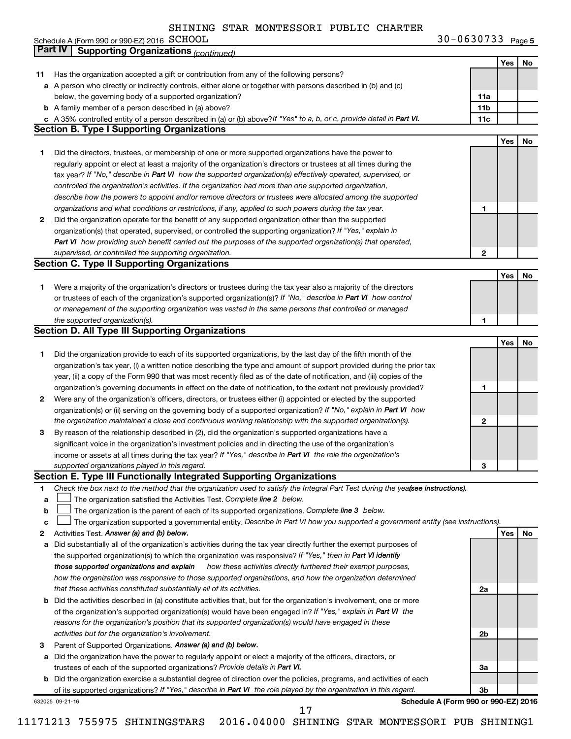**SCHOOL** 30-0630733 Page 5

|    | Schedule A (Form 990 or 990-EZ) 2016 SCHOOL                                                                                                                                                                          | $30 - 0630733$ Page 5                |     |     |
|----|----------------------------------------------------------------------------------------------------------------------------------------------------------------------------------------------------------------------|--------------------------------------|-----|-----|
|    | <b>Part IV</b><br><b>Supporting Organizations (continued)</b>                                                                                                                                                        |                                      |     |     |
|    |                                                                                                                                                                                                                      |                                      | Yes | No  |
| 11 | Has the organization accepted a gift or contribution from any of the following persons?                                                                                                                              |                                      |     |     |
|    | a A person who directly or indirectly controls, either alone or together with persons described in (b) and (c)                                                                                                       |                                      |     |     |
|    | below, the governing body of a supported organization?                                                                                                                                                               | 11a                                  |     |     |
|    | <b>b</b> A family member of a person described in (a) above?                                                                                                                                                         | 11b                                  |     |     |
|    | c A 35% controlled entity of a person described in (a) or (b) above? If "Yes" to a, b, or c, provide detail in Part VI.                                                                                              | 11c                                  |     |     |
|    | <b>Section B. Type I Supporting Organizations</b>                                                                                                                                                                    |                                      |     |     |
|    |                                                                                                                                                                                                                      |                                      | Yes | No  |
| 1  | Did the directors, trustees, or membership of one or more supported organizations have the power to                                                                                                                  |                                      |     |     |
|    | regularly appoint or elect at least a majority of the organization's directors or trustees at all times during the                                                                                                   |                                      |     |     |
|    | tax year? If "No," describe in Part VI how the supported organization(s) effectively operated, supervised, or                                                                                                        |                                      |     |     |
|    | controlled the organization's activities. If the organization had more than one supported organization,<br>describe how the powers to appoint and/or remove directors or trustees were allocated among the supported |                                      |     |     |
|    |                                                                                                                                                                                                                      | 1                                    |     |     |
| 2  | organizations and what conditions or restrictions, if any, applied to such powers during the tax year.<br>Did the organization operate for the benefit of any supported organization other than the supported        |                                      |     |     |
|    | organization(s) that operated, supervised, or controlled the supporting organization? If "Yes," explain in                                                                                                           |                                      |     |     |
|    | Part VI how providing such benefit carried out the purposes of the supported organization(s) that operated,                                                                                                          |                                      |     |     |
|    | supervised, or controlled the supporting organization.                                                                                                                                                               | 2                                    |     |     |
|    | <b>Section C. Type II Supporting Organizations</b>                                                                                                                                                                   |                                      |     |     |
|    |                                                                                                                                                                                                                      |                                      | Yes | No  |
| 1  | Were a majority of the organization's directors or trustees during the tax year also a majority of the directors                                                                                                     |                                      |     |     |
|    | or trustees of each of the organization's supported organization(s)? If "No," describe in Part VI how control                                                                                                        |                                      |     |     |
|    | or management of the supporting organization was vested in the same persons that controlled or managed                                                                                                               |                                      |     |     |
|    | the supported organization(s).                                                                                                                                                                                       | 1                                    |     |     |
|    | <b>Section D. All Type III Supporting Organizations</b>                                                                                                                                                              |                                      |     |     |
|    |                                                                                                                                                                                                                      |                                      | Yes | No  |
| 1  | Did the organization provide to each of its supported organizations, by the last day of the fifth month of the                                                                                                       |                                      |     |     |
|    | organization's tax year, (i) a written notice describing the type and amount of support provided during the prior tax                                                                                                |                                      |     |     |
|    | year, (ii) a copy of the Form 990 that was most recently filed as of the date of notification, and (iii) copies of the                                                                                               |                                      |     |     |
|    | organization's governing documents in effect on the date of notification, to the extent not previously provided?                                                                                                     | 1                                    |     |     |
| 2  | Were any of the organization's officers, directors, or trustees either (i) appointed or elected by the supported                                                                                                     |                                      |     |     |
|    | organization(s) or (ii) serving on the governing body of a supported organization? If "No," explain in Part VI how                                                                                                   |                                      |     |     |
|    | the organization maintained a close and continuous working relationship with the supported organization(s).                                                                                                          | 2                                    |     |     |
| З  | By reason of the relationship described in (2), did the organization's supported organizations have a                                                                                                                |                                      |     |     |
|    | significant voice in the organization's investment policies and in directing the use of the organization's                                                                                                           |                                      |     |     |
|    | income or assets at all times during the tax year? If "Yes," describe in Part VI the role the organization's                                                                                                         |                                      |     |     |
|    | supported organizations played in this regard.                                                                                                                                                                       | з                                    |     |     |
|    | Section E. Type III Functionally Integrated Supporting Organizations                                                                                                                                                 |                                      |     |     |
| 1  | Check the box next to the method that the organization used to satisfy the Integral Part Test during the yeafsee instructions).                                                                                      |                                      |     |     |
| a  | The organization satisfied the Activities Test. Complete line 2 below.                                                                                                                                               |                                      |     |     |
| b  | The organization is the parent of each of its supported organizations. Complete line 3 below.                                                                                                                        |                                      |     |     |
| C  | The organization supported a governmental entity. Describe in Part VI how you supported a government entity (see instructions).                                                                                      |                                      |     |     |
| 2  | Activities Test. Answer (a) and (b) below.                                                                                                                                                                           |                                      | Yes | No. |
| а  | Did substantially all of the organization's activities during the tax year directly further the exempt purposes of                                                                                                   |                                      |     |     |
|    | the supported organization(s) to which the organization was responsive? If "Yes," then in Part VI identify                                                                                                           |                                      |     |     |
|    | how these activities directly furthered their exempt purposes,<br>those supported organizations and explain                                                                                                          |                                      |     |     |
|    | how the organization was responsive to those supported organizations, and how the organization determined                                                                                                            |                                      |     |     |
|    | that these activities constituted substantially all of its activities.                                                                                                                                               | 2a                                   |     |     |
|    | <b>b</b> Did the activities described in (a) constitute activities that, but for the organization's involvement, one or more                                                                                         |                                      |     |     |
|    | of the organization's supported organization(s) would have been engaged in? If "Yes," explain in Part VI the                                                                                                         |                                      |     |     |
|    | reasons for the organization's position that its supported organization(s) would have engaged in these                                                                                                               |                                      |     |     |
|    | activities but for the organization's involvement.                                                                                                                                                                   | 2b                                   |     |     |
| з  | Parent of Supported Organizations. Answer (a) and (b) below.                                                                                                                                                         |                                      |     |     |
| а  | Did the organization have the power to regularly appoint or elect a majority of the officers, directors, or                                                                                                          |                                      |     |     |
|    | trustees of each of the supported organizations? Provide details in Part VI.                                                                                                                                         | За                                   |     |     |
|    | <b>b</b> Did the organization exercise a substantial degree of direction over the policies, programs, and activities of each                                                                                         |                                      |     |     |
|    | of its supported organizations? If "Yes," describe in Part VI the role played by the organization in this regard.                                                                                                    | Зb                                   |     |     |
|    | 632025 09-21-16<br>17                                                                                                                                                                                                | Schedule A (Form 990 or 990-EZ) 2016 |     |     |
|    |                                                                                                                                                                                                                      |                                      |     |     |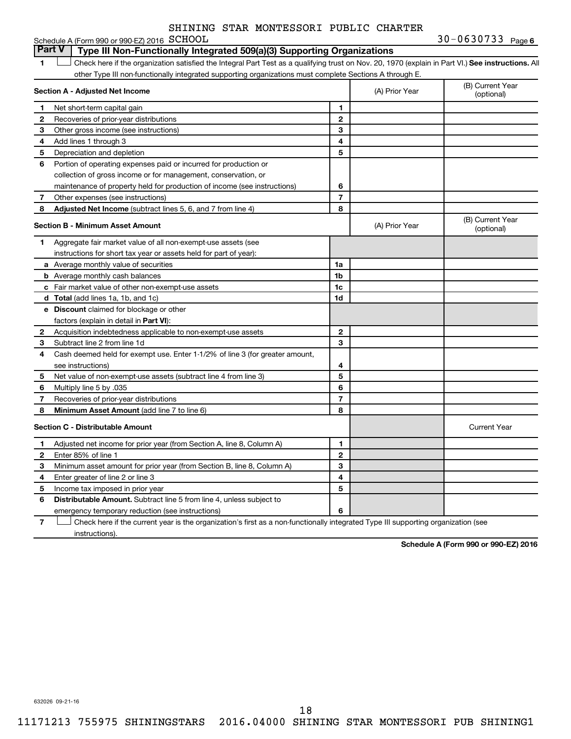|         | SHINING STAR MONTESSORI PUBLIC CHARTER |  |                |
|---------|----------------------------------------|--|----------------|
| COUOOT. |                                        |  | $30 - 0630733$ |

|              | Schedule A (Form 990 or 990-EZ) 2016 SCHOOL                                                                                                        |                |                | $30 - 0630 / 33$ Page 6        |
|--------------|----------------------------------------------------------------------------------------------------------------------------------------------------|----------------|----------------|--------------------------------|
|              | <b>Part V</b><br>Type III Non-Functionally Integrated 509(a)(3) Supporting Organizations                                                           |                |                |                                |
| 1            | Check here if the organization satisfied the Integral Part Test as a qualifying trust on Nov. 20, 1970 (explain in Part VI.) See instructions. All |                |                |                                |
|              | other Type III non-functionally integrated supporting organizations must complete Sections A through E.                                            |                |                |                                |
|              | Section A - Adjusted Net Income                                                                                                                    |                | (A) Prior Year | (B) Current Year<br>(optional) |
| 1            | Net short-term capital gain                                                                                                                        | 1              |                |                                |
| $\mathbf{2}$ | Recoveries of prior-year distributions                                                                                                             | $\mathbf{2}$   |                |                                |
| З            | Other gross income (see instructions)                                                                                                              | 3              |                |                                |
| 4            | Add lines 1 through 3                                                                                                                              | 4              |                |                                |
| 5            | Depreciation and depletion                                                                                                                         | 5              |                |                                |
| 6            | Portion of operating expenses paid or incurred for production or                                                                                   |                |                |                                |
|              | collection of gross income or for management, conservation, or                                                                                     |                |                |                                |
|              | maintenance of property held for production of income (see instructions)                                                                           | 6              |                |                                |
| 7            | Other expenses (see instructions)                                                                                                                  | $\overline{7}$ |                |                                |
| 8            | Adjusted Net Income (subtract lines 5, 6, and 7 from line 4)                                                                                       | 8              |                |                                |
|              | <b>Section B - Minimum Asset Amount</b>                                                                                                            |                | (A) Prior Year | (B) Current Year<br>(optional) |
| 1.           | Aggregate fair market value of all non-exempt-use assets (see                                                                                      |                |                |                                |
|              | instructions for short tax year or assets held for part of year):                                                                                  |                |                |                                |
|              | <b>a</b> Average monthly value of securities                                                                                                       | 1a             |                |                                |
|              | <b>b</b> Average monthly cash balances                                                                                                             | 1 <sub>b</sub> |                |                                |
|              | c Fair market value of other non-exempt-use assets                                                                                                 | 1c             |                |                                |
|              | <b>d</b> Total (add lines 1a, 1b, and 1c)                                                                                                          | 1 <sub>d</sub> |                |                                |
|              | e Discount claimed for blockage or other                                                                                                           |                |                |                                |
|              | factors (explain in detail in <b>Part VI</b> ):                                                                                                    |                |                |                                |
| 2            | Acquisition indebtedness applicable to non-exempt-use assets                                                                                       | $\mathbf{2}$   |                |                                |
| 3            | Subtract line 2 from line 1d                                                                                                                       | 3              |                |                                |
| 4            | Cash deemed held for exempt use. Enter 1-1/2% of line 3 (for greater amount,                                                                       |                |                |                                |
|              | see instructions)                                                                                                                                  | 4              |                |                                |
| 5            | Net value of non-exempt-use assets (subtract line 4 from line 3)                                                                                   | 5              |                |                                |
| 6            | Multiply line 5 by .035                                                                                                                            | 6              |                |                                |
| 7            | Recoveries of prior-year distributions                                                                                                             | $\overline{7}$ |                |                                |
| 8            | <b>Minimum Asset Amount (add line 7 to line 6)</b>                                                                                                 | 8              |                |                                |
|              | <b>Section C - Distributable Amount</b>                                                                                                            |                |                | <b>Current Year</b>            |
| 1            | Adjusted net income for prior year (from Section A, line 8, Column A)                                                                              | 1              |                |                                |
| $\mathbf{2}$ | Enter 85% of line 1                                                                                                                                | $\mathbf{2}$   |                |                                |
| 3            | Minimum asset amount for prior year (from Section B, line 8, Column A)                                                                             | 3              |                |                                |
| 4            | Enter greater of line 2 or line 3                                                                                                                  | 4              |                |                                |
| 5            | Income tax imposed in prior year                                                                                                                   | 5              |                |                                |
| 6            | <b>Distributable Amount.</b> Subtract line 5 from line 4, unless subject to                                                                        |                |                |                                |
|              | emergency temporary reduction (see instructions)                                                                                                   | 6              |                |                                |

**7** Let Check here if the current year is the organization's first as a non-functionally integrated Type III supporting organization (see instructions).

**Schedule A (Form 990 or 990-EZ) 2016**

632026 09-21-16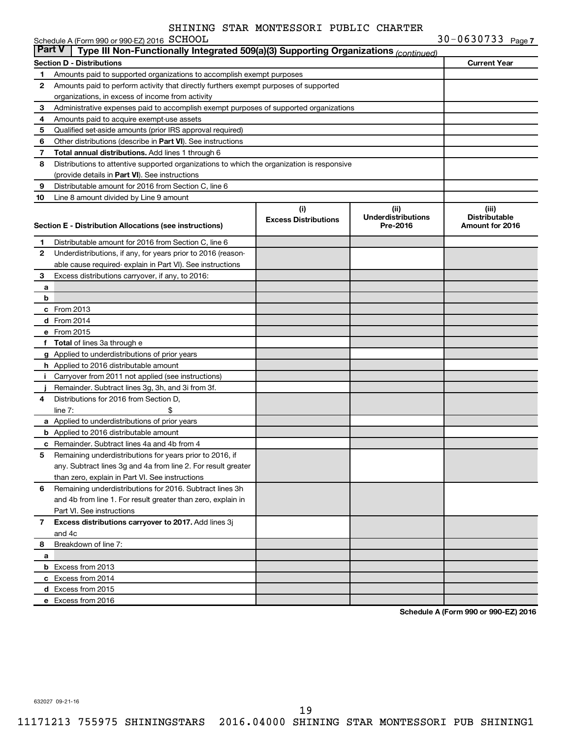|               | Schedule A (Form 990 or 990-EZ) 2016 SCHOOL                                                |                                    |                                               | $30 - 0630733$ Page 7                            |
|---------------|--------------------------------------------------------------------------------------------|------------------------------------|-----------------------------------------------|--------------------------------------------------|
| <b>Part V</b> | Type III Non-Functionally Integrated 509(a)(3) Supporting Organizations (continued)        |                                    |                                               |                                                  |
|               | <b>Section D - Distributions</b>                                                           |                                    |                                               | <b>Current Year</b>                              |
| 1             | Amounts paid to supported organizations to accomplish exempt purposes                      |                                    |                                               |                                                  |
| 2             | Amounts paid to perform activity that directly furthers exempt purposes of supported       |                                    |                                               |                                                  |
|               | organizations, in excess of income from activity                                           |                                    |                                               |                                                  |
| З             | Administrative expenses paid to accomplish exempt purposes of supported organizations      |                                    |                                               |                                                  |
| 4             | Amounts paid to acquire exempt-use assets                                                  |                                    |                                               |                                                  |
| 5             | Qualified set-aside amounts (prior IRS approval required)                                  |                                    |                                               |                                                  |
| 6             | Other distributions (describe in Part VI). See instructions                                |                                    |                                               |                                                  |
| 7             | Total annual distributions. Add lines 1 through 6                                          |                                    |                                               |                                                  |
| 8             | Distributions to attentive supported organizations to which the organization is responsive |                                    |                                               |                                                  |
|               | (provide details in Part VI). See instructions                                             |                                    |                                               |                                                  |
| 9             | Distributable amount for 2016 from Section C, line 6                                       |                                    |                                               |                                                  |
| 10            | Line 8 amount divided by Line 9 amount                                                     |                                    |                                               |                                                  |
|               | <b>Section E - Distribution Allocations (see instructions)</b>                             | (i)<br><b>Excess Distributions</b> | (ii)<br><b>Underdistributions</b><br>Pre-2016 | (iii)<br><b>Distributable</b><br>Amount for 2016 |
| 1             | Distributable amount for 2016 from Section C, line 6                                       |                                    |                                               |                                                  |
| 2             | Underdistributions, if any, for years prior to 2016 (reason-                               |                                    |                                               |                                                  |
|               | able cause required-explain in Part VI). See instructions                                  |                                    |                                               |                                                  |
| 3             | Excess distributions carryover, if any, to 2016:                                           |                                    |                                               |                                                  |
| а             |                                                                                            |                                    |                                               |                                                  |
| b             |                                                                                            |                                    |                                               |                                                  |
|               | c From 2013                                                                                |                                    |                                               |                                                  |
|               | <b>d</b> From 2014                                                                         |                                    |                                               |                                                  |
|               | e From 2015                                                                                |                                    |                                               |                                                  |
|               | f Total of lines 3a through e                                                              |                                    |                                               |                                                  |
|               | g Applied to underdistributions of prior years                                             |                                    |                                               |                                                  |
|               | <b>h</b> Applied to 2016 distributable amount                                              |                                    |                                               |                                                  |
| Ť.            | Carryover from 2011 not applied (see instructions)                                         |                                    |                                               |                                                  |
|               | Remainder. Subtract lines 3g, 3h, and 3i from 3f.                                          |                                    |                                               |                                                  |
| 4             | Distributions for 2016 from Section D.                                                     |                                    |                                               |                                                  |
|               | line $7:$                                                                                  |                                    |                                               |                                                  |
|               | a Applied to underdistributions of prior years                                             |                                    |                                               |                                                  |
|               | <b>b</b> Applied to 2016 distributable amount                                              |                                    |                                               |                                                  |
|               | <b>c</b> Remainder. Subtract lines 4a and 4b from 4                                        |                                    |                                               |                                                  |
| 5             | Remaining underdistributions for years prior to 2016, if                                   |                                    |                                               |                                                  |
|               | any. Subtract lines 3g and 4a from line 2. For result greater                              |                                    |                                               |                                                  |
|               | than zero, explain in Part VI. See instructions                                            |                                    |                                               |                                                  |
| 6             | Remaining underdistributions for 2016. Subtract lines 3h                                   |                                    |                                               |                                                  |
|               | and 4b from line 1. For result greater than zero, explain in                               |                                    |                                               |                                                  |
|               | Part VI. See instructions                                                                  |                                    |                                               |                                                  |
| 7             | Excess distributions carryover to 2017. Add lines 3j                                       |                                    |                                               |                                                  |
|               | and 4c                                                                                     |                                    |                                               |                                                  |
| 8             | Breakdown of line 7:                                                                       |                                    |                                               |                                                  |
| a             |                                                                                            |                                    |                                               |                                                  |
|               | <b>b</b> Excess from 2013                                                                  |                                    |                                               |                                                  |
|               | c Excess from 2014                                                                         |                                    |                                               |                                                  |
|               | d Excess from 2015                                                                         |                                    |                                               |                                                  |
|               | e Excess from 2016                                                                         |                                    |                                               |                                                  |

**Schedule A (Form 990 or 990-EZ) 2016**

632027 09-21-16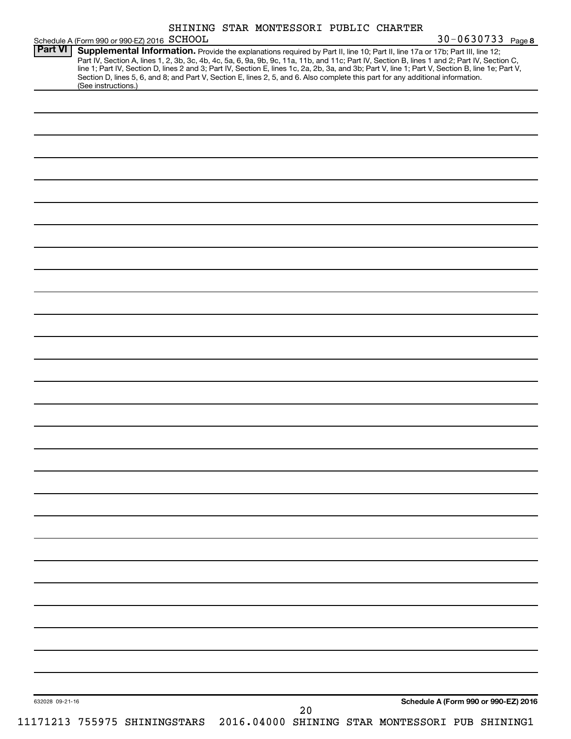|                 | Schedule A (Form 990 or 990-EZ) 2016 SCHOOL                                                                                                                                                                                                                                         | SHINING STAR MONTESSORI PUBLIC CHARTER |    |  | 30-0630733 Page 8                               |
|-----------------|-------------------------------------------------------------------------------------------------------------------------------------------------------------------------------------------------------------------------------------------------------------------------------------|----------------------------------------|----|--|-------------------------------------------------|
| <b>Part VI</b>  | Supplemental Information. Provide the explanations required by Part II, line 10; Part II, line 17a or 17b; Part III, line 12;                                                                                                                                                       |                                        |    |  |                                                 |
|                 | Part IV, Section A, lines 1, 2, 3b, 3c, 4b, 4c, 5a, 6, 9a, 9b, 9c, 11a, 11b, and 11c; Part IV, Section B, lines 1 and 2; Part IV, Section C,                                                                                                                                        |                                        |    |  |                                                 |
|                 | line 1; Part IV, Section D, lines 2 and 3; Part IV, Section E, lines 1c, 2a, 2b, 3a, and 3b; Part V, line 1; Part V, Section B, line 1e; Part V,<br>Section D, lines 5, 6, and 8; and Part V, Section E, lines 2, 5, and 6. Also complete this part for any additional information. |                                        |    |  |                                                 |
|                 | (See instructions.)                                                                                                                                                                                                                                                                 |                                        |    |  |                                                 |
|                 |                                                                                                                                                                                                                                                                                     |                                        |    |  |                                                 |
|                 |                                                                                                                                                                                                                                                                                     |                                        |    |  |                                                 |
|                 |                                                                                                                                                                                                                                                                                     |                                        |    |  |                                                 |
|                 |                                                                                                                                                                                                                                                                                     |                                        |    |  |                                                 |
|                 |                                                                                                                                                                                                                                                                                     |                                        |    |  |                                                 |
|                 |                                                                                                                                                                                                                                                                                     |                                        |    |  |                                                 |
|                 |                                                                                                                                                                                                                                                                                     |                                        |    |  |                                                 |
|                 |                                                                                                                                                                                                                                                                                     |                                        |    |  |                                                 |
|                 |                                                                                                                                                                                                                                                                                     |                                        |    |  |                                                 |
|                 |                                                                                                                                                                                                                                                                                     |                                        |    |  |                                                 |
|                 |                                                                                                                                                                                                                                                                                     |                                        |    |  |                                                 |
|                 |                                                                                                                                                                                                                                                                                     |                                        |    |  |                                                 |
|                 |                                                                                                                                                                                                                                                                                     |                                        |    |  |                                                 |
|                 |                                                                                                                                                                                                                                                                                     |                                        |    |  |                                                 |
|                 |                                                                                                                                                                                                                                                                                     |                                        |    |  |                                                 |
|                 |                                                                                                                                                                                                                                                                                     |                                        |    |  |                                                 |
|                 |                                                                                                                                                                                                                                                                                     |                                        |    |  |                                                 |
|                 |                                                                                                                                                                                                                                                                                     |                                        |    |  |                                                 |
|                 |                                                                                                                                                                                                                                                                                     |                                        |    |  |                                                 |
|                 |                                                                                                                                                                                                                                                                                     |                                        |    |  |                                                 |
|                 |                                                                                                                                                                                                                                                                                     |                                        |    |  |                                                 |
|                 |                                                                                                                                                                                                                                                                                     |                                        |    |  |                                                 |
|                 |                                                                                                                                                                                                                                                                                     |                                        |    |  |                                                 |
|                 |                                                                                                                                                                                                                                                                                     |                                        |    |  |                                                 |
|                 |                                                                                                                                                                                                                                                                                     |                                        |    |  |                                                 |
|                 |                                                                                                                                                                                                                                                                                     |                                        |    |  |                                                 |
|                 |                                                                                                                                                                                                                                                                                     |                                        |    |  |                                                 |
|                 |                                                                                                                                                                                                                                                                                     |                                        |    |  |                                                 |
|                 |                                                                                                                                                                                                                                                                                     |                                        |    |  |                                                 |
|                 |                                                                                                                                                                                                                                                                                     |                                        |    |  |                                                 |
|                 |                                                                                                                                                                                                                                                                                     |                                        |    |  |                                                 |
|                 |                                                                                                                                                                                                                                                                                     |                                        |    |  |                                                 |
|                 |                                                                                                                                                                                                                                                                                     |                                        |    |  |                                                 |
|                 |                                                                                                                                                                                                                                                                                     |                                        |    |  |                                                 |
|                 |                                                                                                                                                                                                                                                                                     |                                        |    |  |                                                 |
|                 |                                                                                                                                                                                                                                                                                     |                                        |    |  |                                                 |
|                 |                                                                                                                                                                                                                                                                                     |                                        |    |  |                                                 |
|                 |                                                                                                                                                                                                                                                                                     |                                        |    |  |                                                 |
|                 |                                                                                                                                                                                                                                                                                     |                                        |    |  |                                                 |
|                 |                                                                                                                                                                                                                                                                                     |                                        |    |  |                                                 |
|                 |                                                                                                                                                                                                                                                                                     |                                        |    |  |                                                 |
|                 |                                                                                                                                                                                                                                                                                     |                                        |    |  |                                                 |
|                 |                                                                                                                                                                                                                                                                                     |                                        |    |  |                                                 |
|                 |                                                                                                                                                                                                                                                                                     |                                        |    |  |                                                 |
|                 |                                                                                                                                                                                                                                                                                     |                                        |    |  |                                                 |
|                 |                                                                                                                                                                                                                                                                                     |                                        |    |  |                                                 |
|                 |                                                                                                                                                                                                                                                                                     |                                        |    |  |                                                 |
|                 |                                                                                                                                                                                                                                                                                     |                                        |    |  |                                                 |
|                 |                                                                                                                                                                                                                                                                                     |                                        |    |  |                                                 |
|                 |                                                                                                                                                                                                                                                                                     |                                        |    |  |                                                 |
|                 |                                                                                                                                                                                                                                                                                     |                                        |    |  |                                                 |
|                 |                                                                                                                                                                                                                                                                                     |                                        |    |  | Schedule A (Form 990 or 990-EZ) 2016            |
| 632028 09-21-16 |                                                                                                                                                                                                                                                                                     |                                        | 20 |  |                                                 |
|                 | 11171213 755975 SHININGSTARS                                                                                                                                                                                                                                                        |                                        |    |  | 2016.04000 SHINING STAR MONTESSORI PUB SHINING1 |
|                 |                                                                                                                                                                                                                                                                                     |                                        |    |  |                                                 |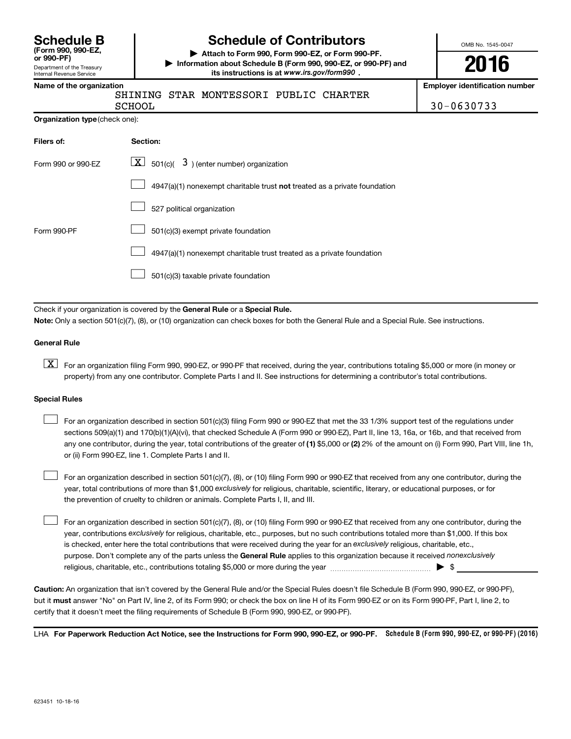| <b>Schedule B</b>     |  |  |
|-----------------------|--|--|
| (Form 990, 990-EZ,    |  |  |
| $or$ QQ $\Omega$ _DF) |  |  |

Department of the Treasury Internal Revenue Service

# **Schedule of Contributors**

**or 990-PF) | Attach to Form 990, Form 990-EZ, or Form 990-PF. | Information about Schedule B (Form 990, 990-EZ, or 990-PF) and** its instructions is at www.irs.gov/form990.

OMB No. 1545-0047

**2016**

**Name of the organization Employer identification number**

| ------- |
|---------|
| SCHOO   |

SHINING STAR MONTESSORI PUBLIC CHARTER

 $\sim$  30-0630733

| Organization type (check one): |
|--------------------------------|
|                                |

| Filers of:         | Section:                                                                           |
|--------------------|------------------------------------------------------------------------------------|
| Form 990 or 990-EZ | $\lfloor x \rfloor$ 501(c)( 3) (enter number) organization                         |
|                    | $4947(a)(1)$ nonexempt charitable trust <b>not</b> treated as a private foundation |
|                    | 527 political organization                                                         |
| Form 990-PF        | 501(c)(3) exempt private foundation                                                |
|                    | 4947(a)(1) nonexempt charitable trust treated as a private foundation              |
|                    | 501(c)(3) taxable private foundation                                               |

Check if your organization is covered by the General Rule or a Special Rule.

**Note:**  Only a section 501(c)(7), (8), or (10) organization can check boxes for both the General Rule and a Special Rule. See instructions.

#### **General Rule**

**K** For an organization filing Form 990, 990-EZ, or 990-PF that received, during the year, contributions totaling \$5,000 or more (in money or property) from any one contributor. Complete Parts I and II. See instructions for determining a contributor's total contributions.

#### **Special Rules**

 $\Box$ 

any one contributor, during the year, total contributions of the greater of **(1)** \$5,000 or **(2)** 2% of the amount on (i) Form 990, Part VIII, line 1h, For an organization described in section 501(c)(3) filing Form 990 or 990-EZ that met the 33 1/3% support test of the regulations under sections 509(a)(1) and 170(b)(1)(A)(vi), that checked Schedule A (Form 990 or 990-EZ), Part II, line 13, 16a, or 16b, and that received from or (ii) Form 990-EZ, line 1. Complete Parts I and II.  $\Box$ 

year, total contributions of more than \$1,000 *exclusively* for religious, charitable, scientific, literary, or educational purposes, or for For an organization described in section 501(c)(7), (8), or (10) filing Form 990 or 990-EZ that received from any one contributor, during the the prevention of cruelty to children or animals. Complete Parts I, II, and III.  $\Box$ 

purpose. Don't complete any of the parts unless the General Rule applies to this organization because it received nonexclusively year, contributions exclusively for religious, charitable, etc., purposes, but no such contributions totaled more than \$1,000. If this box is checked, enter here the total contributions that were received during the year for an exclusively religious, charitable, etc., For an organization described in section 501(c)(7), (8), or (10) filing Form 990 or 990-EZ that received from any one contributor, during the religious, charitable, etc., contributions totaling \$5,000 or more during the year  $\ldots$  $\ldots$  $\ldots$  $\ldots$  $\ldots$  $\ldots$ 

**Caution:**  An organization that isn't covered by the General Rule and/or the Special Rules doesn't file Schedule B (Form 990, 990-EZ, or 990-PF),  **must** but it answer "No" on Part IV, line 2, of its Form 990; or check the box on line H of its Form 990-EZ or on its Form 990-PF, Part I, line 2, to certify that it doesn't meet the filing requirements of Schedule B (Form 990, 990-EZ, or 990-PF).

LHA For Paperwork Reduction Act Notice, see the Instructions for Form 990, 990-EZ, or 990-PF. Schedule B (Form 990, 990-EZ, or 990-PF) (2016)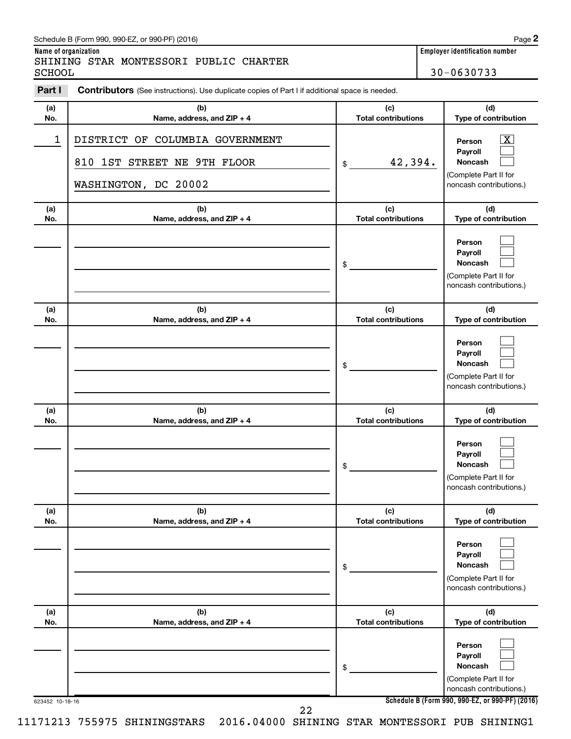## Schedule B (Form 990, 990-EZ, or 990-PF) (2016)

SHINING STAR MONTESSORI PUBLIC CHARTER SCHOOL 30-0630733

**Name of organization Employer identification number**

|            | <b>Contributors</b> (See instructions). Use duplicate copies of Part I if additional space is needed. |                                   |                                                                                                             |
|------------|-------------------------------------------------------------------------------------------------------|-----------------------------------|-------------------------------------------------------------------------------------------------------------|
| (a)<br>No. | (b)<br>Name, address, and ZIP + 4                                                                     | (c)<br><b>Total contributions</b> | (d)<br>Type of contribution                                                                                 |
| 1          | DISTRICT OF COLUMBIA GOVERNMENT<br>810 1ST STREET NE 9TH FLOOR<br>WASHINGTON, DC 20002                | 42,394.<br>\$                     | $\overline{\mathbf{X}}$<br>Person<br>Payroll<br>Noncash<br>(Complete Part II for<br>noncash contributions.) |
| (a)<br>No. | (b)<br>Name, address, and ZIP + 4                                                                     | (c)<br><b>Total contributions</b> | (d)<br>Type of contribution                                                                                 |
|            |                                                                                                       | \$                                | Person<br>Payroll<br>Noncash<br>(Complete Part II for<br>noncash contributions.)                            |
| (a)<br>No. | (b)<br>Name, address, and ZIP + 4                                                                     | (c)<br><b>Total contributions</b> | (d)<br>Type of contribution                                                                                 |
|            |                                                                                                       | \$                                | Person<br>Payroll<br>Noncash<br>(Complete Part II for<br>noncash contributions.)                            |
| (a)<br>No. | (b)<br>Name, address, and ZIP + 4                                                                     | (c)<br><b>Total contributions</b> | (d)<br>Type of contribution                                                                                 |
|            |                                                                                                       | \$                                | Person<br>Payroll<br>Noncash<br>(Complete Part II for<br>noncash contributions.)                            |
| (a)<br>No. | (b)<br>Name, address, and ZIP + 4                                                                     | (c)<br><b>Total contributions</b> | (d)<br>Type of contribution                                                                                 |
|            |                                                                                                       | \$                                | Person<br>Payroll<br>Noncash<br>(Complete Part II for<br>noncash contributions.)                            |
| (a)<br>No. | (b)<br>Name, address, and ZIP + 4                                                                     | (c)<br><b>Total contributions</b> | (d)<br>Type of contribution                                                                                 |
|            |                                                                                                       | \$                                | Person<br>Payroll<br>Noncash<br>(Complete Part II for<br>noncash contributions.)                            |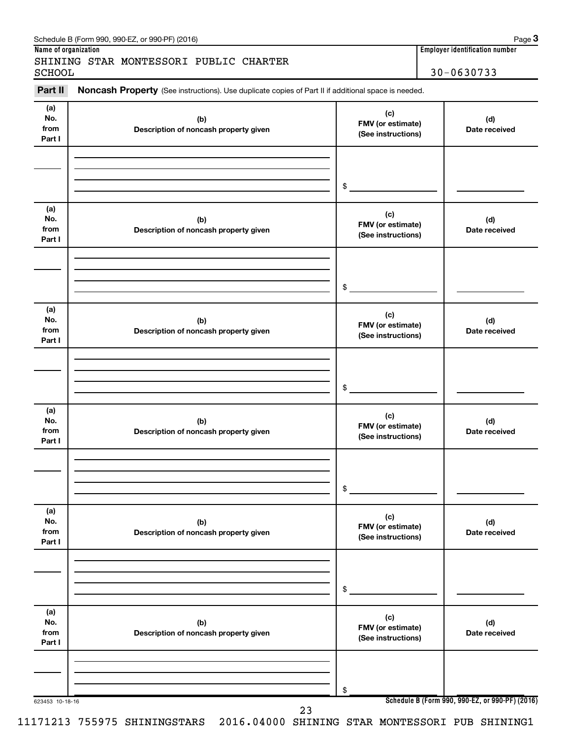| <b>SCHOOL</b>                |                                                                                                     |                                                | $30 - 0630733$       |
|------------------------------|-----------------------------------------------------------------------------------------------------|------------------------------------------------|----------------------|
| Part II                      | Noncash Property (See instructions). Use duplicate copies of Part II if additional space is needed. |                                                |                      |
| (a)<br>No.<br>from<br>Part I | (b)<br>Description of noncash property given                                                        | (c)<br>FMV (or estimate)<br>(See instructions) | (d)<br>Date received |
|                              |                                                                                                     | \$                                             |                      |
| (a)<br>No.<br>from<br>Part I | (b)<br>Description of noncash property given                                                        | (c)<br>FMV (or estimate)<br>(See instructions) | (d)<br>Date received |
|                              |                                                                                                     | \$                                             |                      |
| (a)<br>No.<br>from<br>Part I | (b)<br>Description of noncash property given                                                        | (c)<br>FMV (or estimate)<br>(See instructions) | (d)<br>Date received |
|                              |                                                                                                     | \$                                             |                      |
| (a)<br>No.<br>from<br>Part I | (b)<br>Description of noncash property given                                                        | (c)<br>FMV (or estimate)<br>(See instructions) | (d)<br>Date received |
|                              |                                                                                                     | \$                                             |                      |
| (a)<br>No.<br>from<br>Part I | (b)<br>Description of noncash property given                                                        | (c)<br>FMV (or estimate)<br>(See instructions) | (d)<br>Date received |
|                              |                                                                                                     | \$                                             |                      |
| (a)<br>No.<br>from<br>Part I | (b)<br>Description of noncash property given                                                        | (c)<br>FMV (or estimate)<br>(See instructions) | (d)<br>Date received |
|                              |                                                                                                     | \$                                             |                      |

Schedule B (Form 990, 990-EZ, or 990-PF) (2016)

11171213 755975 SHININGSTARS 2016.04000 SHINING STAR MONTESSORI PUB SHINING1

**3**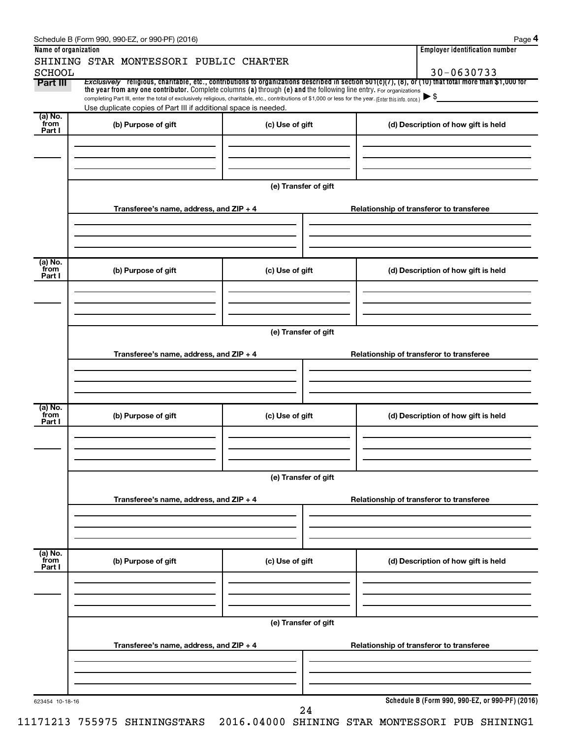|                           | Schedule B (Form 990, 990-EZ, or 990-PF) (2016)                                                                                                                                                                             |                      |                                          | Page 4                                          |  |  |  |  |
|---------------------------|-----------------------------------------------------------------------------------------------------------------------------------------------------------------------------------------------------------------------------|----------------------|------------------------------------------|-------------------------------------------------|--|--|--|--|
| Name of organization      |                                                                                                                                                                                                                             |                      |                                          | <b>Employer identification number</b>           |  |  |  |  |
|                           | SHINING STAR MONTESSORI PUBLIC CHARTER                                                                                                                                                                                      |                      |                                          |                                                 |  |  |  |  |
| <b>SCHOOL</b><br>Part III | Exclusively religious, charitable, etc., contributions to organizations described in section 501(c)(7), (8), or (10) that total more than \$1,000 for                                                                       |                      |                                          | 30-0630733                                      |  |  |  |  |
|                           | the year from any one contributor. Complete columns (a) through (e) and the following line entry. For organizations                                                                                                         |                      |                                          |                                                 |  |  |  |  |
|                           | completing Part III, enter the total of exclusively religious, charitable, etc., contributions of \$1,000 or less for the year. (Enter this info. once.)<br>Use duplicate copies of Part III if additional space is needed. |                      |                                          | $\blacktriangleright$ \$                        |  |  |  |  |
| (a) No.                   |                                                                                                                                                                                                                             |                      |                                          |                                                 |  |  |  |  |
| from<br>Part I            | (b) Purpose of gift                                                                                                                                                                                                         | (c) Use of gift      |                                          | (d) Description of how gift is held             |  |  |  |  |
|                           |                                                                                                                                                                                                                             |                      |                                          |                                                 |  |  |  |  |
|                           |                                                                                                                                                                                                                             |                      |                                          |                                                 |  |  |  |  |
|                           |                                                                                                                                                                                                                             |                      |                                          |                                                 |  |  |  |  |
|                           |                                                                                                                                                                                                                             |                      |                                          |                                                 |  |  |  |  |
|                           |                                                                                                                                                                                                                             | (e) Transfer of gift |                                          |                                                 |  |  |  |  |
|                           |                                                                                                                                                                                                                             |                      | Relationship of transferor to transferee |                                                 |  |  |  |  |
|                           | Transferee's name, address, and ZIP + 4                                                                                                                                                                                     |                      |                                          |                                                 |  |  |  |  |
|                           |                                                                                                                                                                                                                             |                      |                                          |                                                 |  |  |  |  |
|                           |                                                                                                                                                                                                                             |                      |                                          |                                                 |  |  |  |  |
|                           |                                                                                                                                                                                                                             |                      |                                          |                                                 |  |  |  |  |
| (a) No.<br>`from          | (b) Purpose of gift                                                                                                                                                                                                         | (c) Use of gift      |                                          | (d) Description of how gift is held             |  |  |  |  |
| Part I                    |                                                                                                                                                                                                                             |                      |                                          |                                                 |  |  |  |  |
|                           |                                                                                                                                                                                                                             |                      |                                          |                                                 |  |  |  |  |
|                           |                                                                                                                                                                                                                             |                      |                                          |                                                 |  |  |  |  |
|                           |                                                                                                                                                                                                                             |                      |                                          |                                                 |  |  |  |  |
|                           |                                                                                                                                                                                                                             | (e) Transfer of gift |                                          |                                                 |  |  |  |  |
|                           |                                                                                                                                                                                                                             |                      |                                          |                                                 |  |  |  |  |
|                           | Transferee's name, address, and ZIP + 4                                                                                                                                                                                     |                      | Relationship of transferor to transferee |                                                 |  |  |  |  |
|                           |                                                                                                                                                                                                                             |                      |                                          |                                                 |  |  |  |  |
|                           |                                                                                                                                                                                                                             |                      |                                          |                                                 |  |  |  |  |
|                           |                                                                                                                                                                                                                             |                      |                                          |                                                 |  |  |  |  |
| (a) No.                   |                                                                                                                                                                                                                             |                      |                                          |                                                 |  |  |  |  |
| from<br>Part I            | (b) Purpose of gift                                                                                                                                                                                                         | (c) Use of gift      |                                          | (d) Description of how gift is held             |  |  |  |  |
|                           |                                                                                                                                                                                                                             |                      |                                          |                                                 |  |  |  |  |
|                           |                                                                                                                                                                                                                             |                      |                                          |                                                 |  |  |  |  |
|                           |                                                                                                                                                                                                                             |                      |                                          |                                                 |  |  |  |  |
|                           |                                                                                                                                                                                                                             |                      |                                          |                                                 |  |  |  |  |
|                           | (e) Transfer of gift                                                                                                                                                                                                        |                      |                                          |                                                 |  |  |  |  |
|                           | Transferee's name, address, and ZIP + 4                                                                                                                                                                                     |                      | Relationship of transferor to transferee |                                                 |  |  |  |  |
|                           |                                                                                                                                                                                                                             |                      |                                          |                                                 |  |  |  |  |
|                           |                                                                                                                                                                                                                             |                      |                                          |                                                 |  |  |  |  |
|                           |                                                                                                                                                                                                                             |                      |                                          |                                                 |  |  |  |  |
| (a) No.                   |                                                                                                                                                                                                                             |                      |                                          |                                                 |  |  |  |  |
| `from<br>Part I           | (b) Purpose of gift                                                                                                                                                                                                         | (c) Use of gift      |                                          | (d) Description of how gift is held             |  |  |  |  |
|                           |                                                                                                                                                                                                                             |                      |                                          |                                                 |  |  |  |  |
|                           |                                                                                                                                                                                                                             |                      |                                          |                                                 |  |  |  |  |
|                           |                                                                                                                                                                                                                             |                      |                                          |                                                 |  |  |  |  |
|                           |                                                                                                                                                                                                                             |                      |                                          |                                                 |  |  |  |  |
|                           | (e) Transfer of gift                                                                                                                                                                                                        |                      |                                          |                                                 |  |  |  |  |
|                           |                                                                                                                                                                                                                             |                      |                                          |                                                 |  |  |  |  |
|                           | Transferee's name, address, and ZIP + 4                                                                                                                                                                                     |                      |                                          | Relationship of transferor to transferee        |  |  |  |  |
|                           |                                                                                                                                                                                                                             |                      |                                          |                                                 |  |  |  |  |
|                           |                                                                                                                                                                                                                             |                      |                                          |                                                 |  |  |  |  |
|                           |                                                                                                                                                                                                                             |                      |                                          |                                                 |  |  |  |  |
| 623454 10-18-16           |                                                                                                                                                                                                                             |                      |                                          | Schedule B (Form 990, 990-EZ, or 990-PF) (2016) |  |  |  |  |
|                           |                                                                                                                                                                                                                             | 24                   |                                          |                                                 |  |  |  |  |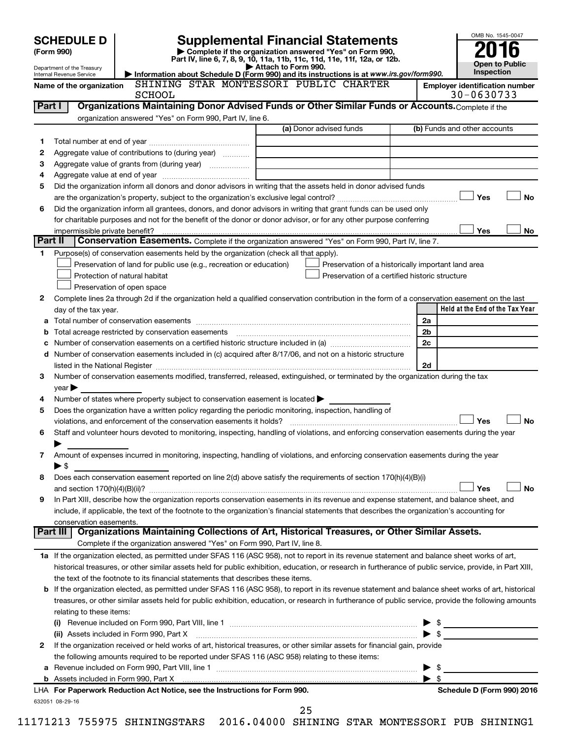|         | <b>SCHEDULE D</b>                                           |                                                                                                        | <b>Supplemental Financial Statements</b>                                                                                                                                                                                                | OMB No. 1545-0047                     |  |  |  |  |  |  |
|---------|-------------------------------------------------------------|--------------------------------------------------------------------------------------------------------|-----------------------------------------------------------------------------------------------------------------------------------------------------------------------------------------------------------------------------------------|---------------------------------------|--|--|--|--|--|--|
|         | (Form 990)                                                  |                                                                                                        | Complete if the organization answered "Yes" on Form 990,<br>Part IV, line 6, 7, 8, 9, 10, 11a, 11b, 11c, 11d, 11e, 11f, 12a, or 12b.                                                                                                    |                                       |  |  |  |  |  |  |
|         | Department of the Treasury                                  |                                                                                                        | Attach to Form 990.                                                                                                                                                                                                                     | <b>Open to Public</b><br>Inspection   |  |  |  |  |  |  |
|         | Internal Revenue Service<br>Name of the organization        |                                                                                                        | Information about Schedule D (Form 990) and its instructions is at www.irs.gov/form990.<br>SHINING STAR MONTESSORI PUBLIC CHARTER                                                                                                       | <b>Employer identification number</b> |  |  |  |  |  |  |
|         |                                                             | <b>SCHOOL</b>                                                                                          |                                                                                                                                                                                                                                         | 30-0630733                            |  |  |  |  |  |  |
| Part I  |                                                             |                                                                                                        | Organizations Maintaining Donor Advised Funds or Other Similar Funds or Accounts. Complete if the                                                                                                                                       |                                       |  |  |  |  |  |  |
|         |                                                             | organization answered "Yes" on Form 990, Part IV, line 6.                                              |                                                                                                                                                                                                                                         |                                       |  |  |  |  |  |  |
|         |                                                             |                                                                                                        | (a) Donor advised funds                                                                                                                                                                                                                 | (b) Funds and other accounts          |  |  |  |  |  |  |
| 1       |                                                             |                                                                                                        |                                                                                                                                                                                                                                         |                                       |  |  |  |  |  |  |
| 2       |                                                             | Aggregate value of contributions to (during year)                                                      |                                                                                                                                                                                                                                         |                                       |  |  |  |  |  |  |
| з       | the control of the control of the control of the control of |                                                                                                        |                                                                                                                                                                                                                                         |                                       |  |  |  |  |  |  |
| 4       |                                                             |                                                                                                        |                                                                                                                                                                                                                                         |                                       |  |  |  |  |  |  |
| 5       |                                                             |                                                                                                        | Did the organization inform all donors and donor advisors in writing that the assets held in donor advised funds                                                                                                                        |                                       |  |  |  |  |  |  |
|         |                                                             |                                                                                                        |                                                                                                                                                                                                                                         | Yes<br><b>No</b>                      |  |  |  |  |  |  |
| 6       |                                                             |                                                                                                        | Did the organization inform all grantees, donors, and donor advisors in writing that grant funds can be used only<br>for charitable purposes and not for the benefit of the donor or donor advisor, or for any other purpose conferring |                                       |  |  |  |  |  |  |
|         | impermissible private benefit?                              |                                                                                                        |                                                                                                                                                                                                                                         | Yes<br>No                             |  |  |  |  |  |  |
| Part II |                                                             |                                                                                                        | Conservation Easements. Complete if the organization answered "Yes" on Form 990, Part IV, line 7.                                                                                                                                       |                                       |  |  |  |  |  |  |
| 1       |                                                             | Purpose(s) of conservation easements held by the organization (check all that apply).                  |                                                                                                                                                                                                                                         |                                       |  |  |  |  |  |  |
|         |                                                             | Preservation of land for public use (e.g., recreation or education)                                    | Preservation of a historically important land area                                                                                                                                                                                      |                                       |  |  |  |  |  |  |
|         |                                                             | Protection of natural habitat                                                                          | Preservation of a certified historic structure                                                                                                                                                                                          |                                       |  |  |  |  |  |  |
|         |                                                             | Preservation of open space                                                                             |                                                                                                                                                                                                                                         |                                       |  |  |  |  |  |  |
| 2       |                                                             |                                                                                                        | Complete lines 2a through 2d if the organization held a qualified conservation contribution in the form of a conservation easement on the last                                                                                          |                                       |  |  |  |  |  |  |
|         | day of the tax year.                                        |                                                                                                        |                                                                                                                                                                                                                                         | Held at the End of the Tax Year       |  |  |  |  |  |  |
|         |                                                             |                                                                                                        |                                                                                                                                                                                                                                         | 2a                                    |  |  |  |  |  |  |
| b       |                                                             | Total acreage restricted by conservation easements                                                     |                                                                                                                                                                                                                                         | 2b                                    |  |  |  |  |  |  |
|         |                                                             |                                                                                                        |                                                                                                                                                                                                                                         | 2c                                    |  |  |  |  |  |  |
|         |                                                             |                                                                                                        | d Number of conservation easements included in (c) acquired after 8/17/06, and not on a historic structure                                                                                                                              |                                       |  |  |  |  |  |  |
|         |                                                             |                                                                                                        |                                                                                                                                                                                                                                         | 2d                                    |  |  |  |  |  |  |
| 3       |                                                             |                                                                                                        | Number of conservation easements modified, transferred, released, extinguished, or terminated by the organization during the tax                                                                                                        |                                       |  |  |  |  |  |  |
|         | year                                                        |                                                                                                        |                                                                                                                                                                                                                                         |                                       |  |  |  |  |  |  |
| 4       |                                                             | Number of states where property subject to conservation easement is located >                          |                                                                                                                                                                                                                                         |                                       |  |  |  |  |  |  |
| 5       |                                                             | Does the organization have a written policy regarding the periodic monitoring, inspection, handling of |                                                                                                                                                                                                                                         | <b>No</b><br>Yes                      |  |  |  |  |  |  |
| 6       |                                                             | violations, and enforcement of the conservation easements it holds?                                    | Staff and volunteer hours devoted to monitoring, inspecting, handling of violations, and enforcing conservation easements during the year                                                                                               |                                       |  |  |  |  |  |  |
|         |                                                             |                                                                                                        |                                                                                                                                                                                                                                         |                                       |  |  |  |  |  |  |
| 7       |                                                             |                                                                                                        | Amount of expenses incurred in monitoring, inspecting, handling of violations, and enforcing conservation easements during the year                                                                                                     |                                       |  |  |  |  |  |  |
|         | $\blacktriangleright$ \$                                    |                                                                                                        |                                                                                                                                                                                                                                         |                                       |  |  |  |  |  |  |
| 8       |                                                             |                                                                                                        | Does each conservation easement reported on line $2(d)$ above satisfy the requirements of section 170(h)(4)(B)(i)                                                                                                                       |                                       |  |  |  |  |  |  |
|         |                                                             |                                                                                                        |                                                                                                                                                                                                                                         | <b>No</b><br>Yes                      |  |  |  |  |  |  |
| 9       |                                                             |                                                                                                        | In Part XIII, describe how the organization reports conservation easements in its revenue and expense statement, and balance sheet, and                                                                                                 |                                       |  |  |  |  |  |  |
|         |                                                             |                                                                                                        | include, if applicable, the text of the footnote to the organization's financial statements that describes the organization's accounting for                                                                                            |                                       |  |  |  |  |  |  |
|         | conservation easements.                                     |                                                                                                        |                                                                                                                                                                                                                                         |                                       |  |  |  |  |  |  |
|         | Part III                                                    |                                                                                                        | Organizations Maintaining Collections of Art, Historical Treasures, or Other Similar Assets.                                                                                                                                            |                                       |  |  |  |  |  |  |
|         |                                                             | Complete if the organization answered "Yes" on Form 990, Part IV, line 8.                              |                                                                                                                                                                                                                                         |                                       |  |  |  |  |  |  |
|         |                                                             |                                                                                                        | 1a If the organization elected, as permitted under SFAS 116 (ASC 958), not to report in its revenue statement and balance sheet works of art,                                                                                           |                                       |  |  |  |  |  |  |
|         |                                                             |                                                                                                        | historical treasures, or other similar assets held for public exhibition, education, or research in furtherance of public service, provide, in Part XIII,                                                                               |                                       |  |  |  |  |  |  |
|         |                                                             | the text of the footnote to its financial statements that describes these items.                       |                                                                                                                                                                                                                                         |                                       |  |  |  |  |  |  |
|         |                                                             |                                                                                                        | <b>b</b> If the organization elected, as permitted under SFAS 116 (ASC 958), to report in its revenue statement and balance sheet works of art, historical                                                                              |                                       |  |  |  |  |  |  |
|         |                                                             |                                                                                                        | treasures, or other similar assets held for public exhibition, education, or research in furtherance of public service, provide the following amounts                                                                                   |                                       |  |  |  |  |  |  |
|         | relating to these items:                                    |                                                                                                        |                                                                                                                                                                                                                                         |                                       |  |  |  |  |  |  |
|         |                                                             | (ii) Assets included in Form 990, Part X                                                               |                                                                                                                                                                                                                                         | $\frac{1}{2}$                         |  |  |  |  |  |  |
| 2       |                                                             |                                                                                                        | If the organization received or held works of art, historical treasures, or other similar assets for financial gain, provide                                                                                                            |                                       |  |  |  |  |  |  |
|         |                                                             | the following amounts required to be reported under SFAS 116 (ASC 958) relating to these items:        |                                                                                                                                                                                                                                         |                                       |  |  |  |  |  |  |
| а       |                                                             |                                                                                                        |                                                                                                                                                                                                                                         | \$                                    |  |  |  |  |  |  |
|         |                                                             |                                                                                                        | b Assets included in Form 990, Part X [11] matter is a substitute that is a set of the state of the state of the state of the state of the state of the state of the state of the state of the state of the state of the state          | $\blacktriangleright$ s               |  |  |  |  |  |  |
|         |                                                             | LHA For Paperwork Reduction Act Notice, see the Instructions for Form 990.                             |                                                                                                                                                                                                                                         | Schedule D (Form 990) 2016            |  |  |  |  |  |  |
|         | 632051 08-29-16                                             |                                                                                                        |                                                                                                                                                                                                                                         |                                       |  |  |  |  |  |  |
|         |                                                             |                                                                                                        | 25                                                                                                                                                                                                                                      |                                       |  |  |  |  |  |  |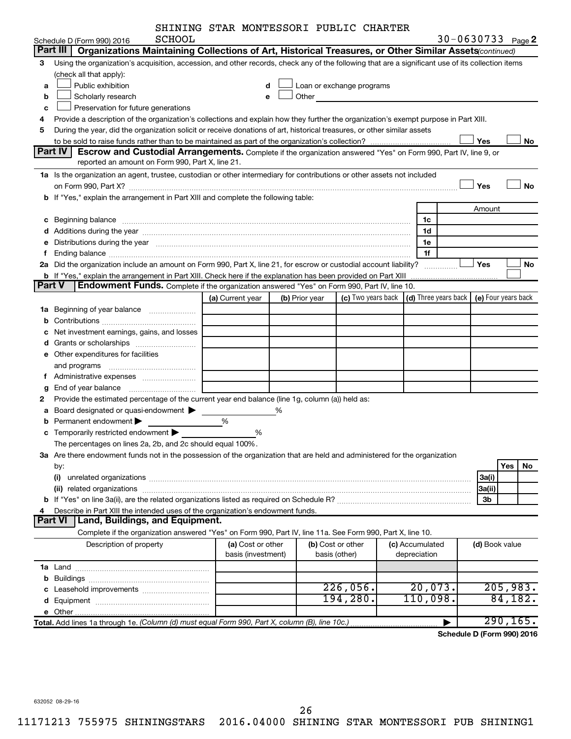| SHINING STAR MONTESSORI PUBLIC CHARTER |  |  |  |  |  |
|----------------------------------------|--|--|--|--|--|
|----------------------------------------|--|--|--|--|--|

|        |                                                                                                                                                                                                                                | SHINING STAR MONTESSORI PUBLIC CHARTER |   |                |                                                                                                                                                                                                                                      |                 |                     |                     |  |
|--------|--------------------------------------------------------------------------------------------------------------------------------------------------------------------------------------------------------------------------------|----------------------------------------|---|----------------|--------------------------------------------------------------------------------------------------------------------------------------------------------------------------------------------------------------------------------------|-----------------|---------------------|---------------------|--|
|        | SCHOOL<br>Schedule D (Form 990) 2016                                                                                                                                                                                           |                                        |   |                |                                                                                                                                                                                                                                      |                 | 30-0630733 $Page 2$ |                     |  |
|        | Part III<br>Organizations Maintaining Collections of Art, Historical Treasures, or Other Similar Assets (continued)                                                                                                            |                                        |   |                |                                                                                                                                                                                                                                      |                 |                     |                     |  |
| з      | Using the organization's acquisition, accession, and other records, check any of the following that are a significant use of its collection items                                                                              |                                        |   |                |                                                                                                                                                                                                                                      |                 |                     |                     |  |
|        | (check all that apply):                                                                                                                                                                                                        |                                        |   |                |                                                                                                                                                                                                                                      |                 |                     |                     |  |
| а      | Public exhibition                                                                                                                                                                                                              |                                        |   |                | Loan or exchange programs                                                                                                                                                                                                            |                 |                     |                     |  |
| b      | Scholarly research                                                                                                                                                                                                             | e                                      |   |                | Other <u>and the set of the set of the set of the set of the set of the set of the set of the set of the set of the set of the set of the set of the set of the set of the set of the set of the set of the set of the set of th</u> |                 |                     |                     |  |
| с      | Preservation for future generations                                                                                                                                                                                            |                                        |   |                |                                                                                                                                                                                                                                      |                 |                     |                     |  |
| 4      | Provide a description of the organization's collections and explain how they further the organization's exempt purpose in Part XIII.                                                                                           |                                        |   |                |                                                                                                                                                                                                                                      |                 |                     |                     |  |
| 5      | During the year, did the organization solicit or receive donations of art, historical treasures, or other similar assets                                                                                                       |                                        |   |                |                                                                                                                                                                                                                                      |                 |                     |                     |  |
|        |                                                                                                                                                                                                                                |                                        |   |                |                                                                                                                                                                                                                                      |                 | Yes                 | No                  |  |
|        | Part IV<br>Escrow and Custodial Arrangements. Complete if the organization answered "Yes" on Form 990, Part IV, line 9, or                                                                                                     |                                        |   |                |                                                                                                                                                                                                                                      |                 |                     |                     |  |
|        | reported an amount on Form 990, Part X, line 21.                                                                                                                                                                               |                                        |   |                |                                                                                                                                                                                                                                      |                 |                     |                     |  |
|        | 1a Is the organization an agent, trustee, custodian or other intermediary for contributions or other assets not included                                                                                                       |                                        |   |                |                                                                                                                                                                                                                                      |                 |                     |                     |  |
|        | on Form 990, Part X? [11] The Content of The Content of The Content of The Content of The Content of The Content of The Content of The Content of The Content of The Content of The Content of The Content of The Content of T |                                        |   |                |                                                                                                                                                                                                                                      |                 | Yes                 | <b>No</b>           |  |
|        | b If "Yes," explain the arrangement in Part XIII and complete the following table:                                                                                                                                             |                                        |   |                |                                                                                                                                                                                                                                      |                 |                     |                     |  |
|        |                                                                                                                                                                                                                                |                                        |   |                |                                                                                                                                                                                                                                      |                 |                     |                     |  |
|        |                                                                                                                                                                                                                                |                                        |   |                |                                                                                                                                                                                                                                      |                 | Amount              |                     |  |
| с      | Beginning balance measurements and the contract of the contract of the contract of the contract of the contract of the contract of the contract of the contract of the contract of the contract of the contract of the contrac |                                        |   |                |                                                                                                                                                                                                                                      | 1c              |                     |                     |  |
| d      |                                                                                                                                                                                                                                |                                        |   |                |                                                                                                                                                                                                                                      | 1d              |                     |                     |  |
| е      | Distributions during the year manufactured and continuum control of the state of the control of the state of the state of the state of the state of the state of the state of the state of the state of the state of the state |                                        |   |                |                                                                                                                                                                                                                                      | 1e              |                     |                     |  |
| f.     | Ending balance measurements are all the contract of the contract of the contract of the contract of the contract of the contract of the contract of the contract of the contract of the contract of the contract of the contra |                                        |   |                |                                                                                                                                                                                                                                      | 1f              |                     |                     |  |
|        | 2a Did the organization include an amount on Form 990, Part X, line 21, for escrow or custodial account liability?                                                                                                             |                                        |   |                |                                                                                                                                                                                                                                      |                 | Yes                 | No                  |  |
|        | b If "Yes," explain the arrangement in Part XIII. Check here if the explanation has been provided on Part XIII                                                                                                                 |                                        |   |                |                                                                                                                                                                                                                                      |                 |                     |                     |  |
| Part V | Endowment Funds. Complete if the organization answered "Yes" on Form 990, Part IV, line 10.                                                                                                                                    |                                        |   |                |                                                                                                                                                                                                                                      |                 |                     |                     |  |
|        |                                                                                                                                                                                                                                | (a) Current year                       |   | (b) Prior year | (c) Two years back $\vert$ (d) Three years back $\vert$                                                                                                                                                                              |                 |                     | (e) Four years back |  |
|        | 1a Beginning of year balance                                                                                                                                                                                                   |                                        |   |                |                                                                                                                                                                                                                                      |                 |                     |                     |  |
| b      |                                                                                                                                                                                                                                |                                        |   |                |                                                                                                                                                                                                                                      |                 |                     |                     |  |
| с      | Net investment earnings, gains, and losses                                                                                                                                                                                     |                                        |   |                |                                                                                                                                                                                                                                      |                 |                     |                     |  |
|        |                                                                                                                                                                                                                                |                                        |   |                |                                                                                                                                                                                                                                      |                 |                     |                     |  |
|        | e Other expenditures for facilities                                                                                                                                                                                            |                                        |   |                |                                                                                                                                                                                                                                      |                 |                     |                     |  |
|        |                                                                                                                                                                                                                                |                                        |   |                |                                                                                                                                                                                                                                      |                 |                     |                     |  |
|        |                                                                                                                                                                                                                                |                                        |   |                |                                                                                                                                                                                                                                      |                 |                     |                     |  |
|        | End of year balance <i>manually contained</i>                                                                                                                                                                                  |                                        |   |                |                                                                                                                                                                                                                                      |                 |                     |                     |  |
| g      | Provide the estimated percentage of the current year end balance (line 1g, column (a)) held as:                                                                                                                                |                                        |   |                |                                                                                                                                                                                                                                      |                 |                     |                     |  |
| 2      |                                                                                                                                                                                                                                |                                        |   |                |                                                                                                                                                                                                                                      |                 |                     |                     |  |
| a      | Board designated or quasi-endowment                                                                                                                                                                                            |                                        | % |                |                                                                                                                                                                                                                                      |                 |                     |                     |  |
| b      | Permanent endowment >                                                                                                                                                                                                          | %                                      |   |                |                                                                                                                                                                                                                                      |                 |                     |                     |  |
|        | <b>c</b> Temporarily restricted endowment $\blacktriangleright$                                                                                                                                                                | %                                      |   |                |                                                                                                                                                                                                                                      |                 |                     |                     |  |
|        | The percentages on lines 2a, 2b, and 2c should equal 100%                                                                                                                                                                      |                                        |   |                |                                                                                                                                                                                                                                      |                 |                     |                     |  |
|        | 3a Are there endowment funds not in the possession of the organization that are held and administered for the organization                                                                                                     |                                        |   |                |                                                                                                                                                                                                                                      |                 |                     |                     |  |
|        | by:                                                                                                                                                                                                                            |                                        |   |                |                                                                                                                                                                                                                                      |                 |                     | Yes<br>No           |  |
|        |                                                                                                                                                                                                                                |                                        |   |                |                                                                                                                                                                                                                                      |                 | 3a(i)               |                     |  |
|        |                                                                                                                                                                                                                                |                                        |   |                |                                                                                                                                                                                                                                      |                 | 3a(ii)              |                     |  |
|        |                                                                                                                                                                                                                                |                                        |   |                |                                                                                                                                                                                                                                      |                 | 3b                  |                     |  |
| 4      | Describe in Part XIII the intended uses of the organization's endowment funds.                                                                                                                                                 |                                        |   |                |                                                                                                                                                                                                                                      |                 |                     |                     |  |
|        | <b>Part VI</b><br>Land, Buildings, and Equipment.                                                                                                                                                                              |                                        |   |                |                                                                                                                                                                                                                                      |                 |                     |                     |  |
|        | Complete if the organization answered "Yes" on Form 990, Part IV, line 11a. See Form 990, Part X, line 10.                                                                                                                     |                                        |   |                |                                                                                                                                                                                                                                      |                 |                     |                     |  |
|        | Description of property                                                                                                                                                                                                        | (a) Cost or other                      |   |                | (b) Cost or other                                                                                                                                                                                                                    | (c) Accumulated | (d) Book value      |                     |  |
|        |                                                                                                                                                                                                                                | basis (investment)                     |   |                | basis (other)                                                                                                                                                                                                                        | depreciation    |                     |                     |  |
|        |                                                                                                                                                                                                                                |                                        |   |                |                                                                                                                                                                                                                                      |                 |                     |                     |  |
|        |                                                                                                                                                                                                                                |                                        |   |                |                                                                                                                                                                                                                                      |                 |                     |                     |  |
|        |                                                                                                                                                                                                                                |                                        |   |                | 226,056.                                                                                                                                                                                                                             | 20,073.         |                     | 205,983.            |  |
|        |                                                                                                                                                                                                                                |                                        |   |                | 194,280.                                                                                                                                                                                                                             | 110,098.        |                     | 84,182.             |  |
|        |                                                                                                                                                                                                                                |                                        |   |                |                                                                                                                                                                                                                                      |                 |                     |                     |  |
|        |                                                                                                                                                                                                                                |                                        |   |                |                                                                                                                                                                                                                                      |                 |                     |                     |  |
|        | Total. Add lines 1a through 1e. (Column (d) must equal Form 990, Part X, column (B), line 10c.)                                                                                                                                |                                        |   |                |                                                                                                                                                                                                                                      |                 |                     | 290, 165.           |  |

**Schedule D (Form 990) 2016**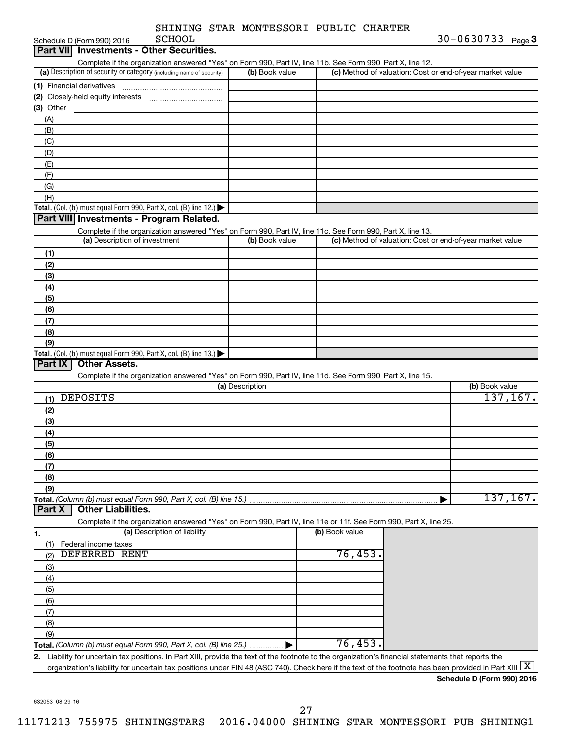| SHINING STAR MONTESSORI PUBLIC CHARTER |
|----------------------------------------|
|----------------------------------------|

| <b>SCHOOL</b><br>Schedule D (Form 990) 2016                                                                                                             |                 |                |                                                           | 30-0630733 Page 3          |           |
|---------------------------------------------------------------------------------------------------------------------------------------------------------|-----------------|----------------|-----------------------------------------------------------|----------------------------|-----------|
| Part VII Investments - Other Securities.                                                                                                                |                 |                |                                                           |                            |           |
| Complete if the organization answered "Yes" on Form 990, Part IV, line 11b. See Form 990, Part X, line 12.                                              |                 |                |                                                           |                            |           |
| (a) Description of security or category (including name of security)                                                                                    | (b) Book value  |                | (c) Method of valuation: Cost or end-of-year market value |                            |           |
| (1) Financial derivatives                                                                                                                               |                 |                |                                                           |                            |           |
| Closely-held equity interests<br>(2)                                                                                                                    |                 |                |                                                           |                            |           |
| (3) Other                                                                                                                                               |                 |                |                                                           |                            |           |
| (A)<br>(B)                                                                                                                                              |                 |                |                                                           |                            |           |
| (C)                                                                                                                                                     |                 |                |                                                           |                            |           |
| (D)                                                                                                                                                     |                 |                |                                                           |                            |           |
| (E)                                                                                                                                                     |                 |                |                                                           |                            |           |
| (F)                                                                                                                                                     |                 |                |                                                           |                            |           |
| (G)                                                                                                                                                     |                 |                |                                                           |                            |           |
| (H)                                                                                                                                                     |                 |                |                                                           |                            |           |
| Total. (Col. (b) must equal Form 990, Part X, col. (B) line 12.) $\blacktriangleright$                                                                  |                 |                |                                                           |                            |           |
| Part VIII Investments - Program Related.                                                                                                                |                 |                |                                                           |                            |           |
| Complete if the organization answered "Yes" on Form 990, Part IV, line 11c. See Form 990, Part X, line 13.                                              |                 |                |                                                           |                            |           |
| (a) Description of investment                                                                                                                           | (b) Book value  |                | (c) Method of valuation: Cost or end-of-year market value |                            |           |
| (1)                                                                                                                                                     |                 |                |                                                           |                            |           |
| (2)                                                                                                                                                     |                 |                |                                                           |                            |           |
| (3)                                                                                                                                                     |                 |                |                                                           |                            |           |
| (4)                                                                                                                                                     |                 |                |                                                           |                            |           |
| (5)                                                                                                                                                     |                 |                |                                                           |                            |           |
| (6)                                                                                                                                                     |                 |                |                                                           |                            |           |
| (7)                                                                                                                                                     |                 |                |                                                           |                            |           |
| (8)                                                                                                                                                     |                 |                |                                                           |                            |           |
| (9)                                                                                                                                                     |                 |                |                                                           |                            |           |
| Total. (Col. (b) must equal Form 990, Part X, col. (B) line 13.) $\blacktriangleright$<br><b>Other Assets.</b><br>Part IX                               |                 |                |                                                           |                            |           |
| Complete if the organization answered "Yes" on Form 990, Part IV, line 11d. See Form 990, Part X, line 15.                                              |                 |                |                                                           |                            |           |
|                                                                                                                                                         | (a) Description |                |                                                           | (b) Book value             |           |
| <b>DEPOSITS</b><br>(1)                                                                                                                                  |                 |                |                                                           |                            | 137, 167. |
| (2)                                                                                                                                                     |                 |                |                                                           |                            |           |
| (3)                                                                                                                                                     |                 |                |                                                           |                            |           |
| (4)                                                                                                                                                     |                 |                |                                                           |                            |           |
| (5)                                                                                                                                                     |                 |                |                                                           |                            |           |
| (6)                                                                                                                                                     |                 |                |                                                           |                            |           |
| (7)                                                                                                                                                     |                 |                |                                                           |                            |           |
| (8)                                                                                                                                                     |                 |                |                                                           |                            |           |
| (9)                                                                                                                                                     |                 |                |                                                           |                            |           |
| Total. (Column (b) must equal Form 990, Part X, col. (B) line 15.)                                                                                      |                 |                |                                                           |                            | 137, 167. |
| <b>Other Liabilities.</b><br>Part X                                                                                                                     |                 |                |                                                           |                            |           |
| Complete if the organization answered "Yes" on Form 990, Part IV, line 11e or 11f. See Form 990, Part X, line 25.                                       |                 |                |                                                           |                            |           |
| (a) Description of liability<br>1.                                                                                                                      |                 | (b) Book value |                                                           |                            |           |
| (1)<br>Federal income taxes                                                                                                                             |                 |                |                                                           |                            |           |
| DEFERRED RENT<br>(2)                                                                                                                                    |                 | 76,453.        |                                                           |                            |           |
| (3)                                                                                                                                                     |                 |                |                                                           |                            |           |
| (4)                                                                                                                                                     |                 |                |                                                           |                            |           |
| (5)                                                                                                                                                     |                 |                |                                                           |                            |           |
| (6)                                                                                                                                                     |                 |                |                                                           |                            |           |
| (7)                                                                                                                                                     |                 |                |                                                           |                            |           |
| (8)                                                                                                                                                     |                 |                |                                                           |                            |           |
| (9)                                                                                                                                                     |                 |                |                                                           |                            |           |
| Total. (Column (b) must equal Form 990, Part X, col. (B) line 25.)                                                                                      |                 | 76,453.        |                                                           |                            |           |
| Liability for uncertain tax positions. In Part XIII, provide the text of the footnote to the organization's financial statements that reports the<br>2. |                 |                |                                                           |                            |           |
| organization's liability for uncertain tax positions under FIN 48 (ASC 740). Check here if the text of the footnote has been provided in Part XIII      |                 |                |                                                           |                            |           |
|                                                                                                                                                         |                 |                |                                                           | Schedule D (Form 990) 2016 |           |

632053 08-29-16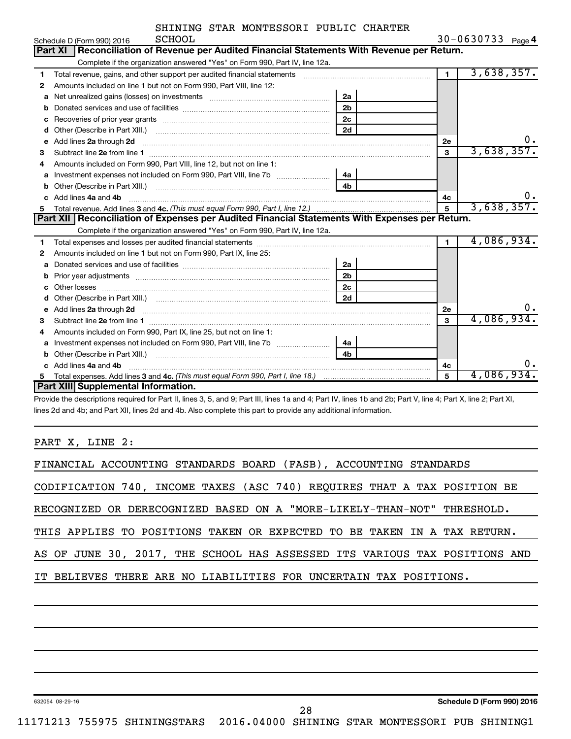|  | SHINING STAR MONTESSORI PUBLIC CHARTER |  |
|--|----------------------------------------|--|
|  |                                        |  |

|    | <b>SCHOOL</b><br>Schedule D (Form 990) 2016                                                                                                                                                                                         |                |                 | $30 - 0630733$ Page 4 |
|----|-------------------------------------------------------------------------------------------------------------------------------------------------------------------------------------------------------------------------------------|----------------|-----------------|-----------------------|
|    | Reconciliation of Revenue per Audited Financial Statements With Revenue per Return.<br>Part XI                                                                                                                                      |                |                 |                       |
|    | Complete if the organization answered "Yes" on Form 990, Part IV, line 12a.                                                                                                                                                         |                |                 |                       |
| 1  | Total revenue, gains, and other support per audited financial statements                                                                                                                                                            |                | $\blacksquare$  | 3,638,357.            |
| 2  | Amounts included on line 1 but not on Form 990, Part VIII, line 12:                                                                                                                                                                 |                |                 |                       |
| a  | Net unrealized gains (losses) on investments [111] Net unrealized mains (losses) on investments [11] Morten mains and the unrealized mains and the unrealized mains and the unrealized mains and the unrealized mains and the       | 2a             |                 |                       |
| b  |                                                                                                                                                                                                                                     | 2 <sub>b</sub> |                 |                       |
| с  |                                                                                                                                                                                                                                     | 2 <sub>c</sub> |                 |                       |
| d  |                                                                                                                                                                                                                                     | 2d             |                 |                       |
| е  | Add lines 2a through 2d <b>manufactures</b> and the contract of the contract of the contract of the contract of the contract of the contract of the contract of the contract of the contract of the contract of the contract of the |                | 2e              | ο.                    |
| 3  |                                                                                                                                                                                                                                     |                | $\mathbf{3}$    | 3,638,357.            |
| 4  | Amounts included on Form 990, Part VIII, line 12, but not on line 1:                                                                                                                                                                |                |                 |                       |
| a  | Investment expenses not included on Form 990, Part VIII, line 7b                                                                                                                                                                    | 4a             |                 |                       |
| b  |                                                                                                                                                                                                                                     | 4 <sub>h</sub> |                 |                       |
| c. | Add lines 4a and 4b                                                                                                                                                                                                                 |                | 4с              | υ.                    |
| 5  |                                                                                                                                                                                                                                     |                | $5\overline{5}$ | 3,638,357.            |
|    | Part XII   Reconciliation of Expenses per Audited Financial Statements With Expenses per Return.                                                                                                                                    |                |                 |                       |
|    | Complete if the organization answered "Yes" on Form 990, Part IV, line 12a.                                                                                                                                                         |                |                 |                       |
| 1  |                                                                                                                                                                                                                                     |                | $\blacksquare$  | 4,086,934.            |
| 2  | Amounts included on line 1 but not on Form 990, Part IX, line 25:                                                                                                                                                                   |                |                 |                       |
| a  |                                                                                                                                                                                                                                     | 2a             |                 |                       |
| b  |                                                                                                                                                                                                                                     | 2 <sub>b</sub> |                 |                       |
| c  |                                                                                                                                                                                                                                     | 2 <sub>c</sub> |                 |                       |
|    |                                                                                                                                                                                                                                     | 2d             |                 |                       |
| е  | Add lines 2a through 2d <b>contained a contained a contained a contained a</b> contained a contained a contained a contained a contact a contact a contact a contact a contact a contact a contact a contact a contact a contact a  |                | 2е              | ο.                    |
| 3  |                                                                                                                                                                                                                                     |                | 3               | 4,086,934.            |
| 4  | Amounts included on Form 990, Part IX, line 25, but not on line 1:                                                                                                                                                                  |                |                 |                       |
| a  |                                                                                                                                                                                                                                     | 4a             |                 |                       |
|    |                                                                                                                                                                                                                                     | 4b             |                 |                       |
|    | Add lines 4a and 4b                                                                                                                                                                                                                 |                | 4c              | О.                    |
| 5  |                                                                                                                                                                                                                                     |                | 5               | 4,086,934.            |
|    | Part XIII Supplemental Information.                                                                                                                                                                                                 |                |                 |                       |

Provide the descriptions required for Part II, lines 3, 5, and 9; Part III, lines 1a and 4; Part IV, lines 1b and 2b; Part V, line 4; Part X, line 2; Part XI, lines 2d and 4b; and Part XII, lines 2d and 4b. Also complete this part to provide any additional information.

PART X, LINE 2:

| FINANCIAL ACCOUNTING STANDARDS BOARD (FASB), ACCOUNTING STANDARDS          |
|----------------------------------------------------------------------------|
| CODIFICATION 740, INCOME TAXES (ASC 740) REQUIRES THAT A TAX POSITION BE   |
| RECOGNIZED OR DERECOGNIZED BASED ON A "MORE-LIKELY-THAN-NOT" THRESHOLD.    |
| THIS APPLIES TO POSITIONS TAKEN OR EXPECTED TO BE TAKEN IN A TAX RETURN.   |
| AS OF JUNE 30, 2017, THE SCHOOL HAS ASSESSED ITS VARIOUS TAX POSITIONS AND |
| IT BELIEVES THERE ARE NO LIABILITIES FOR UNCERTAIN TAX POSITIONS.          |
|                                                                            |
|                                                                            |

632054 08-29-16

28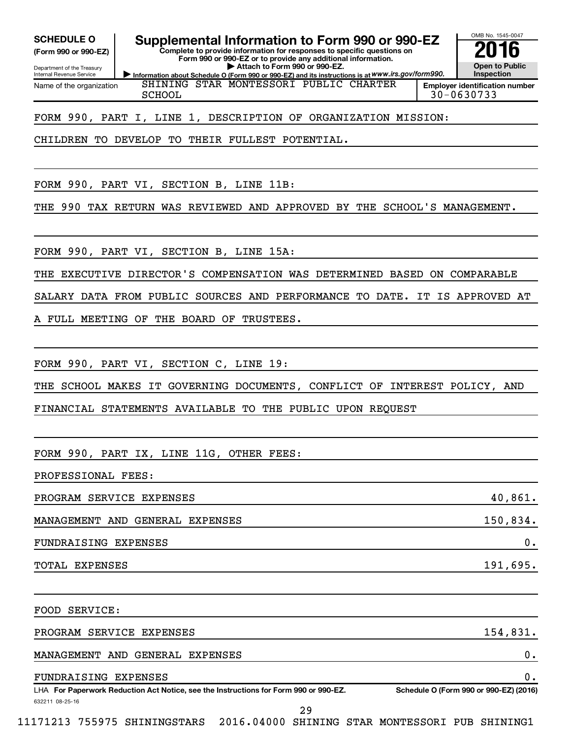**(Form 990 or 990-EZ)**

Department of the Treasury Internal Revenue Service Name of the organization

**SCHEDULE O Supplemental Information to Form 990 or 990-EZ 2016**

**Information about Schedule O (Form 990 or 990-EZ) and its instructions is at WWW.irs.gov/form990. Complete to provide information for responses to specific questions on Form 990 or 990-EZ or to provide any additional information. | Attach to Form 990 or 990-EZ.**



SHINING STAR MONTESSORI PUBLIC CHARTER SCHOOL 30-0630733

FORM 990, PART I, LINE 1, DESCRIPTION OF ORGANIZATION MISSION:

CHILDREN TO DEVELOP TO THEIR FULLEST POTENTIAL.

FORM 990, PART VI, SECTION B, LINE 11B:

THE 990 TAX RETURN WAS REVIEWED AND APPROVED BY THE SCHOOL'S MANAGEMENT.

FORM 990, PART VI, SECTION B, LINE 15A:

THE EXECUTIVE DIRECTOR'S COMPENSATION WAS DETERMINED BASED ON COMPARABLE

SALARY DATA FROM PUBLIC SOURCES AND PERFORMANCE TO DATE. IT IS APPROVED AT

FULL MEETING OF THE BOARD OF TRUSTEES.

FORM 990, PART VI, SECTION C, LINE 19:

THE SCHOOL MAKES IT GOVERNING DOCUMENTS, CONFLICT OF INTEREST POLICY, AND

FINANCIAL STATEMENTS AVAILABLE TO THE PUBLIC UPON REQUEST

FORM 990, PART IX, LINE 11G, OTHER FEES:

PROFESSIONAL FEES:

| PROGRAM SERVICE EXPENSES        | 40,861.  |
|---------------------------------|----------|
| MANAGEMENT AND GENERAL EXPENSES | 150,834. |
| FUNDRAISING EXPENSES            | 0.       |
| TOTAL EXPENSES                  | 191,695. |

FOOD SERVICE:

PROGRAM SERVICE EXPENSES 154,831.

MANAGEMENT AND GENERAL EXPENSES 0.

FUNDRAISING EXPENSES 0.

632211 08-25-16 LHA For Paperwork Reduction Act Notice, see the Instructions for Form 990 or 990-EZ. Schedule O (Form 990 or 990-EZ) (2016)

29